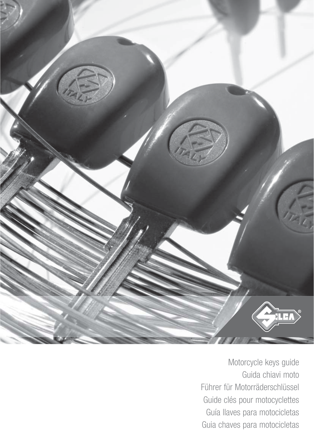

Motorcycle keys guide Guida chiavi moto Führer für Motorräderschlüssel Guide clés pour motocyclettes Guía llaves para motocicletas Guia chaves para motocicletas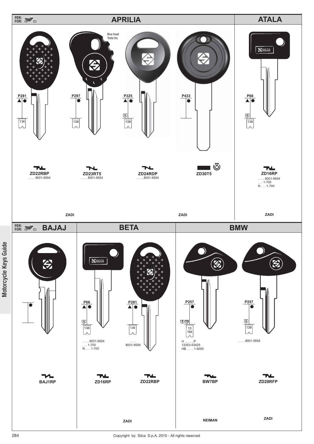

Motorcycle Keys Guide

Motorcycle Keys Guide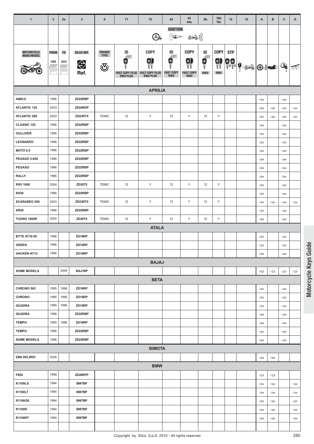| 43<br>10 <sub>b</sub><br>$\mathbf{1}$<br>$\mathbf{3}$<br>12<br>$\mathbf c$<br>D<br>$\overline{2}$<br>6<br>71<br>72<br>42<br>9 <sub>b</sub><br>15<br>A<br>в<br>2a<br>44a<br>10 <sub>c</sub><br><b>IGNITION</b><br>$\sum_{i=1}^{N} \prod_{j=1}^{N} \mathbb{I}^{\text{top}}$<br>((( کُھکے<br>$\mathcal{O}_\bullet$<br>COPY<br><b>COPY</b><br><b>COPY</b><br>ID<br>ID<br><b>STP</b><br><b>TRANSP.</b><br>ID<br>MOTORCYCLE<br>SILCA REF.<br><b>FROM</b><br>T <sub>0</sub><br><b>TYPE</b><br>MAKE/MODEL<br>Æ<br>$\begin{matrix} \mathbf{e} \\ \mathbf{e} \\ \mathbf{e} \end{matrix}$<br>9)<br>9<br>Ŵ<br>8<br>88.<br>11<br>E<br>1995<br>2010<br>⇔<br>Q.<br>$  \textcolor{red}{\bullet}   \textcolor{red}{\bullet}   \textcolor{red}{\bullet}  $<br>্ৰত<br>承<br>Ref.<br><b>FAST COPY</b><br>RW3<br><b>FAST COPY PLUS</b><br>RW3<br><b>FAST COPY PLUS</b><br><b>FAST COPY</b><br>RW4<br><b>RW4 PLUS</b><br><b>RW4 PLUS</b><br>RW4<br><b>APRILIA</b><br><b>AMICO</b><br>1996<br>ZD22RBP<br>$\Leftarrow$<br>$\Leftarrow$<br>2003<br><b>ATLANTIC 125</b><br>ZD24RDP<br>$\Leftarrow$<br>$\Leftarrow$<br>$\Leftarrow$<br>$\Leftarrow$<br>Y<br>Y<br>Y<br>2003<br>12<br><b>ATLANTIC 500</b><br>ZD23RT5<br><b>TEMIC</b><br>12<br>12<br>$\Leftarrow$<br>$\Leftarrow$<br>$\Leftarrow$<br>$\Leftarrow$<br>CLASSIC 125<br>ZD22RBP<br>1996<br>$\Leftarrow$<br>$\Leftarrow$<br><b>GULLIVER</b><br>ZD22RBP<br>1996<br>$\Leftarrow$<br>$\Leftarrow$<br><b>LEONARDO</b><br>1996<br>ZD22RBP<br>$\Leftarrow$<br>$\Leftarrow$<br><b>MOTÒ 6.5</b><br>1996<br>ZD22RBP<br>$\Leftarrow$<br>$\Leftarrow$<br><b>PEGASO 3-650</b><br>1996<br>ZD22RBP<br>$\Leftarrow$<br>$\Leftarrow$<br><b>PEGASO</b><br>ZD22RBP<br>1996<br>$\Leftarrow$<br>$\Leftarrow$<br><b>RALLY</b><br>ZD22RBP<br>1996<br>$\Leftarrow$<br>$\Leftarrow$<br><b>RSV 1000</b><br>2004<br>ZD30T5<br><b>TEMIC</b><br>12<br>Υ<br>12<br>Υ<br>Y<br>12<br>$\Leftarrow$<br>$\Leftarrow$<br><b>RX50</b><br>1996<br>ZD22RBP<br>$\Leftarrow$<br>$\Leftarrow$<br>Y<br>Y<br>Y<br><b>SCARABEO 500</b><br>2003<br>ZD23RT5<br><b>TEMIC</b><br>12<br>12<br>12<br>$\Leftarrow$<br>$\Leftarrow$<br>$\Leftarrow$<br>$\Leftarrow$<br><b>SR50</b><br>ZD22RBP<br>1996<br>$\Leftarrow$<br>$\Leftarrow$<br>Y<br>Y<br>2004<br>Y<br><b>TUONO 1000R</b><br><b>ZD30T5</b><br><b>TEMIC</b><br>12<br>12<br>12<br>$\Longleftrightarrow$<br>$\Leftarrow$<br><b>ATALA</b><br>ZD16RP<br><b>BYTE AT10-50</b><br>1996<br>$\Leftarrow$<br>$\Leftarrow$<br>ZD16RP<br><b>GREEN</b><br>1996<br>$\Leftarrow$<br>⇔ |
|-------------------------------------------------------------------------------------------------------------------------------------------------------------------------------------------------------------------------------------------------------------------------------------------------------------------------------------------------------------------------------------------------------------------------------------------------------------------------------------------------------------------------------------------------------------------------------------------------------------------------------------------------------------------------------------------------------------------------------------------------------------------------------------------------------------------------------------------------------------------------------------------------------------------------------------------------------------------------------------------------------------------------------------------------------------------------------------------------------------------------------------------------------------------------------------------------------------------------------------------------------------------------------------------------------------------------------------------------------------------------------------------------------------------------------------------------------------------------------------------------------------------------------------------------------------------------------------------------------------------------------------------------------------------------------------------------------------------------------------------------------------------------------------------------------------------------------------------------------------------------------------------------------------------------------------------------------------------------------------------------------------------------------------------------------------------------------------------------------------------------------------------------------------------------------------------------------------------------------------------------------------------------------------------------------------------------------------------------------------------------------------------------------------------------------------------------------------------------------------------------------|
|                                                                                                                                                                                                                                                                                                                                                                                                                                                                                                                                                                                                                                                                                                                                                                                                                                                                                                                                                                                                                                                                                                                                                                                                                                                                                                                                                                                                                                                                                                                                                                                                                                                                                                                                                                                                                                                                                                                                                                                                                                                                                                                                                                                                                                                                                                                                                                                                                                                                                                       |
|                                                                                                                                                                                                                                                                                                                                                                                                                                                                                                                                                                                                                                                                                                                                                                                                                                                                                                                                                                                                                                                                                                                                                                                                                                                                                                                                                                                                                                                                                                                                                                                                                                                                                                                                                                                                                                                                                                                                                                                                                                                                                                                                                                                                                                                                                                                                                                                                                                                                                                       |
|                                                                                                                                                                                                                                                                                                                                                                                                                                                                                                                                                                                                                                                                                                                                                                                                                                                                                                                                                                                                                                                                                                                                                                                                                                                                                                                                                                                                                                                                                                                                                                                                                                                                                                                                                                                                                                                                                                                                                                                                                                                                                                                                                                                                                                                                                                                                                                                                                                                                                                       |
|                                                                                                                                                                                                                                                                                                                                                                                                                                                                                                                                                                                                                                                                                                                                                                                                                                                                                                                                                                                                                                                                                                                                                                                                                                                                                                                                                                                                                                                                                                                                                                                                                                                                                                                                                                                                                                                                                                                                                                                                                                                                                                                                                                                                                                                                                                                                                                                                                                                                                                       |
|                                                                                                                                                                                                                                                                                                                                                                                                                                                                                                                                                                                                                                                                                                                                                                                                                                                                                                                                                                                                                                                                                                                                                                                                                                                                                                                                                                                                                                                                                                                                                                                                                                                                                                                                                                                                                                                                                                                                                                                                                                                                                                                                                                                                                                                                                                                                                                                                                                                                                                       |
|                                                                                                                                                                                                                                                                                                                                                                                                                                                                                                                                                                                                                                                                                                                                                                                                                                                                                                                                                                                                                                                                                                                                                                                                                                                                                                                                                                                                                                                                                                                                                                                                                                                                                                                                                                                                                                                                                                                                                                                                                                                                                                                                                                                                                                                                                                                                                                                                                                                                                                       |
|                                                                                                                                                                                                                                                                                                                                                                                                                                                                                                                                                                                                                                                                                                                                                                                                                                                                                                                                                                                                                                                                                                                                                                                                                                                                                                                                                                                                                                                                                                                                                                                                                                                                                                                                                                                                                                                                                                                                                                                                                                                                                                                                                                                                                                                                                                                                                                                                                                                                                                       |
|                                                                                                                                                                                                                                                                                                                                                                                                                                                                                                                                                                                                                                                                                                                                                                                                                                                                                                                                                                                                                                                                                                                                                                                                                                                                                                                                                                                                                                                                                                                                                                                                                                                                                                                                                                                                                                                                                                                                                                                                                                                                                                                                                                                                                                                                                                                                                                                                                                                                                                       |
|                                                                                                                                                                                                                                                                                                                                                                                                                                                                                                                                                                                                                                                                                                                                                                                                                                                                                                                                                                                                                                                                                                                                                                                                                                                                                                                                                                                                                                                                                                                                                                                                                                                                                                                                                                                                                                                                                                                                                                                                                                                                                                                                                                                                                                                                                                                                                                                                                                                                                                       |
|                                                                                                                                                                                                                                                                                                                                                                                                                                                                                                                                                                                                                                                                                                                                                                                                                                                                                                                                                                                                                                                                                                                                                                                                                                                                                                                                                                                                                                                                                                                                                                                                                                                                                                                                                                                                                                                                                                                                                                                                                                                                                                                                                                                                                                                                                                                                                                                                                                                                                                       |
|                                                                                                                                                                                                                                                                                                                                                                                                                                                                                                                                                                                                                                                                                                                                                                                                                                                                                                                                                                                                                                                                                                                                                                                                                                                                                                                                                                                                                                                                                                                                                                                                                                                                                                                                                                                                                                                                                                                                                                                                                                                                                                                                                                                                                                                                                                                                                                                                                                                                                                       |
|                                                                                                                                                                                                                                                                                                                                                                                                                                                                                                                                                                                                                                                                                                                                                                                                                                                                                                                                                                                                                                                                                                                                                                                                                                                                                                                                                                                                                                                                                                                                                                                                                                                                                                                                                                                                                                                                                                                                                                                                                                                                                                                                                                                                                                                                                                                                                                                                                                                                                                       |
|                                                                                                                                                                                                                                                                                                                                                                                                                                                                                                                                                                                                                                                                                                                                                                                                                                                                                                                                                                                                                                                                                                                                                                                                                                                                                                                                                                                                                                                                                                                                                                                                                                                                                                                                                                                                                                                                                                                                                                                                                                                                                                                                                                                                                                                                                                                                                                                                                                                                                                       |
|                                                                                                                                                                                                                                                                                                                                                                                                                                                                                                                                                                                                                                                                                                                                                                                                                                                                                                                                                                                                                                                                                                                                                                                                                                                                                                                                                                                                                                                                                                                                                                                                                                                                                                                                                                                                                                                                                                                                                                                                                                                                                                                                                                                                                                                                                                                                                                                                                                                                                                       |
|                                                                                                                                                                                                                                                                                                                                                                                                                                                                                                                                                                                                                                                                                                                                                                                                                                                                                                                                                                                                                                                                                                                                                                                                                                                                                                                                                                                                                                                                                                                                                                                                                                                                                                                                                                                                                                                                                                                                                                                                                                                                                                                                                                                                                                                                                                                                                                                                                                                                                                       |
|                                                                                                                                                                                                                                                                                                                                                                                                                                                                                                                                                                                                                                                                                                                                                                                                                                                                                                                                                                                                                                                                                                                                                                                                                                                                                                                                                                                                                                                                                                                                                                                                                                                                                                                                                                                                                                                                                                                                                                                                                                                                                                                                                                                                                                                                                                                                                                                                                                                                                                       |
|                                                                                                                                                                                                                                                                                                                                                                                                                                                                                                                                                                                                                                                                                                                                                                                                                                                                                                                                                                                                                                                                                                                                                                                                                                                                                                                                                                                                                                                                                                                                                                                                                                                                                                                                                                                                                                                                                                                                                                                                                                                                                                                                                                                                                                                                                                                                                                                                                                                                                                       |
|                                                                                                                                                                                                                                                                                                                                                                                                                                                                                                                                                                                                                                                                                                                                                                                                                                                                                                                                                                                                                                                                                                                                                                                                                                                                                                                                                                                                                                                                                                                                                                                                                                                                                                                                                                                                                                                                                                                                                                                                                                                                                                                                                                                                                                                                                                                                                                                                                                                                                                       |
|                                                                                                                                                                                                                                                                                                                                                                                                                                                                                                                                                                                                                                                                                                                                                                                                                                                                                                                                                                                                                                                                                                                                                                                                                                                                                                                                                                                                                                                                                                                                                                                                                                                                                                                                                                                                                                                                                                                                                                                                                                                                                                                                                                                                                                                                                                                                                                                                                                                                                                       |
|                                                                                                                                                                                                                                                                                                                                                                                                                                                                                                                                                                                                                                                                                                                                                                                                                                                                                                                                                                                                                                                                                                                                                                                                                                                                                                                                                                                                                                                                                                                                                                                                                                                                                                                                                                                                                                                                                                                                                                                                                                                                                                                                                                                                                                                                                                                                                                                                                                                                                                       |
|                                                                                                                                                                                                                                                                                                                                                                                                                                                                                                                                                                                                                                                                                                                                                                                                                                                                                                                                                                                                                                                                                                                                                                                                                                                                                                                                                                                                                                                                                                                                                                                                                                                                                                                                                                                                                                                                                                                                                                                                                                                                                                                                                                                                                                                                                                                                                                                                                                                                                                       |
|                                                                                                                                                                                                                                                                                                                                                                                                                                                                                                                                                                                                                                                                                                                                                                                                                                                                                                                                                                                                                                                                                                                                                                                                                                                                                                                                                                                                                                                                                                                                                                                                                                                                                                                                                                                                                                                                                                                                                                                                                                                                                                                                                                                                                                                                                                                                                                                                                                                                                                       |
|                                                                                                                                                                                                                                                                                                                                                                                                                                                                                                                                                                                                                                                                                                                                                                                                                                                                                                                                                                                                                                                                                                                                                                                                                                                                                                                                                                                                                                                                                                                                                                                                                                                                                                                                                                                                                                                                                                                                                                                                                                                                                                                                                                                                                                                                                                                                                                                                                                                                                                       |
| HACKER-AT12<br>1996<br>ZD16RP<br>$\Leftarrow$<br>$\Leftarrow$                                                                                                                                                                                                                                                                                                                                                                                                                                                                                                                                                                                                                                                                                                                                                                                                                                                                                                                                                                                                                                                                                                                                                                                                                                                                                                                                                                                                                                                                                                                                                                                                                                                                                                                                                                                                                                                                                                                                                                                                                                                                                                                                                                                                                                                                                                                                                                                                                                         |
| <b>BAJAJ</b>                                                                                                                                                                                                                                                                                                                                                                                                                                                                                                                                                                                                                                                                                                                                                                                                                                                                                                                                                                                                                                                                                                                                                                                                                                                                                                                                                                                                                                                                                                                                                                                                                                                                                                                                                                                                                                                                                                                                                                                                                                                                                                                                                                                                                                                                                                                                                                                                                                                                                          |
| <b>SOME MODELS</b><br>2009<br><b>BAJ1RP</b><br>$\Leftarrow$<br>$\Leftarrow$<br>$\Leftarrow$<br>$\Leftarrow$                                                                                                                                                                                                                                                                                                                                                                                                                                                                                                                                                                                                                                                                                                                                                                                                                                                                                                                                                                                                                                                                                                                                                                                                                                                                                                                                                                                                                                                                                                                                                                                                                                                                                                                                                                                                                                                                                                                                                                                                                                                                                                                                                                                                                                                                                                                                                                                           |
| <b>BETA</b>                                                                                                                                                                                                                                                                                                                                                                                                                                                                                                                                                                                                                                                                                                                                                                                                                                                                                                                                                                                                                                                                                                                                                                                                                                                                                                                                                                                                                                                                                                                                                                                                                                                                                                                                                                                                                                                                                                                                                                                                                                                                                                                                                                                                                                                                                                                                                                                                                                                                                           |
| 1995<br>ZD16RP<br>CHRONO 502<br>1996<br>$\Leftarrow$<br>$\Leftarrow$                                                                                                                                                                                                                                                                                                                                                                                                                                                                                                                                                                                                                                                                                                                                                                                                                                                                                                                                                                                                                                                                                                                                                                                                                                                                                                                                                                                                                                                                                                                                                                                                                                                                                                                                                                                                                                                                                                                                                                                                                                                                                                                                                                                                                                                                                                                                                                                                                                  |
| <b>CHRONO</b><br>1995<br>ZD16RP<br>1996<br>$\Leftarrow$<br>$\Leftarrow$                                                                                                                                                                                                                                                                                                                                                                                                                                                                                                                                                                                                                                                                                                                                                                                                                                                                                                                                                                                                                                                                                                                                                                                                                                                                                                                                                                                                                                                                                                                                                                                                                                                                                                                                                                                                                                                                                                                                                                                                                                                                                                                                                                                                                                                                                                                                                                                                                               |
| QUADRA<br>1995<br>ZD16RP<br>1996<br>$\Leftarrow$<br>$\Leftarrow$                                                                                                                                                                                                                                                                                                                                                                                                                                                                                                                                                                                                                                                                                                                                                                                                                                                                                                                                                                                                                                                                                                                                                                                                                                                                                                                                                                                                                                                                                                                                                                                                                                                                                                                                                                                                                                                                                                                                                                                                                                                                                                                                                                                                                                                                                                                                                                                                                                      |
| 1996<br>QUADRA<br>ZD22RBP<br>$\Leftarrow$<br>$\Leftarrow$                                                                                                                                                                                                                                                                                                                                                                                                                                                                                                                                                                                                                                                                                                                                                                                                                                                                                                                                                                                                                                                                                                                                                                                                                                                                                                                                                                                                                                                                                                                                                                                                                                                                                                                                                                                                                                                                                                                                                                                                                                                                                                                                                                                                                                                                                                                                                                                                                                             |
| <b>TEMPO</b><br>1995<br>1996<br>ZD16RP<br>$\Leftarrow$<br>$\Leftarrow$                                                                                                                                                                                                                                                                                                                                                                                                                                                                                                                                                                                                                                                                                                                                                                                                                                                                                                                                                                                                                                                                                                                                                                                                                                                                                                                                                                                                                                                                                                                                                                                                                                                                                                                                                                                                                                                                                                                                                                                                                                                                                                                                                                                                                                                                                                                                                                                                                                |
| <b>TEMPO</b><br>ZD22RBP<br>1996<br>$\Leftarrow$<br>$\Leftarrow$                                                                                                                                                                                                                                                                                                                                                                                                                                                                                                                                                                                                                                                                                                                                                                                                                                                                                                                                                                                                                                                                                                                                                                                                                                                                                                                                                                                                                                                                                                                                                                                                                                                                                                                                                                                                                                                                                                                                                                                                                                                                                                                                                                                                                                                                                                                                                                                                                                       |
| <b>SOME MODELS</b><br>1996<br>ZD22RBP<br>$\Leftarrow$<br>$\Leftarrow$                                                                                                                                                                                                                                                                                                                                                                                                                                                                                                                                                                                                                                                                                                                                                                                                                                                                                                                                                                                                                                                                                                                                                                                                                                                                                                                                                                                                                                                                                                                                                                                                                                                                                                                                                                                                                                                                                                                                                                                                                                                                                                                                                                                                                                                                                                                                                                                                                                 |
| <b>BIMOTA</b>                                                                                                                                                                                                                                                                                                                                                                                                                                                                                                                                                                                                                                                                                                                                                                                                                                                                                                                                                                                                                                                                                                                                                                                                                                                                                                                                                                                                                                                                                                                                                                                                                                                                                                                                                                                                                                                                                                                                                                                                                                                                                                                                                                                                                                                                                                                                                                                                                                                                                         |
| <b>DB6 DELIRIO</b><br>2006<br>$\Leftarrow$<br>$\qquad \qquad \Longleftrightarrow$                                                                                                                                                                                                                                                                                                                                                                                                                                                                                                                                                                                                                                                                                                                                                                                                                                                                                                                                                                                                                                                                                                                                                                                                                                                                                                                                                                                                                                                                                                                                                                                                                                                                                                                                                                                                                                                                                                                                                                                                                                                                                                                                                                                                                                                                                                                                                                                                                     |
| <b>BMW</b>                                                                                                                                                                                                                                                                                                                                                                                                                                                                                                                                                                                                                                                                                                                                                                                                                                                                                                                                                                                                                                                                                                                                                                                                                                                                                                                                                                                                                                                                                                                                                                                                                                                                                                                                                                                                                                                                                                                                                                                                                                                                                                                                                                                                                                                                                                                                                                                                                                                                                            |
| 1998<br>ZD28RFP<br>F650<br>$\Leftarrow$<br>$\Leftarrow$                                                                                                                                                                                                                                                                                                                                                                                                                                                                                                                                                                                                                                                                                                                                                                                                                                                                                                                                                                                                                                                                                                                                                                                                                                                                                                                                                                                                                                                                                                                                                                                                                                                                                                                                                                                                                                                                                                                                                                                                                                                                                                                                                                                                                                                                                                                                                                                                                                               |
| <b>K1100LS</b><br>1994<br>BW7BP<br>$\Leftarrow$<br>$\Longleftrightarrow$<br>$\Leftarrow$                                                                                                                                                                                                                                                                                                                                                                                                                                                                                                                                                                                                                                                                                                                                                                                                                                                                                                                                                                                                                                                                                                                                                                                                                                                                                                                                                                                                                                                                                                                                                                                                                                                                                                                                                                                                                                                                                                                                                                                                                                                                                                                                                                                                                                                                                                                                                                                                              |
| 1994<br>K1100LT<br>BW7BP<br>$\Leftarrow$<br>$\Leftarrow$<br>$\Leftarrow$                                                                                                                                                                                                                                                                                                                                                                                                                                                                                                                                                                                                                                                                                                                                                                                                                                                                                                                                                                                                                                                                                                                                                                                                                                                                                                                                                                                                                                                                                                                                                                                                                                                                                                                                                                                                                                                                                                                                                                                                                                                                                                                                                                                                                                                                                                                                                                                                                              |
| 1994<br><b>R1100GS</b><br>BW7BP<br>$\Leftarrow$<br>$\Longleftrightarrow$<br>$\iff$                                                                                                                                                                                                                                                                                                                                                                                                                                                                                                                                                                                                                                                                                                                                                                                                                                                                                                                                                                                                                                                                                                                                                                                                                                                                                                                                                                                                                                                                                                                                                                                                                                                                                                                                                                                                                                                                                                                                                                                                                                                                                                                                                                                                                                                                                                                                                                                                                    |
| R1100R<br>1994<br>BW7BP<br>$\Leftarrow$<br>$\Leftarrow$<br>$\Leftarrow$                                                                                                                                                                                                                                                                                                                                                                                                                                                                                                                                                                                                                                                                                                                                                                                                                                                                                                                                                                                                                                                                                                                                                                                                                                                                                                                                                                                                                                                                                                                                                                                                                                                                                                                                                                                                                                                                                                                                                                                                                                                                                                                                                                                                                                                                                                                                                                                                                               |
| <b>R1100RT</b><br>1994<br>BW7BP<br>$\Leftarrow$<br>$\Leftarrow$<br>$\Leftarrow$                                                                                                                                                                                                                                                                                                                                                                                                                                                                                                                                                                                                                                                                                                                                                                                                                                                                                                                                                                                                                                                                                                                                                                                                                                                                                                                                                                                                                                                                                                                                                                                                                                                                                                                                                                                                                                                                                                                                                                                                                                                                                                                                                                                                                                                                                                                                                                                                                       |
|                                                                                                                                                                                                                                                                                                                                                                                                                                                                                                                                                                                                                                                                                                                                                                                                                                                                                                                                                                                                                                                                                                                                                                                                                                                                                                                                                                                                                                                                                                                                                                                                                                                                                                                                                                                                                                                                                                                                                                                                                                                                                                                                                                                                                                                                                                                                                                                                                                                                                                       |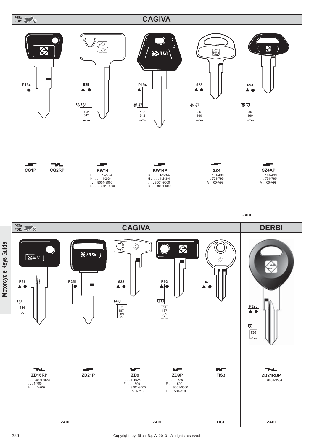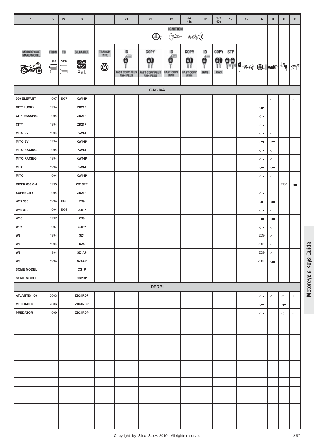| $\mathbf{1}$             | $\overline{2}$                | 2a                                      | $\mathbf{3}$            | $\bf 6$                 | 71                                                         | 72                                              | 42                                                                                                                          | 43<br>44a                            | 9 <sub>b</sub>                    | 10 <sub>b</sub><br>10 <sub>c</sub> | 12         | 15            | A                     | в                | c                                   | D                                   |
|--------------------------|-------------------------------|-----------------------------------------|-------------------------|-------------------------|------------------------------------------------------------|-------------------------------------------------|-----------------------------------------------------------------------------------------------------------------------------|--------------------------------------|-----------------------------------|------------------------------------|------------|---------------|-----------------------|------------------|-------------------------------------|-------------------------------------|
|                          |                               |                                         |                         |                         |                                                            | Oc                                              | <b>IGNITION</b><br>$\sum_{\substack{\lambda\in\mathcal{A}\\ \lambda\in\mathcal{A}}} \prod_{i=1}^n \mathbb{E}(\mathbb{D}^n)$ | ((( کی                               |                                   |                                    |            |               |                       |                  |                                     |                                     |
| MOTORCYCLE<br>MAKE/MODEL | <b>FROM</b><br>1995<br>E<br>E | T <sub>0</sub><br>2010<br>$\equiv$<br>÷ | SILCA REF.<br>⇔<br>Ref. | TRANSP.<br>TYPE<br>্ত্য | ID<br>40H<br>в<br><b>FAST COPY PLUS</b><br><b>RW4 PLUS</b> | COPY<br>9<br><b>FAST COPY PLUS<br/>RW4 PLUS</b> | ID<br>Æ<br>g<br><b>FAST COPY</b><br>RW4                                                                                     | COPY<br>9<br><b>FAST COPY</b><br>RW4 | ID<br>$\frac{1}{\sqrt{2}}$<br>RW3 | COPY                               | <b>STP</b> | 9 99 9 30 0 0 |                       |                  | Q.                                  | <b>FAL</b>                          |
|                          |                               |                                         |                         |                         |                                                            | <b>CAGIVA</b>                                   |                                                                                                                             |                                      |                                   |                                    |            |               |                       |                  |                                     |                                     |
| 900 ELEFANT              | 1997                          | 1997                                    | KW14P                   |                         |                                                            |                                                 |                                                                                                                             |                                      |                                   |                                    |            |               |                       | $\Leftarrow$     |                                     | $\Leftarrow$                        |
| <b>CITY LUCKY</b>        | 1994                          |                                         | ZD <sub>21</sub> P      |                         |                                                            |                                                 |                                                                                                                             |                                      |                                   |                                    |            |               | $\Leftarrow$          |                  |                                     |                                     |
| <b>CITY PASSING</b>      | 1994                          |                                         | ZD <sub>21</sub> P      |                         |                                                            |                                                 |                                                                                                                             |                                      |                                   |                                    |            |               | $\Longleftrightarrow$ |                  |                                     |                                     |
| <b>CITY</b>              | 1994                          |                                         | ZD <sub>21</sub> P      |                         |                                                            |                                                 |                                                                                                                             |                                      |                                   |                                    |            |               | $\Longleftrightarrow$ |                  |                                     |                                     |
| <b>MITO EV</b>           | 1994                          |                                         | <b>KW14</b>             |                         |                                                            |                                                 |                                                                                                                             |                                      |                                   |                                    |            |               | $\Leftarrow$          | $\Leftarrow$     |                                     |                                     |
| <b>MITO EV</b>           | 1994                          |                                         | KW14P                   |                         |                                                            |                                                 |                                                                                                                             |                                      |                                   |                                    |            |               | $\Leftarrow$          | $\Leftarrow$     |                                     |                                     |
| <b>MITO RACING</b>       | 1994                          |                                         | <b>KW14</b>             |                         |                                                            |                                                 |                                                                                                                             |                                      |                                   |                                    |            |               | $\Leftarrow$          | $\Leftarrow$     |                                     |                                     |
| <b>MITO RACING</b>       | 1994                          |                                         | KW14P                   |                         |                                                            |                                                 |                                                                                                                             |                                      |                                   |                                    |            |               | $\Leftarrow$          | $\Leftarrow$     |                                     |                                     |
| <b>MITO</b>              | 1994                          |                                         | <b>KW14</b>             |                         |                                                            |                                                 |                                                                                                                             |                                      |                                   |                                    |            |               | $\Longleftrightarrow$ | $\Longleftarrow$ |                                     |                                     |
| <b>MITO</b>              | 1994                          |                                         | KW14P                   |                         |                                                            |                                                 |                                                                                                                             |                                      |                                   |                                    |            |               | $\Leftarrow$          | $\Leftarrow$     |                                     |                                     |
| RIVER 600 Cat.           | 1995                          |                                         | ZD16RP                  |                         |                                                            |                                                 |                                                                                                                             |                                      |                                   |                                    |            |               |                       |                  | FIS3                                | $\Longleftrightarrow$               |
| <b>SUPERCITY</b>         | 1994                          |                                         | ZD <sub>21</sub> P      |                         |                                                            |                                                 |                                                                                                                             |                                      |                                   |                                    |            |               | $\Leftarrow$          |                  |                                     |                                     |
| W12 350                  | 1994                          | 1996                                    | ZD <sub>9</sub>         |                         |                                                            |                                                 |                                                                                                                             |                                      |                                   |                                    |            |               | $\Longleftrightarrow$ | $\Leftarrow$     |                                     |                                     |
| W12 350                  | 1994                          | 1996                                    | ZD9P                    |                         |                                                            |                                                 |                                                                                                                             |                                      |                                   |                                    |            |               | $\Longleftrightarrow$ | $\Leftarrow$     |                                     |                                     |
| W16                      | 1997                          |                                         | ZD <sub>9</sub>         |                         |                                                            |                                                 |                                                                                                                             |                                      |                                   |                                    |            |               | $\Leftarrow$          | $\Leftarrow$     |                                     |                                     |
| W16                      | 1997                          |                                         | ZD9P                    |                         |                                                            |                                                 |                                                                                                                             |                                      |                                   |                                    |            |               | $\Leftarrow$          | $\Leftarrow$     |                                     |                                     |
| W8                       | 1994                          |                                         | SZ4                     |                         |                                                            |                                                 |                                                                                                                             |                                      |                                   |                                    |            |               | ZD <sub>9</sub>       | $\Leftarrow$     |                                     |                                     |
| W8                       | 1994                          |                                         | SZ4                     |                         |                                                            |                                                 |                                                                                                                             |                                      |                                   |                                    |            |               | ZD9P                  | $\Leftarrow$     |                                     |                                     |
| W8                       | 1994                          |                                         | SZ4AP                   |                         |                                                            |                                                 |                                                                                                                             |                                      |                                   |                                    |            |               | ZD <sub>9</sub>       | $\Leftarrow$     |                                     |                                     |
| W8                       | 1994                          |                                         | SZ4AP                   |                         |                                                            |                                                 |                                                                                                                             |                                      |                                   |                                    |            |               | ZD9P                  | $\Leftarrow$     |                                     |                                     |
| <b>SOME MODEL</b>        |                               |                                         | CG1P                    |                         |                                                            |                                                 |                                                                                                                             |                                      |                                   |                                    |            |               |                       |                  |                                     |                                     |
| <b>SOME MODEL</b>        |                               |                                         | CG2RP                   |                         |                                                            |                                                 |                                                                                                                             |                                      |                                   |                                    |            |               |                       |                  |                                     |                                     |
|                          |                               |                                         |                         |                         |                                                            | <b>DERBI</b>                                    |                                                                                                                             |                                      |                                   |                                    |            |               |                       |                  |                                     |                                     |
| ATLANTIS 100             | 2003                          |                                         | ZD24RDP                 |                         |                                                            |                                                 |                                                                                                                             |                                      |                                   |                                    |            |               | $\Longleftrightarrow$ | $\Leftarrow$     | $\qquad \qquad \Longleftrightarrow$ | $\qquad \qquad \Longleftrightarrow$ |
| <b>MULHACEN</b>          | 2006                          |                                         | ZD24RDP                 |                         |                                                            |                                                 |                                                                                                                             |                                      |                                   |                                    |            |               | $\Longleftrightarrow$ |                  | $\Leftarrow$                        |                                     |
| <b>PREDATOR</b>          | 1999                          |                                         | ZD24RDP                 |                         |                                                            |                                                 |                                                                                                                             |                                      |                                   |                                    |            |               | $\Longleftrightarrow$ |                  | $\Longleftarrow$                    | $\Longleftarrow$                    |
|                          |                               |                                         |                         |                         |                                                            |                                                 |                                                                                                                             |                                      |                                   |                                    |            |               |                       |                  |                                     |                                     |
|                          |                               |                                         |                         |                         |                                                            |                                                 |                                                                                                                             |                                      |                                   |                                    |            |               |                       |                  |                                     |                                     |
|                          |                               |                                         |                         |                         |                                                            |                                                 |                                                                                                                             |                                      |                                   |                                    |            |               |                       |                  |                                     |                                     |
|                          |                               |                                         |                         |                         |                                                            |                                                 |                                                                                                                             |                                      |                                   |                                    |            |               |                       |                  |                                     |                                     |
|                          |                               |                                         |                         |                         |                                                            |                                                 |                                                                                                                             |                                      |                                   |                                    |            |               |                       |                  |                                     |                                     |
|                          |                               |                                         |                         |                         |                                                            |                                                 |                                                                                                                             |                                      |                                   |                                    |            |               |                       |                  |                                     |                                     |
|                          |                               |                                         |                         |                         |                                                            |                                                 |                                                                                                                             |                                      |                                   |                                    |            |               |                       |                  |                                     |                                     |
|                          |                               |                                         |                         |                         |                                                            |                                                 |                                                                                                                             |                                      |                                   |                                    |            |               |                       |                  |                                     |                                     |
|                          |                               |                                         |                         |                         |                                                            |                                                 |                                                                                                                             |                                      |                                   |                                    |            |               |                       |                  |                                     |                                     |
|                          |                               |                                         |                         |                         |                                                            |                                                 |                                                                                                                             |                                      |                                   |                                    |            |               |                       |                  |                                     |                                     |
|                          |                               |                                         |                         |                         |                                                            |                                                 |                                                                                                                             |                                      |                                   |                                    |            |               |                       |                  |                                     |                                     |
|                          |                               |                                         |                         |                         |                                                            |                                                 |                                                                                                                             |                                      |                                   |                                    |            |               |                       |                  |                                     |                                     |
|                          |                               |                                         |                         |                         |                                                            |                                                 |                                                                                                                             |                                      |                                   |                                    |            |               |                       |                  |                                     |                                     |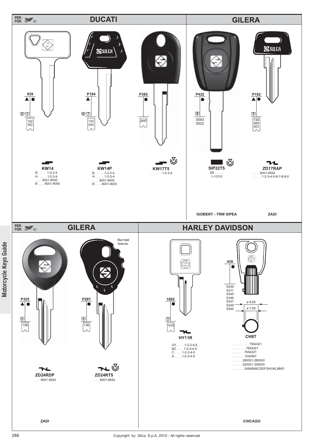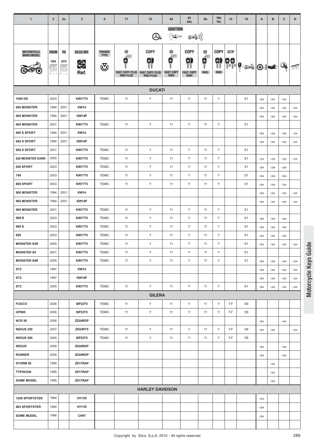| $\mathbf{1}$            | $\overline{2}$ | 2a             | $\mathbf{3}$   | 6              | 71                                       | 72                                       | 42                                                                                       | 43<br>44a               | 9 <sub>b</sub>                                                       | 10 <sub>b</sub><br>10 <sub>c</sub> | 12            | 15                                          | A                     | B            | C            | D             |
|-------------------------|----------------|----------------|----------------|----------------|------------------------------------------|------------------------------------------|------------------------------------------------------------------------------------------|-------------------------|----------------------------------------------------------------------|------------------------------------|---------------|---------------------------------------------|-----------------------|--------------|--------------|---------------|
|                         |                |                |                |                |                                          |                                          | <b>IGNITION</b>                                                                          |                         |                                                                      |                                    |               |                                             |                       |              |              |               |
|                         |                |                |                |                |                                          | O.                                       | $\sum_{i=1}^{N} \sum_{j=1}^{N} \prod_{j=1}^{N} \mathbb{E}[\mathbf{1}_{j}]\mathbf{1}_{j}$ | ((( کی                  |                                                                      |                                    |               |                                             |                       |              |              |               |
| MOTORCYCLE              | <b>FROM</b>    | T <sub>0</sub> | SILCA REF.     | <b>TRANSP.</b> | ID                                       | COPY                                     | ID                                                                                       | <b>COPY</b>             | ID                                                                   | <b>COPY</b>                        | STP           |                                             |                       |              |              |               |
| MAKE/MODEL              | 1995           | 2010           |                | <b>TYPE</b>    | FWH<br>×                                 | 9                                        | Æ<br>Е                                                                                   | 9                       | $\begin{matrix} \mathbf{c} \\ \mathbf{c} \\ \mathbf{d} \end{matrix}$ | s)<br>Tt                           |               |                                             |                       |              |              |               |
|                         |                |                | $\bigoplus$    | ্ত্য           |                                          |                                          |                                                                                          |                         |                                                                      |                                    | $\frac{1}{2}$ | $  \cdot   \cdot   \cdot   \cdot   \cdot  $ |                       |              | Q.           | 不             |
|                         |                |                | Ref.           |                | <b>FAST COPY PLUS</b><br><b>RW4 PLUS</b> | <b>FAST COPY PLUS</b><br><b>RW4 PLUS</b> | <b>FAST COPY</b><br>RW4                                                                  | <b>FAST COPY</b><br>RW4 | RW3                                                                  | RW3                                |               |                                             |                       |              |              |               |
|                         |                |                |                |                |                                          | <b>DUCATI</b>                            |                                                                                          |                         |                                                                      |                                    |               |                                             |                       |              |              |               |
| 1000 DS                 | 2003           |                | <b>KW17T5</b>  | <b>TEMIC</b>   | 11                                       | Υ                                        | 11                                                                                       | Y                       | 11                                                                   | Y                                  |               | S <sub>1</sub>                              | $\Leftarrow$          | $\Leftarrow$ | $\Leftarrow$ |               |
| 600 MONSTER             | 1994           | 2001           | <b>KW14</b>    |                |                                          |                                          |                                                                                          |                         |                                                                      |                                    |               |                                             | $\Leftarrow$          | $\Leftarrow$ | $\Leftarrow$ | $\Leftarrow$  |
| 600 MONSTER             | 1994           | 2001           | KW14P          |                |                                          |                                          |                                                                                          |                         |                                                                      |                                    |               |                                             | $\Leftarrow$          | $\Leftarrow$ | $\Leftarrow$ | $\Leftarrow$  |
| <b>600 MONSTER</b>      | 2001           |                | <b>KW17T5</b>  | <b>TEMIC</b>   | 11                                       | Υ                                        | 11                                                                                       | Υ                       | 11                                                                   | Y                                  |               | S <sub>1</sub>                              |                       |              |              |               |
| 600 S SPORT             | 1994           | 2001           | <b>KW14</b>    |                |                                          |                                          |                                                                                          |                         |                                                                      |                                    |               |                                             | $\Leftarrow$          | ⇐            | $\Leftarrow$ | $\Leftarrow$  |
| 600 S SPORT             | 1994           | 2001           | KW14P          |                |                                          |                                          |                                                                                          |                         |                                                                      |                                    |               |                                             | $\Leftarrow$          | ⇔            | $\Leftarrow$ | $\Leftarrow$  |
| 600 S SPORT             | 2001           |                | <b>KW17T5</b>  | <b>TEMIC</b>   | 11                                       | Y                                        | 11                                                                                       | Υ                       | 11                                                                   | Y                                  |               | S <sub>1</sub>                              |                       |              |              |               |
| <b>620 MONSTER DARK</b> | 2005           |                | <b>KW17T5</b>  | <b>TEMIC</b>   | 11                                       | Υ                                        | 11                                                                                       | Υ                       | 11                                                                   | Y                                  |               | S <sub>1</sub>                              | $\Leftarrow$          | $\Leftarrow$ | $\Leftarrow$ | $\Leftarrow$  |
| 620 SPORT               | 2003           |                | <b>KW17T5</b>  | <b>TEMIC</b>   | 11                                       | Y                                        | 11                                                                                       | Υ                       | 11                                                                   | Y                                  |               | S <sub>1</sub>                              | $\Leftarrow$          | ⇔            | ⇔            |               |
| 749                     | 2003           |                | <b>KW17T5</b>  | <b>TEMIC</b>   | 11                                       | Y                                        | 11                                                                                       | Υ                       | 11                                                                   | Y                                  |               | S <sub>1</sub>                              | $\Leftarrow$          | $\Leftarrow$ | $\Leftarrow$ |               |
| 800 SPORT               | 2003           |                | <b>KW17T5</b>  | <b>TEMIC</b>   | 11                                       | Y                                        | 11                                                                                       | Υ                       | 11                                                                   | Y                                  |               | S <sub>1</sub>                              | $\Leftarrow$          | $\Leftarrow$ | $\Leftarrow$ |               |
| 900 MONSTER             | 1994           | 2001           | <b>KW14</b>    |                |                                          |                                          |                                                                                          |                         |                                                                      |                                    |               |                                             | $\Leftarrow$          | $\Leftarrow$ | $\Leftarrow$ | $\Leftarrow$  |
| 900 MONSTER             | 1994           | 2001           | KW14P          |                |                                          |                                          |                                                                                          |                         |                                                                      |                                    |               |                                             | $\Leftarrow$          | $\Leftarrow$ | $\Leftarrow$ | $\Leftarrow$  |
| 900 MONSTER             | 2001           |                | <b>KW17T5</b>  | <b>TEMIC</b>   | 11                                       | Y                                        | 11                                                                                       | Υ                       | 11                                                                   | Y                                  |               | S <sub>1</sub>                              |                       |              |              |               |
| 999 R                   | 2003           |                | <b>KW17T5</b>  | <b>TEMIC</b>   | 11                                       | Y                                        | 11                                                                                       | Υ                       | 11                                                                   | Y                                  |               | S <sub>1</sub>                              | $\Leftarrow$          | $\Leftarrow$ | $\Leftarrow$ |               |
| 999 S                   | 2003           |                | <b>KW17T5</b>  | <b>TEMIC</b>   | 11                                       | Y                                        | 11                                                                                       | Υ                       | 11                                                                   | Y                                  |               | S <sub>1</sub>                              | $\Leftarrow$          | ⇔            | ⇐            |               |
| 999                     | 2003           |                | <b>KW17T5</b>  | <b>TEMIC</b>   | 11                                       | Y                                        | 11                                                                                       | Υ                       | 11                                                                   | Y                                  |               | S <sub>1</sub>                              | $\Leftarrow$          | $\Leftarrow$ | $\Leftarrow$ |               |
| <b>MONSTER S2R</b>      | 2005           |                | <b>KW17T5</b>  | <b>TEMIC</b>   | 11                                       | Υ                                        | 11                                                                                       | Υ                       | 11                                                                   | Y                                  |               | S <sub>1</sub>                              | $\Leftarrow$          | ⇔            | $\Leftarrow$ | $\Leftarrow$  |
| <b>MONSTER S4</b>       | 2001           |                | <b>KW17T5</b>  | <b>TEMIC</b>   | 11                                       | Y                                        | 11                                                                                       | Υ                       | 11                                                                   | Y                                  |               | S <sub>1</sub>                              |                       |              |              |               |
| <b>MONSTER S4R</b>      | 2005           |                | <b>KW17T5</b>  | <b>TEMIC</b>   | 11                                       | Y                                        | 11                                                                                       | Y                       | 11                                                                   | Y                                  |               | S <sub>1</sub>                              | $\Leftarrow$          | $\Leftarrow$ | $\Leftarrow$ | $\Leftarrow$  |
| ST <sub>2</sub>         | 1997           |                | <b>KW14</b>    |                |                                          |                                          |                                                                                          |                         |                                                                      |                                    |               |                                             | $\Leftarrow$          | $\Leftarrow$ | $\Leftarrow$ | $\Leftarrow$  |
| ST <sub>2</sub>         | 1997           |                | KW14P          |                |                                          |                                          |                                                                                          |                         |                                                                      |                                    |               |                                             | $\Leftarrow$          | $\Leftarrow$ | $\Leftarrow$ | $\Rightarrow$ |
| ST <sub>3</sub>         | 2005           |                | <b>KW17T5</b>  | <b>TEMIC</b>   | 11                                       | Y                                        | 11                                                                                       | Υ                       | 11                                                                   | Y                                  |               | S <sub>1</sub>                              | $\Leftarrow$          | $\Leftarrow$ | $\Leftarrow$ | $\leftarrow$  |
|                         |                |                |                |                |                                          | <b>GILERA</b>                            |                                                                                          |                         |                                                                      |                                    |               |                                             |                       |              |              |               |
| <b>FUOCO</b>            | 2006           |                | <b>SIP22T5</b> | <b>TEMIC</b>   | 11                                       | Y                                        | 11                                                                                       | Υ                       | 11                                                                   | Y                                  | T-F           | S9                                          |                       |              |              |               |
| GP800                   | 2006           |                | <b>SIP22T5</b> | <b>TEMIC</b>   | 11                                       | Y                                        | 11                                                                                       | Y                       | 11                                                                   | Y                                  | T-F           | S9                                          |                       |              |              |               |
| <b>NCR 50</b>           | 2006           |                | ZD24RDP        |                |                                          |                                          |                                                                                          |                         |                                                                      |                                    |               |                                             | $\Longleftrightarrow$ |              | $\Leftarrow$ |               |
| <b>NEXUS 250</b>        | 2007           |                | ZD24RT5        | <b>TEMIC</b>   | 11                                       | Y                                        | 11                                                                                       | Y                       | 11                                                                   | Y                                  | T-F           | S9                                          | $\Leftarrow$          | $\Leftarrow$ |              | $\Leftarrow$  |
| <b>NEXUS 500</b>        | 2006           |                | <b>SIP22T5</b> | <b>TEMIC</b>   | 11                                       | Υ                                        | 11                                                                                       | Υ                       | 11                                                                   | Y                                  | T-F           | S9                                          |                       |              |              |               |
| <b>NEXUS</b>            | 2006           |                | ZD24RDP        |                |                                          |                                          |                                                                                          |                         |                                                                      |                                    |               |                                             | $\Leftarrow$          |              | $\Leftarrow$ |               |
| <b>RUNNER</b>           | 2006           |                | ZD24RDP        |                |                                          |                                          |                                                                                          |                         |                                                                      |                                    |               |                                             | $\Leftarrow$          |              | $\Leftarrow$ |               |
| STORM 50                | 1995           |                | ZD17RAP        |                |                                          |                                          |                                                                                          |                         |                                                                      |                                    |               |                                             |                       | $\Leftarrow$ |              |               |
| <b>TYPHOON</b>          | 1995           |                | ZD17RAP        |                |                                          |                                          |                                                                                          |                         |                                                                      |                                    |               |                                             |                       | $\Leftarrow$ |              |               |
| <b>SOME MODEL</b>       | 1995           |                | ZD17RAP        |                |                                          |                                          |                                                                                          |                         |                                                                      |                                    |               |                                             |                       | $\Leftarrow$ |              |               |
|                         |                |                |                |                |                                          | <b>HARLEY DAVIDSON</b>                   |                                                                                          |                         |                                                                      |                                    |               |                                             |                       |              |              |               |
| 1200 SPORTSTER          | 1994           |                | HY11R          |                |                                          |                                          |                                                                                          |                         |                                                                      |                                    |               |                                             | $\Leftarrow$          |              |              |               |
| 883 SPORTSTER           | 1994           |                | HY11R          |                |                                          |                                          |                                                                                          |                         |                                                                      |                                    |               |                                             | $\Leftarrow$          |              |              |               |
| <b>SOME MODEL</b>       | 1996           |                | CH9T           |                |                                          |                                          |                                                                                          |                         |                                                                      |                                    |               |                                             | $\Leftarrow$          |              |              |               |
|                         |                |                |                |                |                                          |                                          |                                                                                          |                         |                                                                      |                                    |               |                                             |                       |              |              |               |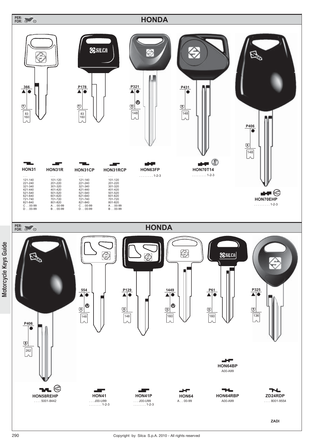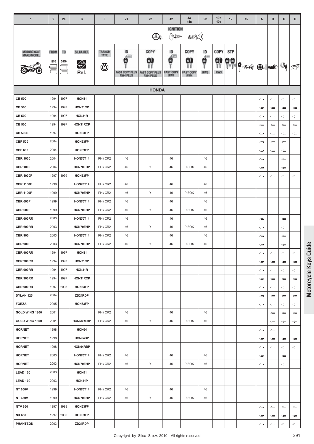| $\mathbf{1}$              | $\overline{2}$ | 2a             | $\mathbf{3}$         | 6              | 71                    | 72                    | 42                                                                                       | 43<br>44a        | 9 <sub>b</sub>                                         | 10 <sub>b</sub><br>10 <sub>c</sub> | 12         | 15                                                                                                                                                                                                                                                                                                                                                                                                          | Α                     | в                                   | $\mathbf{C}$                 | D                            |
|---------------------------|----------------|----------------|----------------------|----------------|-----------------------|-----------------------|------------------------------------------------------------------------------------------|------------------|--------------------------------------------------------|------------------------------------|------------|-------------------------------------------------------------------------------------------------------------------------------------------------------------------------------------------------------------------------------------------------------------------------------------------------------------------------------------------------------------------------------------------------------------|-----------------------|-------------------------------------|------------------------------|------------------------------|
|                           |                |                |                      |                |                       |                       | <b>IGNITION</b>                                                                          |                  |                                                        |                                    |            |                                                                                                                                                                                                                                                                                                                                                                                                             |                       |                                     |                              |                              |
|                           |                |                |                      |                |                       | O.                    | $\sum_{i=1}^{N} \sum_{j=1}^{N} \prod_{j=1}^{N} \mathbb{E}[\mathbf{1}_{j}]\mathbf{1}_{j}$ | E ((             |                                                        |                                    |            |                                                                                                                                                                                                                                                                                                                                                                                                             |                       |                                     |                              |                              |
| MOTORCYCLE<br>MAKE/MODEL  | <b>FROM</b>    | T <sub>0</sub> | SILCA REF.           | <b>TRANSP.</b> | ID                    | <b>COPY</b>           | ID                                                                                       | COPY             | ID                                                     | <b>COPY</b>                        | <b>STP</b> |                                                                                                                                                                                                                                                                                                                                                                                                             |                       |                                     |                              |                              |
|                           | 1995           | 2010           |                      | <b>TYPE</b>    | Æ<br>в                | 3                     | €<br>O                                                                                   | 91               | $\begin{matrix} \mathbf{e} \\ \mathbf{e} \end{matrix}$ | $\frac{1}{11}$                     |            |                                                                                                                                                                                                                                                                                                                                                                                                             |                       |                                     |                              |                              |
|                           |                |                | $\bigotimes$<br>Ref. | ্ৰ             | <b>FAST COPY PLUS</b> | <b>FAST COPY PLUS</b> | <b>FAST COPY</b>                                                                         | <b>FAST COPY</b> | RW3                                                    | RW3                                |            | $\begin{array}{ c c } \hline \rule{0pt}{12pt} \rule{0pt}{2pt} \rule{0pt}{2pt} \rule{0pt}{2pt} \rule{0pt}{2pt} \rule{0pt}{2pt} \rule{0pt}{2pt} \rule{0pt}{2pt} \rule{0pt}{2pt} \rule{0pt}{2pt} \rule{0pt}{2pt} \rule{0pt}{2pt} \rule{0pt}{2pt} \rule{0pt}{2pt} \rule{0pt}{2pt} \rule{0pt}{2pt} \rule{0pt}{2pt} \rule{0pt}{2pt} \rule{0pt}{2pt} \rule{0pt}{2pt} \rule{0pt}{2pt} \rule{0pt}{2pt} \rule{0pt}{2$ |                       |                                     | Q.                           | 戶                            |
|                           |                |                |                      |                | <b>RW4 PLUS</b>       | <b>RW4 PLUS</b>       | RW4                                                                                      | RW4              |                                                        |                                    |            |                                                                                                                                                                                                                                                                                                                                                                                                             |                       |                                     |                              |                              |
|                           |                |                |                      |                |                       | <b>HONDA</b>          |                                                                                          |                  |                                                        |                                    |            |                                                                                                                                                                                                                                                                                                                                                                                                             |                       |                                     |                              |                              |
| <b>CB 500</b>             | 1994           | 1997           | HON31                |                |                       |                       |                                                                                          |                  |                                                        |                                    |            |                                                                                                                                                                                                                                                                                                                                                                                                             | $\Leftarrow$          | $\Leftarrow$                        | $\Leftarrow$                 | $\Leftarrow$                 |
| <b>CB 500</b>             | 1994           | 1997           | HON31CP              |                |                       |                       |                                                                                          |                  |                                                        |                                    |            |                                                                                                                                                                                                                                                                                                                                                                                                             | $\Leftarrow$          | $\Leftarrow$                        | $\Leftarrow$                 | $\Leftarrow$                 |
| <b>CB 500</b>             | 1994           | 1997           | HON31R               |                |                       |                       |                                                                                          |                  |                                                        |                                    |            |                                                                                                                                                                                                                                                                                                                                                                                                             | $\Leftarrow$          | $\Leftarrow$                        | $\Leftarrow$                 | $\Leftarrow$                 |
| <b>CB 500</b>             | 1994           | 1997           | HON31RCP             |                |                       |                       |                                                                                          |                  |                                                        |                                    |            |                                                                                                                                                                                                                                                                                                                                                                                                             | $\Leftarrow$          | $\Leftarrow$                        | $\Leftarrow$                 | $\Leftarrow$                 |
| <b>CB 500S</b>            | 1997           |                | HON63FP              |                |                       |                       |                                                                                          |                  |                                                        |                                    |            |                                                                                                                                                                                                                                                                                                                                                                                                             | $\Leftarrow$          | $\Leftarrow$                        | $\Leftarrow$                 | $\Leftarrow$                 |
| <b>CBF 500</b>            | 2004           |                | HON63FP              |                |                       |                       |                                                                                          |                  |                                                        |                                    |            |                                                                                                                                                                                                                                                                                                                                                                                                             | ⇔                     | $\Leftarrow$                        | $\Leftarrow$                 |                              |
| <b>CBF 600</b>            | 2004           |                | HON63FP              |                |                       |                       |                                                                                          |                  |                                                        |                                    |            |                                                                                                                                                                                                                                                                                                                                                                                                             | $\Leftarrow$          | $\Leftarrow$                        | $\Leftarrow$                 |                              |
| <b>CBR 1000</b>           | 2004           |                | <b>HON70T14</b>      | PH/CR2         | 46                    |                       | 46                                                                                       |                  | 46                                                     |                                    |            |                                                                                                                                                                                                                                                                                                                                                                                                             | $\Leftarrow$          |                                     | ⇔                            |                              |
| <b>CBR 1000</b>           | 2004           |                | HON70EHP             | PH / CR2       | 46                    | Υ                     | 46                                                                                       | P-BOX            | 46                                                     |                                    |            |                                                                                                                                                                                                                                                                                                                                                                                                             | ⇐                     |                                     | $\Leftarrow$                 |                              |
| <b>CBR 1000F</b>          | 1997           | 1999           | HON63FP              |                |                       |                       |                                                                                          |                  |                                                        |                                    |            |                                                                                                                                                                                                                                                                                                                                                                                                             | $\Leftarrow$          | $\Leftarrow$                        | $\Leftarrow$                 | $\Leftarrow$                 |
| <b>CBR 1100F</b>          | 1999           |                | <b>HON70T14</b>      | PH/CR2         | 46                    |                       | 46                                                                                       |                  | 46                                                     |                                    |            |                                                                                                                                                                                                                                                                                                                                                                                                             |                       |                                     |                              |                              |
| <b>CBR 1100F</b>          | 1999           |                | HON70EHP             | PH / CR2       | 46                    | Υ                     | 46                                                                                       | P-BOX            | 46                                                     |                                    |            |                                                                                                                                                                                                                                                                                                                                                                                                             |                       |                                     |                              |                              |
| <b>CBR 600F</b>           | 1999           |                | <b>HON70T14</b>      | PH / CR2       | 46                    |                       | 46                                                                                       |                  | 46                                                     |                                    |            |                                                                                                                                                                                                                                                                                                                                                                                                             |                       |                                     |                              |                              |
| <b>CBR 600F</b>           | 1999           |                | HON70EHP             | PH / CR2       | 46                    | Υ                     | 46                                                                                       | P-BOX            | 46                                                     |                                    |            |                                                                                                                                                                                                                                                                                                                                                                                                             |                       |                                     |                              |                              |
| CBR 600RR                 | 2003           |                | <b>HON70T14</b>      | PH / CR2       | 46                    |                       | 46                                                                                       |                  | 46                                                     |                                    |            |                                                                                                                                                                                                                                                                                                                                                                                                             | ⇐                     |                                     | $\Leftarrow$                 |                              |
| CBR 600RR                 | 2003           |                | HON70EHP             | PH / CR2       | 46                    | Υ                     | 46                                                                                       | P-BOX            | 46                                                     |                                    |            |                                                                                                                                                                                                                                                                                                                                                                                                             | ⇔                     |                                     | ⇔                            |                              |
| <b>CBR 900</b>            | 2003           |                | <b>HON70T14</b>      | PH/CR2         | 46                    |                       | 46                                                                                       |                  | 46                                                     |                                    |            |                                                                                                                                                                                                                                                                                                                                                                                                             | ⇐                     |                                     | $\Leftarrow$                 |                              |
| <b>CBR 900</b>            | 2003           |                | HON70EHP             | PH / CR2       | 46                    | Υ                     | 46                                                                                       | P-BOX            | 46                                                     |                                    |            |                                                                                                                                                                                                                                                                                                                                                                                                             | $\Leftarrow$          |                                     | $\Leftarrow$                 |                              |
| <b>CBR 900RR</b>          | 1994           | 1997           | HON31                |                |                       |                       |                                                                                          |                  |                                                        |                                    |            |                                                                                                                                                                                                                                                                                                                                                                                                             | $\Leftarrow$          | $\Leftarrow$                        | $\Leftarrow$                 | $\Leftarrow$                 |
| <b>CBR 900RR</b>          | 1994           | 1997           | HON31CP              |                |                       |                       |                                                                                          |                  |                                                        |                                    |            |                                                                                                                                                                                                                                                                                                                                                                                                             | $\Leftarrow$          | $\leftarrow$                        | $\Leftarrow$                 | ⇔                            |
| <b>CBR 900RR</b>          | 1994           | 1997           | HON31R               |                |                       |                       |                                                                                          |                  |                                                        |                                    |            |                                                                                                                                                                                                                                                                                                                                                                                                             | $\Leftarrow$          | $\Leftarrow$                        | $\Leftarrow$                 | $\Leftarrow$                 |
| <b>CBR 900RR</b>          | 1994           | 1997           | HON31RCP             |                |                       |                       |                                                                                          |                  |                                                        |                                    |            |                                                                                                                                                                                                                                                                                                                                                                                                             | $\Leftarrow$          | $\Leftarrow$                        | $\Leftarrow$                 | $\Leftarrow$                 |
| <b>CBR 900RR</b>          | 1997<br>2004   | 2003           | HON63FP              |                |                       |                       |                                                                                          |                  |                                                        |                                    |            |                                                                                                                                                                                                                                                                                                                                                                                                             | $\Leftarrow$          | $\qquad \qquad \Longleftrightarrow$ | $\Leftarrow$                 | $\Leftarrow$                 |
| DYLAN 125<br><b>FORZA</b> | 2005           |                | ZD24RDP<br>HON63FP   |                |                       |                       |                                                                                          |                  |                                                        |                                    |            |                                                                                                                                                                                                                                                                                                                                                                                                             | $\Leftarrow$          | $\leftarrow$                        | $\Leftarrow$                 | $\Leftarrow$                 |
| GOLD WING 1800            | 2001           |                |                      | PH/CR2         | 46                    |                       | 46                                                                                       |                  | 46                                                     |                                    |            |                                                                                                                                                                                                                                                                                                                                                                                                             | $\Leftarrow$          | $\Leftarrow$                        | $\Leftarrow$                 | $\Leftarrow$                 |
| GOLD WING 1800            | 2001           |                | HON58REHP            | PH/CR2         | 46                    | Υ                     | 46                                                                                       | P-BOX            | 46                                                     |                                    |            |                                                                                                                                                                                                                                                                                                                                                                                                             |                       | $\Leftarrow$<br>$\Leftarrow$        | $\Leftarrow$<br>$\Leftarrow$ | $\Leftarrow$<br>$\Leftarrow$ |
| <b>HORNET</b>             | 1998           |                | HON64                |                |                       |                       |                                                                                          |                  |                                                        |                                    |            |                                                                                                                                                                                                                                                                                                                                                                                                             | $\Longleftrightarrow$ | $\Leftarrow$                        |                              |                              |
| <b>HORNET</b>             | 1998           |                | HON64BP              |                |                       |                       |                                                                                          |                  |                                                        |                                    |            |                                                                                                                                                                                                                                                                                                                                                                                                             | $\Leftarrow$          | $\Leftarrow$                        | $\Leftarrow$                 | $\Leftarrow$                 |
| <b>HORNET</b>             | 1998           |                | HON64RBP             |                |                       |                       |                                                                                          |                  |                                                        |                                    |            |                                                                                                                                                                                                                                                                                                                                                                                                             | $\Leftarrow$          | $\Leftarrow$                        | $\Leftarrow$                 | $\Leftarrow$                 |
| <b>HORNET</b>             | 2003           |                | <b>HON70T14</b>      | PH/CR2         | 46                    |                       | 46                                                                                       |                  | 46                                                     |                                    |            |                                                                                                                                                                                                                                                                                                                                                                                                             | $\Leftarrow$          |                                     | $\Leftarrow$                 |                              |
| <b>HORNET</b>             | 2003           |                | HON70EHP             | PH/CR2         | 46                    | Υ                     | 46                                                                                       | P-BOX            | 46                                                     |                                    |            |                                                                                                                                                                                                                                                                                                                                                                                                             | $\Leftarrow$          |                                     | ⇔                            |                              |
| LEAD 100                  | 2003           |                | HON41                |                |                       |                       |                                                                                          |                  |                                                        |                                    |            |                                                                                                                                                                                                                                                                                                                                                                                                             |                       |                                     |                              |                              |
| LEAD 100                  | 2003           |                | HON41P               |                |                       |                       |                                                                                          |                  |                                                        |                                    |            |                                                                                                                                                                                                                                                                                                                                                                                                             |                       |                                     |                              |                              |
| <b>NT 650V</b>            | 1999           |                | <b>HON70T14</b>      | PH/CR2         | 46                    |                       | 46                                                                                       |                  | 46                                                     |                                    |            |                                                                                                                                                                                                                                                                                                                                                                                                             |                       |                                     |                              |                              |
| <b>NT 650V</b>            | 1999           |                | HON70EHP             | PH / CR2       | 46                    | Υ                     | 46                                                                                       | P-BOX            | 46                                                     |                                    |            |                                                                                                                                                                                                                                                                                                                                                                                                             |                       |                                     |                              |                              |
| <b>NTV 650</b>            | 1997           | 1998           | HON63FP              |                |                       |                       |                                                                                          |                  |                                                        |                                    |            |                                                                                                                                                                                                                                                                                                                                                                                                             | $\Leftarrow$          | $\Leftarrow$                        | $\Leftarrow$                 | $\Leftarrow$                 |
| <b>NX 650</b>             | 1997           | 2000           | HON63FP              |                |                       |                       |                                                                                          |                  |                                                        |                                    |            |                                                                                                                                                                                                                                                                                                                                                                                                             | $\Leftarrow$          | $\Leftarrow$                        | $\Leftarrow$                 | $\Leftarrow$                 |
| <b>PHANTEON</b>           | 2003           |                | ZD24RDP              |                |                       |                       |                                                                                          |                  |                                                        |                                    |            |                                                                                                                                                                                                                                                                                                                                                                                                             | ⇔                     | $\Leftarrow$                        | $\Leftarrow$                 | $\Leftarrow$                 |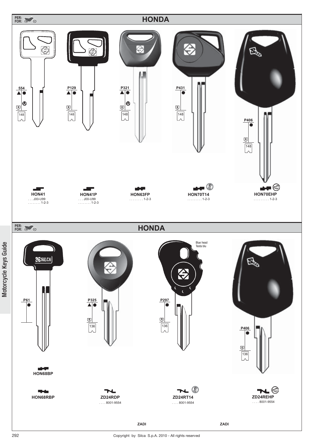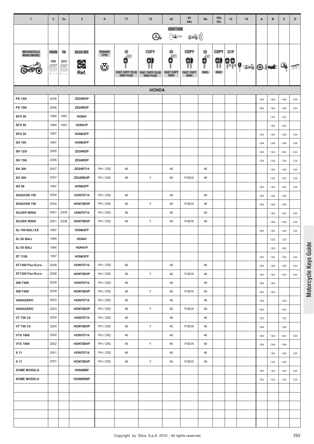| $\mathbf{1}$                 | $\overline{2}$            | 2a                     | $\mathbf{3}$                      | $\bf 6$                               | $71$                                                      | $72\,$                                                       | 42                                                                         | 43<br>44a                                    | 9 <sub>b</sub>                                                      | 10 <sub>b</sub><br>10 <sub>c</sub> | 12         | 15                               | A                     | в                            | $\mathbf{C}$                 | D                                   |
|------------------------------|---------------------------|------------------------|-----------------------------------|---------------------------------------|-----------------------------------------------------------|--------------------------------------------------------------|----------------------------------------------------------------------------|----------------------------------------------|---------------------------------------------------------------------|------------------------------------|------------|----------------------------------|-----------------------|------------------------------|------------------------------|-------------------------------------|
|                              |                           |                        |                                   |                                       |                                                           | $\mathcal{O}_c$                                              | <b>IGNITION</b><br>$\sum_{i=1}^{N} \prod_{j=1}^{N} \mathbb{E}[\mathbf{1}]$ | ((( یک                                       |                                                                     |                                    |            |                                  |                       |                              |                              |                                     |
| MOTORCYCLE<br>MAKE/MODEL     | <b>FROM</b><br>1995<br>÷. | T <sub>0</sub><br>2010 | SILCA REF.<br>$\bigoplus$<br>Ref. | <b>TRANSP.</b><br><b>TYPE</b><br>্ত্য | ID<br>łШ<br>в<br><b>FAST COPY PLUS</b><br><b>RW4 PLUS</b> | <b>COPY</b><br>9<br><b>FAST COPY PLUS</b><br><b>RW4 PLUS</b> | ID<br>€₩<br>0<br><b>FAST COPY</b><br>RW4                                   | <b>COPY</b><br>91<br><b>FAST COPY</b><br>RW4 | ID<br>$\begin{matrix} \mathbf{e} \\ \mathbf{e} \end{matrix}$<br>RW3 | <b>COPY</b><br>9)<br>11<br>RW3     | <b>STP</b> | $ 99 $ $\frac{1}{9}$ and $ 0.1 $ |                       |                              | Q.                           | ☞                                   |
|                              |                           |                        |                                   |                                       |                                                           | <b>HONDA</b>                                                 |                                                                            |                                              |                                                                     |                                    |            |                                  |                       |                              |                              |                                     |
| <b>PS 125i</b>               | 2006                      |                        | ZD24RDP                           |                                       |                                                           |                                                              |                                                                            |                                              |                                                                     |                                    |            |                                  | $\Leftarrow$          | $\Leftarrow$                 | $\Leftarrow$                 | $\Leftarrow$                        |
| <b>PS 150i</b>               | 2006                      |                        | ZD24RDP                           |                                       |                                                           |                                                              |                                                                            |                                              |                                                                     |                                    |            |                                  | $\Leftarrow$          | $\Leftarrow$                 | $\Leftarrow$                 | $\Leftarrow$                        |
| <b>SFX 50</b>                | 1994                      | 1997                   | HON41                             |                                       |                                                           |                                                              |                                                                            |                                              |                                                                     |                                    |            |                                  |                       | $\Leftarrow$                 | $\Leftarrow$                 |                                     |
| <b>SFX 50</b>                | 1994                      | 1997                   | HON41P                            |                                       |                                                           |                                                              |                                                                            |                                              |                                                                     |                                    |            |                                  |                       | $\Leftarrow$                 | $\Leftarrow$                 |                                     |
| <b>SFX 50</b>                | 1997                      |                        | HON63FP                           |                                       |                                                           |                                                              |                                                                            |                                              |                                                                     |                                    |            |                                  | $\Leftarrow$          | $\Leftarrow$                 | $\Leftarrow$                 | $\Leftarrow$                        |
| <b>SH 100</b>                | 1997                      |                        | HON63FP                           |                                       |                                                           |                                                              |                                                                            |                                              |                                                                     |                                    |            |                                  | $\Leftarrow$          | $\Leftarrow$                 | $\Leftarrow$                 | $\Leftarrow$                        |
| <b>SH 125i</b>               | 2005                      |                        | ZD24RDP                           |                                       |                                                           |                                                              |                                                                            |                                              |                                                                     |                                    |            |                                  | $\Leftarrow$          | $\Leftarrow$                 | $\Leftarrow$                 | $\Leftarrow$                        |
| <b>SH 150i</b>               | 2006                      |                        | ZD24RDP                           |                                       |                                                           |                                                              |                                                                            |                                              |                                                                     |                                    |            |                                  | ⇔                     | $\Leftarrow$                 | $\Leftarrow$                 | $\Leftarrow$                        |
| <b>SH 300</b>                | 2007                      |                        | ZD24RT14                          | PH/CR2                                | 46                                                        |                                                              | 46                                                                         |                                              | 46                                                                  |                                    |            |                                  |                       | ⇔                            | ⇔                            | $\Leftarrow$                        |
| <b>SH 300</b>                | 2007                      |                        | ZD24REHP                          | PH / CR2                              | 46                                                        | Υ                                                            | 46                                                                         | P-BOX                                        | 46                                                                  |                                    |            |                                  |                       | $\Leftarrow$                 | $\Leftarrow$                 | $\Leftarrow$                        |
| <b>SH 50</b>                 | 1997                      |                        | HON63FP                           |                                       |                                                           |                                                              |                                                                            |                                              |                                                                     |                                    |            |                                  | $\Leftarrow$          | $\Leftarrow$                 | $\Leftarrow$                 | $\Leftarrow$                        |
| SHADOW 750                   | 2004                      |                        | <b>HON70T14</b>                   | PH/CR2                                | 46                                                        |                                                              | 46                                                                         |                                              | 46                                                                  |                                    |            |                                  | $\Leftarrow$          | $\Leftarrow$                 | $\Leftarrow$                 |                                     |
| SHADOW 750                   | 2004                      |                        | HON70EHP                          | PH / CR2                              | 46                                                        | Υ                                                            | 46                                                                         | P-BOX                                        | 46                                                                  |                                    |            |                                  | $\Leftarrow$          | ⇔                            | $\Leftarrow$                 |                                     |
| <b>SILVER WING</b>           | 2001                      | 2008                   | <b>HON70T14</b>                   | PH/CR2                                | 46                                                        |                                                              | 46                                                                         |                                              | 46                                                                  |                                    |            |                                  |                       | $\Leftarrow$                 | $\Leftarrow$                 | $\Leftarrow$                        |
| <b>SILVER WING</b>           | 2001<br>1997              | 2008                   | HON70EHP<br>HON63FP               | PH / CR2                              | 46                                                        | Υ                                                            | 46                                                                         | P-BOX                                        | 46                                                                  |                                    |            |                                  |                       | $\Leftarrow$                 | $\Leftarrow$                 | $\Leftarrow$                        |
| SJ 100 BALI EX<br>SJ 50 BALI | 1994                      |                        | <b>HON41</b>                      |                                       |                                                           |                                                              |                                                                            |                                              |                                                                     |                                    |            |                                  | $\Leftarrow$          | $\Leftarrow$                 | $\Leftarrow$                 | $\Leftarrow$                        |
| SJ 50 BALI                   | 1994                      |                        | HON41P                            |                                       |                                                           |                                                              |                                                                            |                                              |                                                                     |                                    |            |                                  |                       | ⇐                            | $\Leftarrow$                 |                                     |
| ST 1100                      | 1997                      |                        | HON63FP                           |                                       |                                                           |                                                              |                                                                            |                                              |                                                                     |                                    |            |                                  | $\Leftarrow$          | $\Leftarrow$<br>$\Leftarrow$ | $\Leftarrow$<br>$\Leftarrow$ | $\Leftarrow$                        |
| ST1300 Pan-Euro-             | 2008                      |                        | <b>HON70T14</b>                   | PH/CR2                                | 46                                                        |                                                              | 46                                                                         |                                              | 46                                                                  |                                    |            |                                  | $\Leftarrow$          | $\Leftarrow$                 | $\Leftarrow$                 | $\Leftarrow$                        |
| ST1300 Pan-Euro-             | 2008                      |                        | HON70EHP                          | PH/CR2                                | 46                                                        | Υ                                                            | 46                                                                         | P-BOX                                        | 46                                                                  |                                    |            |                                  | $\Leftarrow$          | $\Leftarrow$                 | $\Leftarrow$                 | $\iff$                              |
| <b>SW-T400</b>               | 2009                      |                        | <b>HON70T14</b>                   | PH/CR2                                | 46                                                        |                                                              | 46                                                                         |                                              | 46                                                                  |                                    |            |                                  | $\Leftarrow$          | $\Leftarrow$                 |                              |                                     |
| <b>SW-T400</b>               | 2009                      |                        | HON70EHP                          | PH/CR2                                | 46                                                        | Y                                                            | 46                                                                         | P-BOX                                        | 46                                                                  |                                    |            |                                  | $\Leftarrow$          | $\Leftarrow$                 |                              |                                     |
| <b>VARADERO</b>              | 2003                      |                        | <b>HON70T14</b>                   | PH/CR2                                | 46                                                        |                                                              | 46                                                                         |                                              | 46                                                                  |                                    |            |                                  | $\Longleftrightarrow$ |                              | $\Leftarrow$                 |                                     |
| VARADERO                     | 2003                      |                        | HON70EHP                          | PH/CR2                                | 46                                                        | Υ                                                            | 46                                                                         | P-BOX                                        | 46                                                                  |                                    |            |                                  | $\Leftarrow$          |                              | $\Leftarrow$                 |                                     |
| VT 750 C4                    | 2004                      |                        | <b>HON70T14</b>                   | PH/CR2                                | 46                                                        |                                                              | 46                                                                         |                                              | 46                                                                  |                                    |            |                                  | $\Leftarrow$          |                              | $\Leftarrow$                 |                                     |
| VT 750 C4                    | 2004                      |                        | HON70EHP                          | PH/CR2                                | 46                                                        | Υ                                                            | 46                                                                         | P-BOX                                        | 46                                                                  |                                    |            |                                  | $\Leftarrow$          |                              | $\Leftarrow$                 |                                     |
| <b>VTX 1800</b>              | 2002                      |                        | <b>HON70T14</b>                   | PH/CR2                                | 46                                                        |                                                              | 46                                                                         |                                              | 46                                                                  |                                    |            |                                  | $\Leftarrow$          | $\leftarrow$                 | $\Leftarrow$                 | $\Leftarrow$                        |
| <b>VTX 1800</b>              | 2002                      |                        | HON70EHP                          | PH / CR2                              | 46                                                        | Υ                                                            | 46                                                                         | P-BOX                                        | 46                                                                  |                                    |            |                                  | $\Leftarrow$          | $\Leftarrow$                 | $\Leftarrow$                 |                                     |
| X 11                         | 2001                      |                        | <b>HON70T14</b>                   | PH/CR2                                | 46                                                        |                                                              | 46                                                                         |                                              | 46                                                                  |                                    |            |                                  |                       | $\Leftarrow$                 | $\Leftarrow$                 | $\Leftarrow$                        |
| X 11                         | 2001                      |                        | HON70EHP                          | PH / CR2                              | 46                                                        | Y                                                            | 46                                                                         | P-BOX                                        | 46                                                                  |                                    |            |                                  |                       | $\Leftarrow$                 | $\Leftarrow$                 |                                     |
| <b>SOME MODELS</b>           |                           |                        | HON68BP                           |                                       |                                                           |                                                              |                                                                            |                                              |                                                                     |                                    |            |                                  | $\Longleftrightarrow$ | $\Leftarrow$                 | $\Leftarrow$                 | $\qquad \qquad \Longleftrightarrow$ |
| <b>SOME MODELS</b>           |                           |                        | HON68RBP                          |                                       |                                                           |                                                              |                                                                            |                                              |                                                                     |                                    |            |                                  | $\Leftarrow$          | $\Leftarrow$                 | $\Leftarrow$                 | $\Leftarrow$                        |
|                              |                           |                        |                                   |                                       |                                                           |                                                              |                                                                            |                                              |                                                                     |                                    |            |                                  |                       |                              |                              |                                     |
|                              |                           |                        |                                   |                                       |                                                           |                                                              |                                                                            |                                              |                                                                     |                                    |            |                                  |                       |                              |                              |                                     |
|                              |                           |                        |                                   |                                       |                                                           |                                                              |                                                                            |                                              |                                                                     |                                    |            |                                  |                       |                              |                              |                                     |
|                              |                           |                        |                                   |                                       |                                                           |                                                              |                                                                            |                                              |                                                                     |                                    |            |                                  |                       |                              |                              |                                     |
|                              |                           |                        |                                   |                                       |                                                           |                                                              |                                                                            |                                              |                                                                     |                                    |            |                                  |                       |                              |                              |                                     |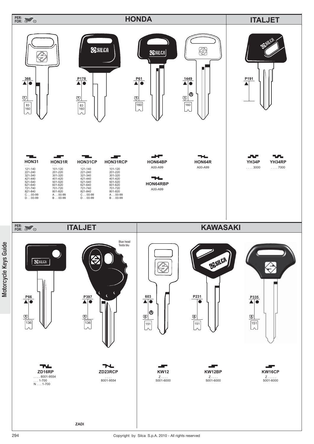

Motorcycle Keys Guide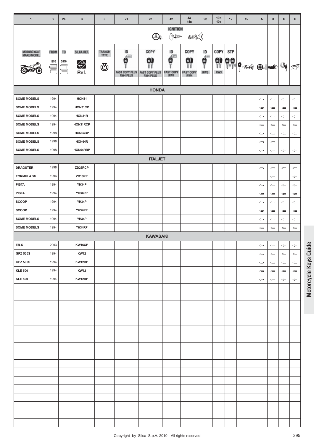| <b>IGNITION</b><br>$\sum_{i=1}^{N} \sum_{j=1}^{N} \prod_{j=1}^{N} \mathbb{E}[\mathbb{E}[\mathbb{E}[\mathbb{E}[\mathbb{E}[\mathbb{E}[\mathbb{E}[\mathbb{E}[\mathbb{E}[\mathbb{E}[\mathbb{E}[\mathbb{E}[\mathbb{E}[\mathbb{E}[\mathbb{E}[\mathbb{E}[\mathbb{E}[\mathbb{E}[\mathbb{E}[\mathbb{E}[\mathbb{E}[\mathbb{E}[\mathbb{E}[\mathbb{E}[\mathbb{E}[\mathbb{E}[\mathbb{E}[\mathbb{E}[\mathbb{E}[\mathbb{E}[\mathbb{E}[\mathbb{$<br>((( کی<br>$\bigcirc$<br>COPY<br>ID<br>COPY<br>ID<br>COPY<br><b>STP</b><br><b>TRANSP.</b><br>ID<br>SILCA REF.<br>MOTORCYCLE<br>MAKE/MODEL<br><b>FROM</b><br>T <sub>0</sub><br><b>TYPE</b><br>Æ<br>$\phi$<br>FWM<br>9<br>g<br>0)<br><b>9)</b><br>$ P $ $ P $ and $ P $<br>в<br>1995<br>⇔<br>2010<br>$\mathbb{Q}_{p}$<br>ভ্যূ<br>画<br>$\equiv$<br>$\equiv$<br>$\equiv$<br>Ref.<br>RW3<br><b>FAST COPY PLUS</b><br><b>FAST COPY PLUS</b><br><b>FAST COPY</b><br>RW3<br><b>FAST COPY</b><br>RW4<br><b>RW4 PLUS</b><br><b>RW4 PLUS</b><br>RW4<br><b>HONDA</b><br>1994<br><b>SOME MODELS</b><br>HON31<br>$\Longleftrightarrow$<br>$\qquad \qquad \Longleftrightarrow$<br>$\Leftarrow$<br>$\Leftarrow$<br><b>SOME MODELS</b><br>1994<br>HON31CP<br>$\Leftarrow$<br>$\Leftarrow$<br>$\Leftarrow$<br>$\Leftarrow$<br><b>SOME MODELS</b><br>1994<br>HON31R<br>$\Leftarrow$<br>$\Leftarrow$<br>$\Leftarrow$<br>$\Leftarrow$<br>1994<br>HON31RCP<br><b>SOME MODELS</b><br>$\Leftarrow$<br>$\Leftarrow$<br>$\Leftarrow$<br>$\Leftarrow$<br><b>SOME MODELS</b><br>1998<br>HON64BP<br>$\Leftarrow$<br>$\Leftarrow$<br>$\Leftarrow$<br>$\Leftarrow$<br><b>SOME MODELS</b><br>1998<br>HON64R<br>$\Leftarrow$<br>$\Leftarrow$<br><b>SOME MODELS</b><br>1998<br>HON64RBP<br>$\Leftarrow$<br>$\Leftarrow$<br>$\Leftarrow$<br>$\Leftarrow$<br><b>ITALJET</b><br>1998<br><b>DRAGSTER</b><br>ZD23RCP<br>$\Leftarrow$<br>$\Longleftrightarrow$<br>$\Leftarrow$<br>$\Leftarrow$ | $\mathbf{1}$ | $\overline{2}$ | 2a | $\mathbf{3}$ | 6 | 71 | 72 | 42 | 43<br>44a | 9 <sub>b</sub> | 10 <sub>b</sub><br>10 <sub>c</sub> | 12 | 15 | Α | B | c | D |
|-------------------------------------------------------------------------------------------------------------------------------------------------------------------------------------------------------------------------------------------------------------------------------------------------------------------------------------------------------------------------------------------------------------------------------------------------------------------------------------------------------------------------------------------------------------------------------------------------------------------------------------------------------------------------------------------------------------------------------------------------------------------------------------------------------------------------------------------------------------------------------------------------------------------------------------------------------------------------------------------------------------------------------------------------------------------------------------------------------------------------------------------------------------------------------------------------------------------------------------------------------------------------------------------------------------------------------------------------------------------------------------------------------------------------------------------------------------------------------------------------------------------------------------------------------------------------------------------------------------------------------------------------------------------------------------------------------------------------------------------------------------------------------------------------------------------------------------------------------------------------------------------|--------------|----------------|----|--------------|---|----|----|----|-----------|----------------|------------------------------------|----|----|---|---|---|---|
|                                                                                                                                                                                                                                                                                                                                                                                                                                                                                                                                                                                                                                                                                                                                                                                                                                                                                                                                                                                                                                                                                                                                                                                                                                                                                                                                                                                                                                                                                                                                                                                                                                                                                                                                                                                                                                                                                           |              |                |    |              |   |    |    |    |           |                |                                    |    |    |   |   |   |   |
|                                                                                                                                                                                                                                                                                                                                                                                                                                                                                                                                                                                                                                                                                                                                                                                                                                                                                                                                                                                                                                                                                                                                                                                                                                                                                                                                                                                                                                                                                                                                                                                                                                                                                                                                                                                                                                                                                           |              |                |    |              |   |    |    |    |           |                |                                    |    |    |   |   |   |   |
|                                                                                                                                                                                                                                                                                                                                                                                                                                                                                                                                                                                                                                                                                                                                                                                                                                                                                                                                                                                                                                                                                                                                                                                                                                                                                                                                                                                                                                                                                                                                                                                                                                                                                                                                                                                                                                                                                           |              |                |    |              |   |    |    |    |           |                |                                    |    |    |   |   |   |   |
|                                                                                                                                                                                                                                                                                                                                                                                                                                                                                                                                                                                                                                                                                                                                                                                                                                                                                                                                                                                                                                                                                                                                                                                                                                                                                                                                                                                                                                                                                                                                                                                                                                                                                                                                                                                                                                                                                           |              |                |    |              |   |    |    |    |           |                |                                    |    |    |   |   |   |   |
|                                                                                                                                                                                                                                                                                                                                                                                                                                                                                                                                                                                                                                                                                                                                                                                                                                                                                                                                                                                                                                                                                                                                                                                                                                                                                                                                                                                                                                                                                                                                                                                                                                                                                                                                                                                                                                                                                           |              |                |    |              |   |    |    |    |           |                |                                    |    |    |   |   |   |   |
|                                                                                                                                                                                                                                                                                                                                                                                                                                                                                                                                                                                                                                                                                                                                                                                                                                                                                                                                                                                                                                                                                                                                                                                                                                                                                                                                                                                                                                                                                                                                                                                                                                                                                                                                                                                                                                                                                           |              |                |    |              |   |    |    |    |           |                |                                    |    |    |   |   |   |   |
|                                                                                                                                                                                                                                                                                                                                                                                                                                                                                                                                                                                                                                                                                                                                                                                                                                                                                                                                                                                                                                                                                                                                                                                                                                                                                                                                                                                                                                                                                                                                                                                                                                                                                                                                                                                                                                                                                           |              |                |    |              |   |    |    |    |           |                |                                    |    |    |   |   |   |   |
|                                                                                                                                                                                                                                                                                                                                                                                                                                                                                                                                                                                                                                                                                                                                                                                                                                                                                                                                                                                                                                                                                                                                                                                                                                                                                                                                                                                                                                                                                                                                                                                                                                                                                                                                                                                                                                                                                           |              |                |    |              |   |    |    |    |           |                |                                    |    |    |   |   |   |   |
|                                                                                                                                                                                                                                                                                                                                                                                                                                                                                                                                                                                                                                                                                                                                                                                                                                                                                                                                                                                                                                                                                                                                                                                                                                                                                                                                                                                                                                                                                                                                                                                                                                                                                                                                                                                                                                                                                           |              |                |    |              |   |    |    |    |           |                |                                    |    |    |   |   |   |   |
|                                                                                                                                                                                                                                                                                                                                                                                                                                                                                                                                                                                                                                                                                                                                                                                                                                                                                                                                                                                                                                                                                                                                                                                                                                                                                                                                                                                                                                                                                                                                                                                                                                                                                                                                                                                                                                                                                           |              |                |    |              |   |    |    |    |           |                |                                    |    |    |   |   |   |   |
|                                                                                                                                                                                                                                                                                                                                                                                                                                                                                                                                                                                                                                                                                                                                                                                                                                                                                                                                                                                                                                                                                                                                                                                                                                                                                                                                                                                                                                                                                                                                                                                                                                                                                                                                                                                                                                                                                           |              |                |    |              |   |    |    |    |           |                |                                    |    |    |   |   |   |   |
|                                                                                                                                                                                                                                                                                                                                                                                                                                                                                                                                                                                                                                                                                                                                                                                                                                                                                                                                                                                                                                                                                                                                                                                                                                                                                                                                                                                                                                                                                                                                                                                                                                                                                                                                                                                                                                                                                           |              |                |    |              |   |    |    |    |           |                |                                    |    |    |   |   |   |   |
| <b>FORMULA 50</b><br>1996<br>ZD16RP<br>$\Leftarrow$<br>$\Leftarrow$                                                                                                                                                                                                                                                                                                                                                                                                                                                                                                                                                                                                                                                                                                                                                                                                                                                                                                                                                                                                                                                                                                                                                                                                                                                                                                                                                                                                                                                                                                                                                                                                                                                                                                                                                                                                                       |              |                |    |              |   |    |    |    |           |                |                                    |    |    |   |   |   |   |
| <b>PISTA</b><br>1994<br>YH34P<br>$\Leftarrow$<br>$\Leftarrow$<br>$\Leftarrow$<br>$\Leftarrow$                                                                                                                                                                                                                                                                                                                                                                                                                                                                                                                                                                                                                                                                                                                                                                                                                                                                                                                                                                                                                                                                                                                                                                                                                                                                                                                                                                                                                                                                                                                                                                                                                                                                                                                                                                                             |              |                |    |              |   |    |    |    |           |                |                                    |    |    |   |   |   |   |
| <b>PISTA</b><br>1994<br>YH34RP<br>$\Leftarrow$<br>$\Leftarrow$<br>$\Leftarrow$<br>$\Leftarrow$                                                                                                                                                                                                                                                                                                                                                                                                                                                                                                                                                                                                                                                                                                                                                                                                                                                                                                                                                                                                                                                                                                                                                                                                                                                                                                                                                                                                                                                                                                                                                                                                                                                                                                                                                                                            |              |                |    |              |   |    |    |    |           |                |                                    |    |    |   |   |   |   |
| SCOOP<br>1994<br>YH34P<br>$\Leftarrow$<br>$\Leftarrow$<br>$\Leftarrow$<br>$\Leftarrow$                                                                                                                                                                                                                                                                                                                                                                                                                                                                                                                                                                                                                                                                                                                                                                                                                                                                                                                                                                                                                                                                                                                                                                                                                                                                                                                                                                                                                                                                                                                                                                                                                                                                                                                                                                                                    |              |                |    |              |   |    |    |    |           |                |                                    |    |    |   |   |   |   |
| SCOOP<br>1994<br>YH34RP<br>$\Leftarrow$<br>$\Leftarrow$<br>$\Leftarrow$<br>$\Leftarrow$                                                                                                                                                                                                                                                                                                                                                                                                                                                                                                                                                                                                                                                                                                                                                                                                                                                                                                                                                                                                                                                                                                                                                                                                                                                                                                                                                                                                                                                                                                                                                                                                                                                                                                                                                                                                   |              |                |    |              |   |    |    |    |           |                |                                    |    |    |   |   |   |   |
| <b>SOME MODELS</b><br>1994<br>YH34P<br>$\Leftarrow$<br>$\Leftarrow$<br>$\Leftarrow$<br>$\Leftarrow$                                                                                                                                                                                                                                                                                                                                                                                                                                                                                                                                                                                                                                                                                                                                                                                                                                                                                                                                                                                                                                                                                                                                                                                                                                                                                                                                                                                                                                                                                                                                                                                                                                                                                                                                                                                       |              |                |    |              |   |    |    |    |           |                |                                    |    |    |   |   |   |   |
| 1994<br>YH34RP<br><b>SOME MODELS</b><br>$\Leftarrow$<br>$\Leftarrow$<br>$\Longleftrightarrow$<br>$\Leftarrow$                                                                                                                                                                                                                                                                                                                                                                                                                                                                                                                                                                                                                                                                                                                                                                                                                                                                                                                                                                                                                                                                                                                                                                                                                                                                                                                                                                                                                                                                                                                                                                                                                                                                                                                                                                             |              |                |    |              |   |    |    |    |           |                |                                    |    |    |   |   |   |   |
| <b>KAWASAKI</b>                                                                                                                                                                                                                                                                                                                                                                                                                                                                                                                                                                                                                                                                                                                                                                                                                                                                                                                                                                                                                                                                                                                                                                                                                                                                                                                                                                                                                                                                                                                                                                                                                                                                                                                                                                                                                                                                           |              |                |    |              |   |    |    |    |           |                |                                    |    |    |   |   |   |   |
| 2003<br><b>ER-5</b><br>KW16CP<br>$\Leftarrow$<br>$\Leftarrow$<br>$\Leftarrow$<br>$\Leftarrow$<br>1994                                                                                                                                                                                                                                                                                                                                                                                                                                                                                                                                                                                                                                                                                                                                                                                                                                                                                                                                                                                                                                                                                                                                                                                                                                                                                                                                                                                                                                                                                                                                                                                                                                                                                                                                                                                     |              |                |    |              |   |    |    |    |           |                |                                    |    |    |   |   |   |   |
| <b>GPZ 500S</b><br><b>KW12</b><br>$\Leftarrow$<br>$\Leftarrow$<br>$\Leftarrow$<br>$\Leftarrow$<br><b>GPZ 500S</b><br>1994<br>KW12BP                                                                                                                                                                                                                                                                                                                                                                                                                                                                                                                                                                                                                                                                                                                                                                                                                                                                                                                                                                                                                                                                                                                                                                                                                                                                                                                                                                                                                                                                                                                                                                                                                                                                                                                                                       |              |                |    |              |   |    |    |    |           |                |                                    |    |    |   |   |   |   |
| $\Leftarrow$<br>$\Leftarrow$<br>$\Leftarrow$<br>$\Leftarrow$<br>1994<br><b>KLE 500</b><br><b>KW12</b><br>$\Leftarrow$<br>$\Leftarrow$<br>$\Leftarrow$<br>$\Leftarrow$                                                                                                                                                                                                                                                                                                                                                                                                                                                                                                                                                                                                                                                                                                                                                                                                                                                                                                                                                                                                                                                                                                                                                                                                                                                                                                                                                                                                                                                                                                                                                                                                                                                                                                                     |              |                |    |              |   |    |    |    |           |                |                                    |    |    |   |   |   |   |
| <b>KLE 500</b><br>1994<br>KW12BP<br>$\Leftarrow$<br>$\Leftarrow$<br>$\Leftarrow$<br>$\Leftarrow$                                                                                                                                                                                                                                                                                                                                                                                                                                                                                                                                                                                                                                                                                                                                                                                                                                                                                                                                                                                                                                                                                                                                                                                                                                                                                                                                                                                                                                                                                                                                                                                                                                                                                                                                                                                          |              |                |    |              |   |    |    |    |           |                |                                    |    |    |   |   |   |   |
|                                                                                                                                                                                                                                                                                                                                                                                                                                                                                                                                                                                                                                                                                                                                                                                                                                                                                                                                                                                                                                                                                                                                                                                                                                                                                                                                                                                                                                                                                                                                                                                                                                                                                                                                                                                                                                                                                           |              |                |    |              |   |    |    |    |           |                |                                    |    |    |   |   |   |   |
|                                                                                                                                                                                                                                                                                                                                                                                                                                                                                                                                                                                                                                                                                                                                                                                                                                                                                                                                                                                                                                                                                                                                                                                                                                                                                                                                                                                                                                                                                                                                                                                                                                                                                                                                                                                                                                                                                           |              |                |    |              |   |    |    |    |           |                |                                    |    |    |   |   |   |   |
|                                                                                                                                                                                                                                                                                                                                                                                                                                                                                                                                                                                                                                                                                                                                                                                                                                                                                                                                                                                                                                                                                                                                                                                                                                                                                                                                                                                                                                                                                                                                                                                                                                                                                                                                                                                                                                                                                           |              |                |    |              |   |    |    |    |           |                |                                    |    |    |   |   |   |   |
|                                                                                                                                                                                                                                                                                                                                                                                                                                                                                                                                                                                                                                                                                                                                                                                                                                                                                                                                                                                                                                                                                                                                                                                                                                                                                                                                                                                                                                                                                                                                                                                                                                                                                                                                                                                                                                                                                           |              |                |    |              |   |    |    |    |           |                |                                    |    |    |   |   |   |   |
|                                                                                                                                                                                                                                                                                                                                                                                                                                                                                                                                                                                                                                                                                                                                                                                                                                                                                                                                                                                                                                                                                                                                                                                                                                                                                                                                                                                                                                                                                                                                                                                                                                                                                                                                                                                                                                                                                           |              |                |    |              |   |    |    |    |           |                |                                    |    |    |   |   |   |   |
|                                                                                                                                                                                                                                                                                                                                                                                                                                                                                                                                                                                                                                                                                                                                                                                                                                                                                                                                                                                                                                                                                                                                                                                                                                                                                                                                                                                                                                                                                                                                                                                                                                                                                                                                                                                                                                                                                           |              |                |    |              |   |    |    |    |           |                |                                    |    |    |   |   |   |   |
|                                                                                                                                                                                                                                                                                                                                                                                                                                                                                                                                                                                                                                                                                                                                                                                                                                                                                                                                                                                                                                                                                                                                                                                                                                                                                                                                                                                                                                                                                                                                                                                                                                                                                                                                                                                                                                                                                           |              |                |    |              |   |    |    |    |           |                |                                    |    |    |   |   |   |   |
|                                                                                                                                                                                                                                                                                                                                                                                                                                                                                                                                                                                                                                                                                                                                                                                                                                                                                                                                                                                                                                                                                                                                                                                                                                                                                                                                                                                                                                                                                                                                                                                                                                                                                                                                                                                                                                                                                           |              |                |    |              |   |    |    |    |           |                |                                    |    |    |   |   |   |   |
|                                                                                                                                                                                                                                                                                                                                                                                                                                                                                                                                                                                                                                                                                                                                                                                                                                                                                                                                                                                                                                                                                                                                                                                                                                                                                                                                                                                                                                                                                                                                                                                                                                                                                                                                                                                                                                                                                           |              |                |    |              |   |    |    |    |           |                |                                    |    |    |   |   |   |   |
|                                                                                                                                                                                                                                                                                                                                                                                                                                                                                                                                                                                                                                                                                                                                                                                                                                                                                                                                                                                                                                                                                                                                                                                                                                                                                                                                                                                                                                                                                                                                                                                                                                                                                                                                                                                                                                                                                           |              |                |    |              |   |    |    |    |           |                |                                    |    |    |   |   |   |   |
|                                                                                                                                                                                                                                                                                                                                                                                                                                                                                                                                                                                                                                                                                                                                                                                                                                                                                                                                                                                                                                                                                                                                                                                                                                                                                                                                                                                                                                                                                                                                                                                                                                                                                                                                                                                                                                                                                           |              |                |    |              |   |    |    |    |           |                |                                    |    |    |   |   |   |   |
|                                                                                                                                                                                                                                                                                                                                                                                                                                                                                                                                                                                                                                                                                                                                                                                                                                                                                                                                                                                                                                                                                                                                                                                                                                                                                                                                                                                                                                                                                                                                                                                                                                                                                                                                                                                                                                                                                           |              |                |    |              |   |    |    |    |           |                |                                    |    |    |   |   |   |   |
|                                                                                                                                                                                                                                                                                                                                                                                                                                                                                                                                                                                                                                                                                                                                                                                                                                                                                                                                                                                                                                                                                                                                                                                                                                                                                                                                                                                                                                                                                                                                                                                                                                                                                                                                                                                                                                                                                           |              |                |    |              |   |    |    |    |           |                |                                    |    |    |   |   |   |   |
|                                                                                                                                                                                                                                                                                                                                                                                                                                                                                                                                                                                                                                                                                                                                                                                                                                                                                                                                                                                                                                                                                                                                                                                                                                                                                                                                                                                                                                                                                                                                                                                                                                                                                                                                                                                                                                                                                           |              |                |    |              |   |    |    |    |           |                |                                    |    |    |   |   |   |   |
|                                                                                                                                                                                                                                                                                                                                                                                                                                                                                                                                                                                                                                                                                                                                                                                                                                                                                                                                                                                                                                                                                                                                                                                                                                                                                                                                                                                                                                                                                                                                                                                                                                                                                                                                                                                                                                                                                           |              |                |    |              |   |    |    |    |           |                |                                    |    |    |   |   |   |   |
|                                                                                                                                                                                                                                                                                                                                                                                                                                                                                                                                                                                                                                                                                                                                                                                                                                                                                                                                                                                                                                                                                                                                                                                                                                                                                                                                                                                                                                                                                                                                                                                                                                                                                                                                                                                                                                                                                           |              |                |    |              |   |    |    |    |           |                |                                    |    |    |   |   |   |   |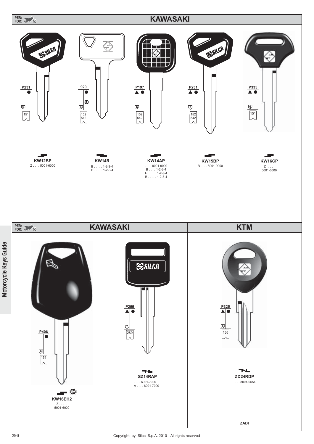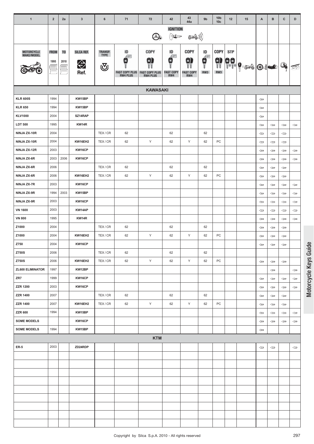| $\mathbf{1}$            | $\overline{2}$ | 2a             | $\mathbf{3}$ | 6           | 71                    | 72                    | 42                           | 43<br>44a        | 9 <sub>b</sub>                                         | 10 <sub>b</sub><br>10 <sub>c</sub> | 12                        | 15       | A                     | B            | c                     | D                                   |
|-------------------------|----------------|----------------|--------------|-------------|-----------------------|-----------------------|------------------------------|------------------|--------------------------------------------------------|------------------------------------|---------------------------|----------|-----------------------|--------------|-----------------------|-------------------------------------|
|                         |                |                |              |             |                       |                       | <b>IGNITION</b>              |                  |                                                        |                                    |                           |          |                       |              |                       |                                     |
|                         |                |                |              |             |                       | $\bigcirc$            | $\sum_{i=1}^{N} \frac{1}{2}$ | ((( کی           |                                                        |                                    |                           |          |                       |              |                       |                                     |
| MOTORCYCLE              | <b>FROM</b>    | T <sub>0</sub> | SILCA REF.   | TRANSP.     | ID                    | COPY                  | ID                           | <b>COPY</b>      | ID                                                     | <b>COPY</b>                        | STP                       |          |                       |              |                       |                                     |
| MAKE/MODEL              | 1995           | 2010           |              | <b>TYPE</b> | €₩<br>×               | 9                     | Æ<br>О                       | 91               | $\begin{matrix} \mathbf{e} \\ \mathbf{e} \end{matrix}$ | 9)<br>11                           | $\mathbf{e}_{\mathbf{q}}$ |          |                       |              |                       |                                     |
|                         | $\equiv$       |                | ⇔<br>Ref.    | ্ত্য        | <b>FAST COPY PLUS</b> | <b>FAST COPY PLUS</b> | <b>FAST COPY</b>             | <b>FAST COPY</b> | RW3                                                    | RW3                                |                           | $P = 10$ |                       |              | Q.                    | $\frac{1}{2}$                       |
|                         |                |                |              |             | <b>RW4 PLUS</b>       | <b>RW4 PLUS</b>       | RW4                          | RW4              |                                                        |                                    |                           |          |                       |              |                       |                                     |
|                         |                |                |              |             |                       | <b>KAWASAKI</b>       |                              |                  |                                                        |                                    |                           |          |                       |              |                       |                                     |
| <b>KLR 600S</b>         | 1994           |                | KW15BP       |             |                       |                       |                              |                  |                                                        |                                    |                           |          | $\Longleftrightarrow$ |              |                       |                                     |
| <b>KLR 650</b>          | 1994           |                | KW15BP       |             |                       |                       |                              |                  |                                                        |                                    |                           |          | $\Leftarrow$          |              |                       |                                     |
| <b>KLV1000</b>          | 2004           |                | SZ14RAP      |             |                       |                       |                              |                  |                                                        |                                    |                           |          | $\Leftarrow$          |              |                       |                                     |
| <b>LDT 500</b>          | 1995           |                | <b>KW14R</b> |             |                       |                       |                              |                  |                                                        |                                    |                           |          | $\Leftarrow$          | $\Leftarrow$ | $\Longleftrightarrow$ | $\Longleftrightarrow$               |
| NINJA ZX-10R            | 2004           |                |              | TEX/CR      | 62                    |                       | 62                           |                  | 62                                                     |                                    |                           |          | $\Leftarrow$          | $\Leftarrow$ | $\Leftarrow$          |                                     |
| NINJA ZX-10R            | 2004           |                | KW16EH2      | TEX/CR      | 62                    | Y                     | 62                           | Y                | 62                                                     | PC                                 |                           |          | $\Leftarrow$          | $\Leftarrow$ | $\Leftarrow$          |                                     |
| NINJA ZX-12R            | 2003           |                | KW16CP       |             |                       |                       |                              |                  |                                                        |                                    |                           |          | $\Leftarrow$          | $\Leftarrow$ | $\Leftarrow$          | $\Leftarrow$                        |
| NINJA ZX-6R             | 2003           | 2006           | KW16CP       |             |                       |                       |                              |                  |                                                        |                                    |                           |          | $\Leftarrow$          | $\Leftarrow$ | $\Leftarrow$          | $\Leftarrow$                        |
| NINJA ZX-6R             | 2006           |                |              | TEX/CR      | 62                    |                       | 62                           |                  | 62                                                     |                                    |                           |          | $\Leftarrow$          | ⇔            | ⇔                     |                                     |
| NINJA ZX-6R             | 2006           |                | KW16EH2      | TEX/CR      | 62                    | Y                     | 62                           | Y                | 62                                                     | PC                                 |                           |          | $\Leftarrow$          | $\Leftarrow$ | $\Leftarrow$          |                                     |
| NINJA ZX-7R             | 2003           |                | KW16CP       |             |                       |                       |                              |                  |                                                        |                                    |                           |          | $\Leftarrow$          | $\Leftarrow$ | $\Leftarrow$          | $\Longleftrightarrow$               |
| NINJA ZX-9R             | 1994           | 2003           | KW15BP       |             |                       |                       |                              |                  |                                                        |                                    |                           |          | $\Leftarrow$          | $\Leftarrow$ | $\Leftarrow$          | $\Leftarrow$                        |
| NINJA ZX-9R             | 2003           |                | KW16CP       |             |                       |                       |                              |                  |                                                        |                                    |                           |          | $\Leftarrow$          | $\Leftarrow$ | $\Leftarrow$          | $\Leftarrow$                        |
| <b>VN 1600</b>          | 2003           |                | KW14AP       |             |                       |                       |                              |                  |                                                        |                                    |                           |          | $\Leftarrow$          | $\Leftarrow$ | $\Leftarrow$          | $\Leftarrow$                        |
| <b>VN 800</b>           | 1995           |                | KW14R        |             |                       |                       |                              |                  |                                                        |                                    |                           |          | $\Leftarrow$          | $\Leftarrow$ | $\Leftarrow$          | $\Leftarrow$                        |
| Z1000                   | 2004           |                |              | TEX/CR      | 62                    |                       | 62                           |                  | 62                                                     |                                    |                           |          | $\Leftarrow$          | $\Leftarrow$ | $\Leftarrow$          |                                     |
| Z1000                   | 2004           |                | KW16EH2      | TEX/CR      | 62                    | Y                     | 62                           | Υ                | 62                                                     | PC                                 |                           |          | $\Leftarrow$          | $\Leftarrow$ | $\Leftarrow$          |                                     |
| Z750                    | 2004           |                | KW16CP       |             |                       |                       |                              |                  |                                                        |                                    |                           |          | $\Leftarrow$          | $\Leftarrow$ | $\Leftarrow$          |                                     |
| Z750S                   | 2006           |                |              | TEX/CR      | 62                    |                       | 62                           |                  | 62                                                     |                                    |                           |          |                       |              |                       |                                     |
| Z750S                   | 2006           |                | KW16EH2      | TEX/CR      | 62                    | Υ                     | 62                           | Y                | 62                                                     | PC                                 |                           |          | $\Longleftrightarrow$ | $\Leftarrow$ | $\Longleftrightarrow$ |                                     |
| <b>ZL600 ELIMINATOR</b> | 1997           |                | KW12BP       |             |                       |                       |                              |                  |                                                        |                                    |                           |          |                       | $\Leftarrow$ |                       | $\qquad \qquad \Longleftrightarrow$ |
| ZR7                     | 1999           |                | KW16CP       |             |                       |                       |                              |                  |                                                        |                                    |                           |          | $\Leftarrow$          | $\Leftarrow$ | $\Leftarrow$          | $\Leftarrow$                        |
| <b>ZZR 1200</b>         | 2003           |                | KW16CP       |             |                       |                       |                              |                  |                                                        |                                    |                           |          | $\Leftarrow$          | $\Leftarrow$ | $\Leftarrow$          | $\Leftarrow$                        |
| <b>ZZR 1400</b>         | 2007           |                |              | TEX/CR      | 62                    |                       | 62                           |                  | 62                                                     |                                    |                           |          | $\Longleftrightarrow$ | $\Leftarrow$ | $\iff$                |                                     |
| <b>ZZR 1400</b>         | 2007           |                | KW16EH2      | TEX/CR      | 62                    | Υ                     | 62                           | Υ                | 62                                                     | PC                                 |                           |          | $\Longleftrightarrow$ | $\Leftarrow$ | $\Longleftrightarrow$ |                                     |
| <b>ZZR 600</b>          | 1994           |                | KW15BP       |             |                       |                       |                              |                  |                                                        |                                    |                           |          | $\Leftarrow$          | $\Leftarrow$ | $\Leftarrow$          | $\Leftarrow$                        |
| <b>SOME MODELS</b>      |                |                | KW16CP       |             |                       |                       |                              |                  |                                                        |                                    |                           |          | $\Leftarrow$          | $\Leftarrow$ | $\Leftarrow$          | $\Leftarrow$                        |
| <b>SOME MODELS</b>      | 1994           |                | KW15BP       |             |                       |                       |                              |                  |                                                        |                                    |                           |          | $\Leftarrow$          |              |                       |                                     |
| <b>ER-5</b>             | 2003           |                | ZD24RDP      |             |                       | <b>KTM</b>            |                              |                  |                                                        |                                    |                           |          |                       |              |                       |                                     |
|                         |                |                |              |             |                       |                       |                              |                  |                                                        |                                    |                           |          | $\Leftarrow$          | $\Leftarrow$ |                       | $\Leftarrow$                        |
|                         |                |                |              |             |                       |                       |                              |                  |                                                        |                                    |                           |          |                       |              |                       |                                     |
|                         |                |                |              |             |                       |                       |                              |                  |                                                        |                                    |                           |          |                       |              |                       |                                     |
|                         |                |                |              |             |                       |                       |                              |                  |                                                        |                                    |                           |          |                       |              |                       |                                     |
|                         |                |                |              |             |                       |                       |                              |                  |                                                        |                                    |                           |          |                       |              |                       |                                     |
|                         |                |                |              |             |                       |                       |                              |                  |                                                        |                                    |                           |          |                       |              |                       |                                     |
|                         |                |                |              |             |                       |                       |                              |                  |                                                        |                                    |                           |          |                       |              |                       |                                     |
|                         |                |                |              |             |                       |                       |                              |                  |                                                        |                                    |                           |          |                       |              |                       |                                     |
|                         |                |                |              |             |                       |                       |                              |                  |                                                        |                                    |                           |          |                       |              |                       |                                     |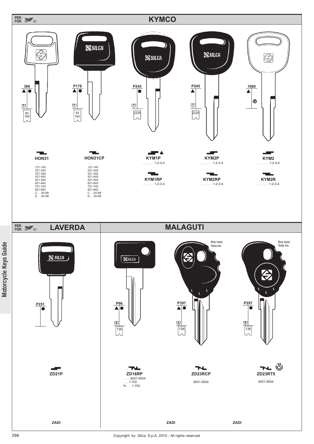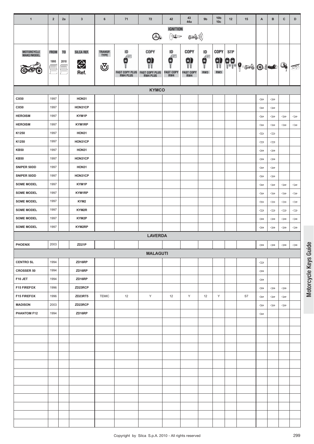| $\mathbf{1}$                           | $\overline{2}$ | 2a             | $\mathbf{3}$       | 6            | 71                    | 72                    | 42                                                                                   | 43<br>44a              | 9 <sub>b</sub>                                         | 10 <sub>b</sub><br>10 <sub>c</sub> | 12         | 15                 | A                                     | B                            | c                            | D                                     |
|----------------------------------------|----------------|----------------|--------------------|--------------|-----------------------|-----------------------|--------------------------------------------------------------------------------------|------------------------|--------------------------------------------------------|------------------------------------|------------|--------------------|---------------------------------------|------------------------------|------------------------------|---------------------------------------|
|                                        |                |                |                    |              |                       |                       | <b>IGNITION</b>                                                                      |                        |                                                        |                                    |            |                    |                                       |                              |                              |                                       |
|                                        |                |                |                    |              |                       | $\bigcirc$            | $\sum_{i=1}^{N} \prod_{j=1}^{N} \prod_{j=1}^{N} \mathbb{E}(\mathbb{D}^{\mathbb{Z}})$ | 543))                  |                                                        |                                    |            |                    |                                       |                              |                              |                                       |
| MOTORCYCLE<br>MAKE/MODEL               | <b>FROM</b>    | T <sub>0</sub> | SILCA REF.         | TRANSP.      | ID                    | COPY                  | ID                                                                                   | <b>COPY</b>            | ID                                                     | COPY                               | <b>STP</b> |                    |                                       |                              |                              |                                       |
|                                        | 1995           | 2010           |                    | TYPE         | 69H<br>в              | 9                     | Æ<br>0                                                                               | 0)                     | $\begin{matrix} \mathbf{e} \\ \mathbf{e} \end{matrix}$ | ŷ                                  |            |                    |                                       |                              |                              |                                       |
|                                        | $\equiv$       | $\equiv$       | ⇔<br>Ref.          | ভ            | <b>FAST COPY PLUS</b> | <b>FAST COPY PLUS</b> | <b>FAST COPY</b>                                                                     | ïï<br><b>FAST COPY</b> | RW3                                                    | RW3                                |            | 99 9 36 0 <b>4</b> |                                       |                              | $Q_{\!\!\rho}$               | 不                                     |
|                                        |                |                |                    |              | <b>RW4 PLUS</b>       | <b>RW4 PLUS</b>       | RW4                                                                                  | RW4                    |                                                        |                                    |            |                    |                                       |                              |                              |                                       |
|                                        |                |                |                    |              |                       | <b>KYMCO</b>          |                                                                                      |                        |                                                        |                                    |            |                    |                                       |                              |                              |                                       |
| CX50                                   | 1997           |                | HON31              |              |                       |                       |                                                                                      |                        |                                                        |                                    |            |                    | $\Longleftrightarrow$                 | $\Leftarrow$                 |                              |                                       |
| CX50                                   | 1997           |                | HON31CP            |              |                       |                       |                                                                                      |                        |                                                        |                                    |            |                    | $\Leftarrow$                          | $\Leftarrow$                 |                              |                                       |
| <b>HEROISM</b>                         | 1997           |                | KYM1P              |              |                       |                       |                                                                                      |                        |                                                        |                                    |            |                    | $\Leftarrow$                          | $\Leftarrow$                 | $\Leftarrow$                 | $\Leftarrow$                          |
| <b>HEROISM</b>                         | 1997           |                | KYM1RP             |              |                       |                       |                                                                                      |                        |                                                        |                                    |            |                    | $\Longleftrightarrow$                 | $\Leftarrow$                 | $\Leftarrow$                 | $\Leftarrow$                          |
| K1250                                  | 1997           |                | HON31              |              |                       |                       |                                                                                      |                        |                                                        |                                    |            |                    | $\Leftarrow$                          | $\Leftarrow$                 |                              |                                       |
| K1250                                  | 1997           |                | HON31CP            |              |                       |                       |                                                                                      |                        |                                                        |                                    |            |                    | $\Leftarrow$                          | $\Leftarrow$                 |                              |                                       |
| <b>KB50</b>                            | 1997           |                | HON31              |              |                       |                       |                                                                                      |                        |                                                        |                                    |            |                    | $\Leftarrow$                          | $\Leftarrow$                 |                              |                                       |
| <b>KB50</b>                            | 1997           |                | HON31CP            |              |                       |                       |                                                                                      |                        |                                                        |                                    |            |                    | $\Leftarrow$                          | $\Leftarrow$                 |                              |                                       |
| SNIPER 50DD                            | 1997           |                | HON31              |              |                       |                       |                                                                                      |                        |                                                        |                                    |            |                    | $\Longleftrightarrow$                 | $\Leftarrow$                 |                              |                                       |
| SNIPER 50DD                            | 1997           |                | HON31CP            |              |                       |                       |                                                                                      |                        |                                                        |                                    |            |                    | $\Leftarrow$                          | $\Leftarrow$                 |                              |                                       |
| <b>SOME MODEL</b>                      | 1997           |                | KYM1P              |              |                       |                       |                                                                                      |                        |                                                        |                                    |            |                    | $\Leftarrow$                          | $\Leftarrow$                 | $\Leftarrow$                 | $\Leftarrow$                          |
| <b>SOME MODEL</b>                      | 1997           |                | KYM1RP             |              |                       |                       |                                                                                      |                        |                                                        |                                    |            |                    | $\Leftarrow$                          | ⇔                            | $\Leftarrow$                 | $\Leftarrow$                          |
| <b>SOME MODEL</b><br><b>SOME MODEL</b> | 1997<br>1997   |                | KYM2<br>KYM2R      |              |                       |                       |                                                                                      |                        |                                                        |                                    |            |                    | $\Leftarrow$                          | $\Leftarrow$                 | $\Longleftrightarrow$        | $\Leftarrow$                          |
| <b>SOME MODEL</b>                      | 1997           |                | KYM2P              |              |                       |                       |                                                                                      |                        |                                                        |                                    |            |                    | $\Longleftrightarrow$<br>$\Leftarrow$ | $\Leftarrow$<br>$\Leftarrow$ | $\Leftarrow$<br>$\Leftarrow$ | $\Longleftrightarrow$<br>$\Leftarrow$ |
| <b>SOME MODEL</b>                      | 1997           |                | KYM2RP             |              |                       |                       |                                                                                      |                        |                                                        |                                    |            |                    | $\Leftarrow$                          | $\Leftarrow$                 | $\Leftarrow$                 | $\Leftarrow$                          |
|                                        |                |                |                    |              |                       | <b>LAVERDA</b>        |                                                                                      |                        |                                                        |                                    |            |                    |                                       |                              |                              |                                       |
| <b>PHOENIX</b>                         | 2003           |                | ZD <sub>21</sub> P |              |                       |                       |                                                                                      |                        |                                                        |                                    |            |                    | $\Leftarrow$                          | $\Leftarrow$                 | $\Leftarrow$                 | $\Leftarrow$                          |
|                                        |                |                |                    |              |                       | <b>MALAGUTI</b>       |                                                                                      |                        |                                                        |                                    |            |                    |                                       |                              |                              |                                       |
| <b>CENTRO SL</b>                       | 1994           |                | ZD16RP             |              |                       |                       |                                                                                      |                        |                                                        |                                    |            |                    | $\Leftarrow$                          |                              |                              |                                       |
| <b>CROSSER 50</b>                      | 1994           |                | ZD16RP             |              |                       |                       |                                                                                      |                        |                                                        |                                    |            |                    | $\Leftarrow$                          |                              |                              |                                       |
| F10 JET                                | 1994           |                | ZD16RP             |              |                       |                       |                                                                                      |                        |                                                        |                                    |            |                    | $\Leftarrow$                          |                              |                              |                                       |
| <b>F15 FIREFOX</b>                     | 1996           |                | ZD23RCP            |              |                       |                       |                                                                                      |                        |                                                        |                                    |            |                    | $\Leftarrow$                          | $\Leftarrow$                 | $\Leftarrow$                 |                                       |
| <b>F15 FIREFOX</b>                     | 1996           |                | ZD23RT5            | <b>TEMIC</b> | 12                    | Y                     | 12                                                                                   | Y                      | 12                                                     | Y                                  |            | S7                 | $\qquad \qquad \Longleftrightarrow$   | $\Leftarrow$                 | $\Leftarrow$                 |                                       |
| <b>MADISON</b>                         | 2003           |                | ZD23RCP            |              |                       |                       |                                                                                      |                        |                                                        |                                    |            |                    | $\Leftarrow$                          | $\Leftarrow$                 | $\Leftarrow$                 |                                       |
| PHANTOM F12                            | 1994           |                | ZD16RP             |              |                       |                       |                                                                                      |                        |                                                        |                                    |            |                    | $\Leftarrow$                          |                              |                              |                                       |
|                                        |                |                |                    |              |                       |                       |                                                                                      |                        |                                                        |                                    |            |                    |                                       |                              |                              |                                       |
|                                        |                |                |                    |              |                       |                       |                                                                                      |                        |                                                        |                                    |            |                    |                                       |                              |                              |                                       |
|                                        |                |                |                    |              |                       |                       |                                                                                      |                        |                                                        |                                    |            |                    |                                       |                              |                              |                                       |
|                                        |                |                |                    |              |                       |                       |                                                                                      |                        |                                                        |                                    |            |                    |                                       |                              |                              |                                       |
|                                        |                |                |                    |              |                       |                       |                                                                                      |                        |                                                        |                                    |            |                    |                                       |                              |                              |                                       |
|                                        |                |                |                    |              |                       |                       |                                                                                      |                        |                                                        |                                    |            |                    |                                       |                              |                              |                                       |
|                                        |                |                |                    |              |                       |                       |                                                                                      |                        |                                                        |                                    |            |                    |                                       |                              |                              |                                       |
|                                        |                |                |                    |              |                       |                       |                                                                                      |                        |                                                        |                                    |            |                    |                                       |                              |                              |                                       |
|                                        |                |                |                    |              |                       |                       |                                                                                      |                        |                                                        |                                    |            |                    |                                       |                              |                              |                                       |
|                                        |                |                |                    |              |                       |                       |                                                                                      |                        |                                                        |                                    |            |                    |                                       |                              |                              |                                       |
|                                        |                |                |                    |              |                       |                       |                                                                                      |                        |                                                        |                                    |            |                    |                                       |                              |                              |                                       |
|                                        |                |                |                    |              |                       |                       |                                                                                      |                        |                                                        |                                    |            |                    |                                       |                              |                              |                                       |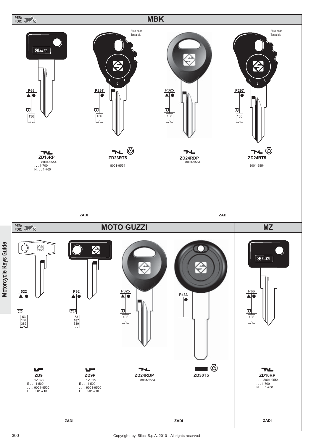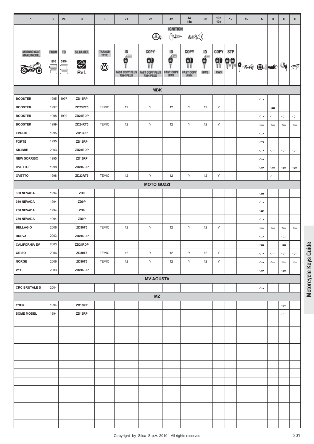| $\mathbf{1}$             | $\overline{2}$                | 2a                                    | $\mathbf{3}$            | 6                                     | 71                                                       | 72                                                     | 42                                      | 43<br>44a                                          | 9 <sub>b</sub>                                                                    | 10 <sub>b</sub><br>10 <sub>c</sub> | 12         | 15                                                                                                                                                                                                                                                                                                                                                                                                                                                                          | A                     | в              | $\mathbf{C}$                        | D            |
|--------------------------|-------------------------------|---------------------------------------|-------------------------|---------------------------------------|----------------------------------------------------------|--------------------------------------------------------|-----------------------------------------|----------------------------------------------------|-----------------------------------------------------------------------------------|------------------------------------|------------|-----------------------------------------------------------------------------------------------------------------------------------------------------------------------------------------------------------------------------------------------------------------------------------------------------------------------------------------------------------------------------------------------------------------------------------------------------------------------------|-----------------------|----------------|-------------------------------------|--------------|
|                          |                               |                                       |                         |                                       |                                                          | $\bigcirc$                                             | <b>IGNITION</b>                         | 546))                                              |                                                                                   |                                    |            |                                                                                                                                                                                                                                                                                                                                                                                                                                                                             |                       |                |                                     |              |
| MOTORCYCLE<br>MAKE/MODEL | <b>FROM</b><br>1995<br>=<br>F | T <sub>0</sub><br>2010<br>III<br>IIII | SILCA REF.<br>⇔<br>Ref. | <b>TRANSP.</b><br><b>TYPE</b><br>্ত্য | ID<br>Æ<br>в<br><b>FAST COPY PLUS</b><br><b>RW4 PLUS</b> | COPY<br>0)<br><b>FAST COPY PLUS</b><br><b>RW4 PLUS</b> | ID<br>Æ<br>0<br><b>FAST COPY</b><br>RW4 | <b>COPY</b><br>0)<br>YY<br><b>FAST COPY</b><br>RW4 | ID<br>$\begin{matrix} \mathbf{c} \\ \mathbf{c} \\ \mathbf{c} \end{matrix}$<br>RW3 | COPY<br>Ŵ<br>RW3                   | <b>STP</b> | $\left. \frac{1}{1} \right  \left. \frac{1}{1} \right  \left. \frac{1}{1} \right  \left. \frac{1}{1} \right  \left. \frac{1}{1} \right  \left. \frac{1}{1} \right  \left. \frac{1}{1} \right  \left. \frac{1}{1} \right  \left. \frac{1}{1} \right  \left. \frac{1}{1} \right  \left. \frac{1}{1} \right  \left. \frac{1}{1} \right  \left. \frac{1}{1} \right  \left. \frac{1}{1} \right  \left. \frac{1}{1} \right  \left. \frac{1}{1} \right  \left. \frac{1}{1} \right$ |                       | $\odot$ $\sim$ | $\mathbb{Q}_{\!\! \delta}$          | 承            |
|                          |                               |                                       |                         |                                       |                                                          | <b>MBK</b>                                             |                                         |                                                    |                                                                                   |                                    |            |                                                                                                                                                                                                                                                                                                                                                                                                                                                                             |                       |                |                                     |              |
| <b>BOOSTER</b>           | 1995                          | 1997                                  | ZD16RP                  |                                       |                                                          |                                                        |                                         |                                                    |                                                                                   |                                    |            |                                                                                                                                                                                                                                                                                                                                                                                                                                                                             | $\Leftarrow$          |                |                                     |              |
| <b>BOOSTER</b>           | 1997                          |                                       | ZD23RT5                 | <b>TEMIC</b>                          | 12                                                       | Υ                                                      | 12                                      | Υ                                                  | 12                                                                                | Υ                                  |            |                                                                                                                                                                                                                                                                                                                                                                                                                                                                             |                       | $\Leftarrow$   |                                     |              |
| <b>BOOSTER</b>           | 1998                          | 1999                                  | ZD24RDP                 |                                       |                                                          |                                                        |                                         |                                                    |                                                                                   |                                    |            |                                                                                                                                                                                                                                                                                                                                                                                                                                                                             | $\Leftarrow$          | $\Leftarrow$   | $\Leftarrow$                        | $\Leftarrow$ |
| <b>BOOSTER</b>           | 1999                          |                                       | ZD24RT5                 | <b>TEMIC</b>                          | 12                                                       | Υ                                                      | 12                                      | Υ                                                  | 12                                                                                | Υ                                  |            |                                                                                                                                                                                                                                                                                                                                                                                                                                                                             | $\Longleftrightarrow$ | $\Leftarrow$   | $\Leftarrow$                        | $\Leftarrow$ |
| <b>EVOLIS</b>            | 1995                          |                                       | ZD16RP                  |                                       |                                                          |                                                        |                                         |                                                    |                                                                                   |                                    |            |                                                                                                                                                                                                                                                                                                                                                                                                                                                                             | $\Longleftrightarrow$ |                |                                     |              |
| <b>FORTE</b>             | 1995                          |                                       | ZD16RP                  |                                       |                                                          |                                                        |                                         |                                                    |                                                                                   |                                    |            |                                                                                                                                                                                                                                                                                                                                                                                                                                                                             | $\Longleftrightarrow$ |                |                                     |              |
| KILIBRE                  | 2003                          |                                       | ZD24RDP                 |                                       |                                                          |                                                        |                                         |                                                    |                                                                                   |                                    |            |                                                                                                                                                                                                                                                                                                                                                                                                                                                                             | $\Leftarrow$          | $\Leftarrow$   | $\Leftarrow$                        | $\Leftarrow$ |
| <b>NEW SORRISO</b>       | 1995                          |                                       | ZD16RP                  |                                       |                                                          |                                                        |                                         |                                                    |                                                                                   |                                    |            |                                                                                                                                                                                                                                                                                                                                                                                                                                                                             | $\Leftarrow$          |                |                                     |              |
| <b>OVETTO</b>            | 1998                          |                                       | ZD24RDP                 |                                       |                                                          |                                                        |                                         |                                                    |                                                                                   |                                    |            |                                                                                                                                                                                                                                                                                                                                                                                                                                                                             | $\Leftarrow$          | ⇐              | $\Leftarrow$                        | $\Leftarrow$ |
| <b>OVETTO</b>            | 1998                          |                                       | ZD23RT5                 | <b>TEMIC</b>                          | 12                                                       | Y                                                      | 12                                      | Υ                                                  | 12                                                                                | Υ                                  |            |                                                                                                                                                                                                                                                                                                                                                                                                                                                                             |                       | $\Leftarrow$   |                                     |              |
|                          |                               |                                       |                         |                                       |                                                          | <b>MOTO GUZZI</b>                                      |                                         |                                                    |                                                                                   |                                    |            |                                                                                                                                                                                                                                                                                                                                                                                                                                                                             |                       |                |                                     |              |
| 350 NEVADA               | 1994                          |                                       | ZD <sub>9</sub>         |                                       |                                                          |                                                        |                                         |                                                    |                                                                                   |                                    |            |                                                                                                                                                                                                                                                                                                                                                                                                                                                                             | $\Leftarrow$          |                |                                     |              |
| 350 NEVADA               | 1994                          |                                       | ZD9P                    |                                       |                                                          |                                                        |                                         |                                                    |                                                                                   |                                    |            |                                                                                                                                                                                                                                                                                                                                                                                                                                                                             | $\Leftarrow$          |                |                                     |              |
| 750 NEVADA               | 1994                          |                                       | ZD <sub>9</sub>         |                                       |                                                          |                                                        |                                         |                                                    |                                                                                   |                                    |            |                                                                                                                                                                                                                                                                                                                                                                                                                                                                             | $\Longleftrightarrow$ |                |                                     |              |
| 750 NEVADA               | 1994                          |                                       | ZD9P                    |                                       |                                                          |                                                        |                                         |                                                    |                                                                                   |                                    |            |                                                                                                                                                                                                                                                                                                                                                                                                                                                                             | $\Leftarrow$          |                |                                     |              |
| <b>BELLAGIO</b>          | 2006                          |                                       | ZD30T5                  | <b>TEMIC</b>                          | 12                                                       | Y                                                      | 12                                      | Υ                                                  | 12                                                                                | Υ                                  |            |                                                                                                                                                                                                                                                                                                                                                                                                                                                                             | $\Leftarrow$          | $\Leftarrow$   | $\Leftarrow$                        | $\Leftarrow$ |
| <b>BREVA</b>             | 2003                          |                                       | ZD24RDP                 |                                       |                                                          |                                                        |                                         |                                                    |                                                                                   |                                    |            |                                                                                                                                                                                                                                                                                                                                                                                                                                                                             | $\Leftarrow$          |                | $\Leftarrow$                        |              |
| <b>CALIFORNIA EV</b>     | 2003                          |                                       | ZD24RDP                 |                                       |                                                          |                                                        |                                         |                                                    |                                                                                   |                                    |            |                                                                                                                                                                                                                                                                                                                                                                                                                                                                             | $\Leftarrow$          |                | $\Leftarrow$                        |              |
| <b>GRISO</b>             | 2006                          |                                       | ZD30T5                  | <b>TEMIC</b>                          | 12                                                       | Υ                                                      | 12                                      | Y                                                  | 12                                                                                | Υ                                  |            |                                                                                                                                                                                                                                                                                                                                                                                                                                                                             | $\Leftarrow$          | $\Leftarrow$   | $\Leftarrow$                        | $\Leftarrow$ |
| <b>NORGE</b>             | 2006                          |                                       | ZD30T5                  | <b>TEMIC</b>                          | 12                                                       | Y                                                      | 12                                      | Y                                                  | 12                                                                                | Υ                                  |            |                                                                                                                                                                                                                                                                                                                                                                                                                                                                             | $\Leftarrow$          | $\Leftarrow$   | $\Leftarrow$                        | $\Leftarrow$ |
| <b>V11</b>               | 2003                          |                                       | ZD24RDP                 |                                       |                                                          |                                                        |                                         |                                                    |                                                                                   |                                    |            |                                                                                                                                                                                                                                                                                                                                                                                                                                                                             | $\Longleftrightarrow$ |                | $\Leftarrow$                        |              |
|                          |                               |                                       |                         |                                       |                                                          | <b>MV AGUSTA</b>                                       |                                         |                                                    |                                                                                   |                                    |            |                                                                                                                                                                                                                                                                                                                                                                                                                                                                             |                       |                |                                     |              |
| <b>CRC BRUTALE S</b>     | 2004                          |                                       |                         |                                       |                                                          |                                                        |                                         |                                                    |                                                                                   |                                    |            |                                                                                                                                                                                                                                                                                                                                                                                                                                                                             | $\Leftarrow$          |                |                                     |              |
|                          |                               |                                       |                         |                                       |                                                          | MZ                                                     |                                         |                                                    |                                                                                   |                                    |            |                                                                                                                                                                                                                                                                                                                                                                                                                                                                             |                       |                |                                     |              |
| <b>TOUR</b>              | 1994                          |                                       | ZD16RP                  |                                       |                                                          |                                                        |                                         |                                                    |                                                                                   |                                    |            |                                                                                                                                                                                                                                                                                                                                                                                                                                                                             |                       |                | $\qquad \qquad \Longleftrightarrow$ |              |
| <b>SOME MODEL</b>        | 1994                          |                                       | ZD16RP                  |                                       |                                                          |                                                        |                                         |                                                    |                                                                                   |                                    |            |                                                                                                                                                                                                                                                                                                                                                                                                                                                                             |                       |                | $\Leftarrow$                        |              |
|                          |                               |                                       |                         |                                       |                                                          |                                                        |                                         |                                                    |                                                                                   |                                    |            |                                                                                                                                                                                                                                                                                                                                                                                                                                                                             |                       |                |                                     |              |
|                          |                               |                                       |                         |                                       |                                                          |                                                        |                                         |                                                    |                                                                                   |                                    |            |                                                                                                                                                                                                                                                                                                                                                                                                                                                                             |                       |                |                                     |              |
|                          |                               |                                       |                         |                                       |                                                          |                                                        |                                         |                                                    |                                                                                   |                                    |            |                                                                                                                                                                                                                                                                                                                                                                                                                                                                             |                       |                |                                     |              |
|                          |                               |                                       |                         |                                       |                                                          |                                                        |                                         |                                                    |                                                                                   |                                    |            |                                                                                                                                                                                                                                                                                                                                                                                                                                                                             |                       |                |                                     |              |
|                          |                               |                                       |                         |                                       |                                                          |                                                        |                                         |                                                    |                                                                                   |                                    |            |                                                                                                                                                                                                                                                                                                                                                                                                                                                                             |                       |                |                                     |              |
|                          |                               |                                       |                         |                                       |                                                          |                                                        |                                         |                                                    |                                                                                   |                                    |            |                                                                                                                                                                                                                                                                                                                                                                                                                                                                             |                       |                |                                     |              |
|                          |                               |                                       |                         |                                       |                                                          |                                                        |                                         |                                                    |                                                                                   |                                    |            |                                                                                                                                                                                                                                                                                                                                                                                                                                                                             |                       |                |                                     |              |
|                          |                               |                                       |                         |                                       |                                                          |                                                        |                                         |                                                    |                                                                                   |                                    |            |                                                                                                                                                                                                                                                                                                                                                                                                                                                                             |                       |                |                                     |              |
|                          |                               |                                       |                         |                                       |                                                          |                                                        |                                         |                                                    |                                                                                   |                                    |            |                                                                                                                                                                                                                                                                                                                                                                                                                                                                             |                       |                |                                     |              |
|                          |                               |                                       |                         |                                       |                                                          |                                                        |                                         |                                                    |                                                                                   |                                    |            |                                                                                                                                                                                                                                                                                                                                                                                                                                                                             |                       |                |                                     |              |
|                          |                               |                                       |                         |                                       |                                                          |                                                        |                                         |                                                    |                                                                                   |                                    |            |                                                                                                                                                                                                                                                                                                                                                                                                                                                                             |                       |                |                                     |              |
|                          |                               |                                       |                         |                                       |                                                          |                                                        |                                         |                                                    |                                                                                   |                                    |            |                                                                                                                                                                                                                                                                                                                                                                                                                                                                             |                       |                |                                     |              |
|                          |                               |                                       |                         |                                       |                                                          |                                                        |                                         |                                                    |                                                                                   |                                    |            |                                                                                                                                                                                                                                                                                                                                                                                                                                                                             |                       |                |                                     |              |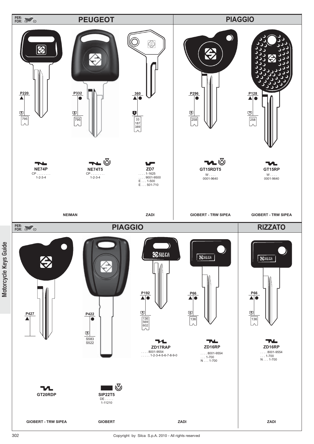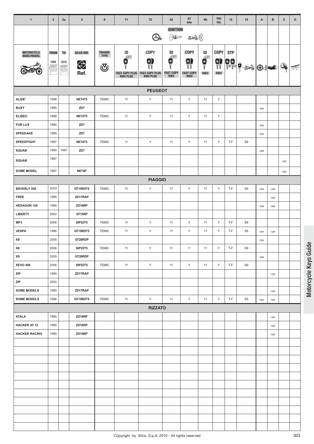| $\mathbf{1}$                | $\overline{2}$ | 2a             | $\mathbf{3}$   | 6                             | 71                    | 72                                 | 42                                                                                                                                                                                                                                                                                                                                                                                                                                                                          | 43<br>44a              | 9 <sub>b</sub>                                                       | 10 <sub>b</sub><br>10 <sub>c</sub> | 12                                                       | 15             | A                     | B                     | $\mathbf{C}$ | D |
|-----------------------------|----------------|----------------|----------------|-------------------------------|-----------------------|------------------------------------|-----------------------------------------------------------------------------------------------------------------------------------------------------------------------------------------------------------------------------------------------------------------------------------------------------------------------------------------------------------------------------------------------------------------------------------------------------------------------------|------------------------|----------------------------------------------------------------------|------------------------------------|----------------------------------------------------------|----------------|-----------------------|-----------------------|--------------|---|
|                             |                |                |                |                               |                       |                                    | <b>IGNITION</b>                                                                                                                                                                                                                                                                                                                                                                                                                                                             |                        |                                                                      |                                    |                                                          |                |                       |                       |              |   |
|                             |                |                |                |                               |                       | $\bigcirc$                         | $\left\{ \begin{array}{l} \displaystyle \sum_{i=1}^{N} \mathbb{E} \left[ \prod_{i=1}^{N} \mathbb{E} \left[ \mathbb{E} \right] \right] \mathbb{E} \left[ \mathbb{E} \left[ \mathbb{E} \right] \right] \mathbb{E} \left[ \mathbb{E} \left[ \mathbb{E} \right] \right] \mathbb{E} \left[ \mathbb{E} \left[ \mathbb{E} \right] \right] \mathbb{E} \left[ \mathbb{E} \left[ \mathbb{E} \right] \right] \mathbb{E} \left[ \mathbb{E} \left[ \mathbb{E} \right] \mathbb{E} \left[$ | ((( کی                 |                                                                      |                                    |                                                          |                |                       |                       |              |   |
| MOTORCYCLE<br>MAKE/MODEL    | <b>FROM</b>    | T <sub>0</sub> | SILCA REF.     | <b>TRANSP.</b><br><b>TYPE</b> | ID                    | COPY                               | ID                                                                                                                                                                                                                                                                                                                                                                                                                                                                          | COPY                   | ID                                                                   | COPY                               | <b>STP</b>                                               |                |                       |                       |              |   |
|                             | 1995           | 2010           | ⇔              |                               | £Ш<br>×               | 9                                  | Æ<br>0                                                                                                                                                                                                                                                                                                                                                                                                                                                                      | 0)                     | $\begin{matrix} \mathbf{c} \\ \mathbf{c} \\ \mathbf{c} \end{matrix}$ |                                    |                                                          |                |                       |                       |              |   |
|                             |                | --             | Ref.           | $\overline{\mathbb{Q}}$       | <b>FAST COPY PLUS</b> | <b>FAST COPY PLUS<br/>RW4 PLUS</b> | <b>FAST COPY</b>                                                                                                                                                                                                                                                                                                                                                                                                                                                            | YY<br><b>FAST COPY</b> | RW3                                                                  |                                    |                                                          | 9 99 9 36 0 2  |                       |                       | Q.           | ≅ |
|                             |                |                |                |                               | <b>RW4 PLUS</b>       |                                    | RW4                                                                                                                                                                                                                                                                                                                                                                                                                                                                         | RW4                    |                                                                      |                                    |                                                          |                |                       |                       |              |   |
|                             |                |                |                |                               |                       | <b>PEUGEOT</b>                     |                                                                                                                                                                                                                                                                                                                                                                                                                                                                             |                        |                                                                      |                                    |                                                          |                |                       |                       |              |   |
| ALISE'                      | 1998           |                | <b>NE74T5</b>  | <b>TEMIC</b>                  | 11                    | Υ                                  | 11                                                                                                                                                                                                                                                                                                                                                                                                                                                                          | Y                      | 11                                                                   | Υ                                  |                                                          |                |                       |                       |              |   |
| <b>BUXY</b>                 | 1995           |                | ZD7            |                               |                       |                                    |                                                                                                                                                                                                                                                                                                                                                                                                                                                                             |                        |                                                                      |                                    |                                                          |                | $\Longleftrightarrow$ |                       |              |   |
| <b>ELISEO</b>               | 1998           |                | <b>NE74T5</b>  | <b>TEMIC</b>                  | 11                    | Υ                                  | 11                                                                                                                                                                                                                                                                                                                                                                                                                                                                          | Υ                      | 11                                                                   | Υ                                  |                                                          |                |                       |                       |              |   |
| <b>FOR LUX</b>              | 1995           |                | ZD7            |                               |                       |                                    |                                                                                                                                                                                                                                                                                                                                                                                                                                                                             |                        |                                                                      |                                    |                                                          |                | $\Leftarrow$          |                       |              |   |
| <b>SPEEDAKE</b>             | 1995           |                | ZD7            |                               |                       |                                    |                                                                                                                                                                                                                                                                                                                                                                                                                                                                             |                        |                                                                      |                                    |                                                          |                | $\Longleftrightarrow$ |                       |              |   |
| <b>SPEEDFIGHT</b>           | 1997           |                | <b>NE74T5</b>  | <b>TEMIC</b>                  | 11                    | Υ                                  | 11                                                                                                                                                                                                                                                                                                                                                                                                                                                                          | Y                      | 11                                                                   | Y                                  | T-F                                                      | S <sub>8</sub> |                       |                       |              |   |
| <b>SQUAB</b>                | 1995           | 1997           | ZD7            |                               |                       |                                    |                                                                                                                                                                                                                                                                                                                                                                                                                                                                             |                        |                                                                      |                                    |                                                          |                | $\Leftarrow$          |                       |              |   |
| <b>SQUAB</b>                | 1997           |                |                |                               |                       |                                    |                                                                                                                                                                                                                                                                                                                                                                                                                                                                             |                        |                                                                      |                                    |                                                          |                |                       |                       | $\Leftarrow$ |   |
| <b>SOME MODEL</b>           | 1997           |                | NE74P          |                               |                       |                                    |                                                                                                                                                                                                                                                                                                                                                                                                                                                                             |                        |                                                                      |                                    |                                                          |                |                       |                       | $\Leftarrow$ |   |
|                             |                |                |                |                               |                       | <b>PIAGGIO</b>                     |                                                                                                                                                                                                                                                                                                                                                                                                                                                                             |                        |                                                                      |                                    |                                                          |                |                       |                       |              |   |
| BEVERLY 200                 | 2003           |                | GT15RDT5       | <b>TEMIC</b>                  | 11                    | Υ                                  | 11                                                                                                                                                                                                                                                                                                                                                                                                                                                                          | Y                      | 11                                                                   | Y                                  | T-F                                                      | S9             | $\Longleftrightarrow$ | $\Leftarrow$          |              |   |
| <b>FREE</b>                 | 1995           |                | ZD17RAP        |                               |                       |                                    |                                                                                                                                                                                                                                                                                                                                                                                                                                                                             |                        |                                                                      |                                    |                                                          |                |                       | $\Leftarrow$          |              |   |
| <b>HEXAGON 125</b>          | 1996           |                | ZD16RP         |                               |                       |                                    |                                                                                                                                                                                                                                                                                                                                                                                                                                                                             |                        |                                                                      |                                    |                                                          |                | $\Leftarrow$          | $\Leftarrow$          |              |   |
| <b>LIBERTY</b>              | 2000           |                | GT15RP         |                               |                       |                                    |                                                                                                                                                                                                                                                                                                                                                                                                                                                                             |                        |                                                                      |                                    |                                                          |                |                       |                       |              |   |
| MP3                         | 2006           |                | <b>SIP22T5</b> | <b>TEMIC</b>                  | 11                    | Υ                                  | 11                                                                                                                                                                                                                                                                                                                                                                                                                                                                          | Y                      | 11                                                                   | Y                                  | T-F                                                      | S9             |                       |                       |              |   |
| <b>VESPA</b>                | 1996           |                | GT15RDT5       | <b>TEMIC</b>                  | 11                    | Υ                                  | 11                                                                                                                                                                                                                                                                                                                                                                                                                                                                          | Υ                      | 11                                                                   | Y                                  | T-F                                                      | S <sub>9</sub> | $\Leftarrow$          | $\Leftarrow$          |              |   |
| X8                          | 2005           |                | GT20RDP        |                               |                       |                                    |                                                                                                                                                                                                                                                                                                                                                                                                                                                                             |                        |                                                                      |                                    |                                                          |                | $\Leftarrow$          |                       |              |   |
| $\pmb{\mathsf{X8}}$         | 2006           |                | <b>SIP22T5</b> | <b>TEMIC</b>                  | 11                    | Y                                  | $11$                                                                                                                                                                                                                                                                                                                                                                                                                                                                        | Υ                      | 11                                                                   | Υ                                  | $\ensuremath{\mathsf{T}}\text{-}\ensuremath{\mathsf{F}}$ | S9             |                       |                       |              |   |
| X9                          | 2005           |                | GT20RDP        |                               |                       |                                    |                                                                                                                                                                                                                                                                                                                                                                                                                                                                             |                        |                                                                      |                                    |                                                          |                | $\Leftarrow$          |                       |              |   |
| <b>XEVO 400</b>             | 2006           |                | <b>SIP22T5</b> | <b>TEMIC</b>                  | 11                    | Y                                  | 11                                                                                                                                                                                                                                                                                                                                                                                                                                                                          | Y                      | 11                                                                   | Y                                  | T-F                                                      | S9             |                       |                       |              |   |
| $\ensuremath{\mathsf{ZIP}}$ | 1995           |                | ZD17RAP        |                               |                       |                                    |                                                                                                                                                                                                                                                                                                                                                                                                                                                                             |                        |                                                                      |                                    |                                                          |                |                       | $\Leftarrow$          |              |   |
| ZIP                         | 2000           |                |                |                               |                       |                                    |                                                                                                                                                                                                                                                                                                                                                                                                                                                                             |                        |                                                                      |                                    |                                                          |                |                       |                       |              |   |
| <b>SOME MODELS</b>          | 1995           |                | ZD17RAP        |                               |                       |                                    |                                                                                                                                                                                                                                                                                                                                                                                                                                                                             |                        |                                                                      |                                    |                                                          |                |                       | $\Longleftrightarrow$ |              |   |
| <b>SOME MODELS</b>          | 1996           |                | GT15RDT5       | <b>TEMIC</b>                  | 11                    | Υ                                  | 11                                                                                                                                                                                                                                                                                                                                                                                                                                                                          | Y                      | 11                                                                   | Υ                                  | T-F                                                      | S9             | $\Leftarrow$          | $\Leftarrow$          |              |   |
|                             |                |                |                |                               |                       | <b>RIZZATO</b>                     |                                                                                                                                                                                                                                                                                                                                                                                                                                                                             |                        |                                                                      |                                    |                                                          |                |                       |                       |              |   |
| <b>ATALA</b>                | 1995           |                | ZD16RP         |                               |                       |                                    |                                                                                                                                                                                                                                                                                                                                                                                                                                                                             |                        |                                                                      |                                    |                                                          |                |                       | $\Longleftrightarrow$ |              |   |
| <b>HACKER AT 12</b>         | 1995           |                | ZD16RP         |                               |                       |                                    |                                                                                                                                                                                                                                                                                                                                                                                                                                                                             |                        |                                                                      |                                    |                                                          |                |                       | $\Leftarrow$          |              |   |
| <b>HACKER RACING</b>        | 1995           |                | ZD16RP         |                               |                       |                                    |                                                                                                                                                                                                                                                                                                                                                                                                                                                                             |                        |                                                                      |                                    |                                                          |                |                       | $\Leftarrow$          |              |   |
|                             |                |                |                |                               |                       |                                    |                                                                                                                                                                                                                                                                                                                                                                                                                                                                             |                        |                                                                      |                                    |                                                          |                |                       |                       |              |   |
|                             |                |                |                |                               |                       |                                    |                                                                                                                                                                                                                                                                                                                                                                                                                                                                             |                        |                                                                      |                                    |                                                          |                |                       |                       |              |   |
|                             |                |                |                |                               |                       |                                    |                                                                                                                                                                                                                                                                                                                                                                                                                                                                             |                        |                                                                      |                                    |                                                          |                |                       |                       |              |   |
|                             |                |                |                |                               |                       |                                    |                                                                                                                                                                                                                                                                                                                                                                                                                                                                             |                        |                                                                      |                                    |                                                          |                |                       |                       |              |   |
|                             |                |                |                |                               |                       |                                    |                                                                                                                                                                                                                                                                                                                                                                                                                                                                             |                        |                                                                      |                                    |                                                          |                |                       |                       |              |   |
|                             |                |                |                |                               |                       |                                    |                                                                                                                                                                                                                                                                                                                                                                                                                                                                             |                        |                                                                      |                                    |                                                          |                |                       |                       |              |   |
|                             |                |                |                |                               |                       |                                    |                                                                                                                                                                                                                                                                                                                                                                                                                                                                             |                        |                                                                      |                                    |                                                          |                |                       |                       |              |   |
|                             |                |                |                |                               |                       |                                    |                                                                                                                                                                                                                                                                                                                                                                                                                                                                             |                        |                                                                      |                                    |                                                          |                |                       |                       |              |   |
|                             |                |                |                |                               |                       |                                    |                                                                                                                                                                                                                                                                                                                                                                                                                                                                             |                        |                                                                      |                                    |                                                          |                |                       |                       |              |   |
|                             |                |                |                |                               |                       |                                    |                                                                                                                                                                                                                                                                                                                                                                                                                                                                             |                        |                                                                      |                                    |                                                          |                |                       |                       |              |   |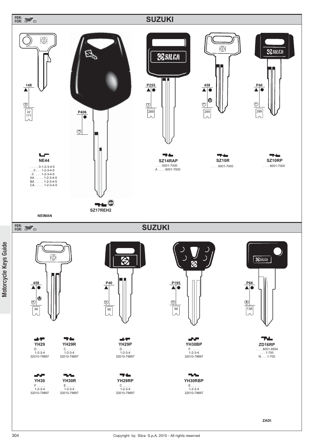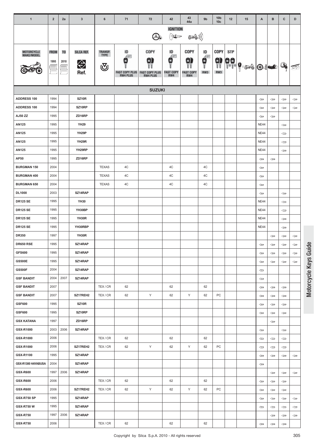| $\mathbf{1}$             | $\overline{2}$      | 2a                     | $\mathbf{3}$                      | 6                              | 71                                                       | 72                                                    | 42                                                                                                     | 43<br>44a                             | 9 <sub>b</sub>      | 10 <sub>b</sub><br>10 <sub>c</sub> | 12                          | 15       | A                     | B            | c                     | D                     |
|--------------------------|---------------------|------------------------|-----------------------------------|--------------------------------|----------------------------------------------------------|-------------------------------------------------------|--------------------------------------------------------------------------------------------------------|---------------------------------------|---------------------|------------------------------------|-----------------------------|----------|-----------------------|--------------|-----------------------|-----------------------|
|                          |                     |                        |                                   |                                |                                                          | $\bigcirc$                                            | <b>IGNITION</b><br>$\sum_{i=1}^{N} \prod_{j=1}^{N} \prod_{j=1}^{N} \mathbb{E} \mathbb{D}^{\mathbb{P}}$ | 546))                                 |                     |                                    |                             |          |                       |              |                       |                       |
| MOTORCYCLE<br>MAKE/MODEL | <b>FROM</b><br>1995 | T <sub>0</sub><br>2010 | SILCA REF.<br>$\bigoplus$<br>Ref. | TRANSP.<br><b>TYPE</b><br>্ত্য | ID<br>Æ<br>в<br><b>FAST COPY PLUS</b><br><b>RW4 PLUS</b> | COPY<br>Θ<br><b>FAST COPY PLUS</b><br><b>RW4 PLUS</b> | ID<br>Æ<br>С<br><b>FAST COPY</b><br>RW4                                                                | COPY<br>91<br><b>FAST COPY</b><br>RW4 | ID<br>Æ<br>Ũ<br>RW3 | COPY<br>Ŵ<br>RW3                   | <b>STP</b><br>$\frac{1}{2}$ | $P = 10$ |                       |              | Q,                    | 辱                     |
|                          |                     |                        |                                   |                                |                                                          | <b>SUZUKI</b>                                         |                                                                                                        |                                       |                     |                                    |                             |          |                       |              |                       |                       |
| <b>ADDRESS 100</b>       | 1994                |                        | <b>SZ10R</b>                      |                                |                                                          |                                                       |                                                                                                        |                                       |                     |                                    |                             |          | $\Leftarrow$          | $\Leftarrow$ | $\Leftarrow$          | $\Leftarrow$          |
| <b>ADDRESS 100</b>       | 1994                |                        | SZ10RP                            |                                |                                                          |                                                       |                                                                                                        |                                       |                     |                                    |                             |          | $\Leftarrow$          | $\Leftarrow$ | $\Leftarrow$          | $\Leftarrow$          |
| AJ50 ZZ                  | 1995                |                        | ZD16RP                            |                                |                                                          |                                                       |                                                                                                        |                                       |                     |                                    |                             |          | $\Leftarrow$          | $\Leftarrow$ |                       |                       |
| <b>AN125</b>             | 1995                |                        | <b>YH29</b>                       |                                |                                                          |                                                       |                                                                                                        |                                       |                     |                                    |                             |          | <b>NE44</b>           |              | $\Leftarrow$          |                       |
| <b>AN125</b>             | 1995                |                        | YH29P                             |                                |                                                          |                                                       |                                                                                                        |                                       |                     |                                    |                             |          | <b>NE44</b>           |              | $\Leftarrow$          |                       |
| AN125                    | 1995                |                        | YH29R                             |                                |                                                          |                                                       |                                                                                                        |                                       |                     |                                    |                             |          | <b>NE44</b>           |              | $\Leftarrow$          |                       |
| AN125                    | 1995                |                        | YH29RP                            |                                |                                                          |                                                       |                                                                                                        |                                       |                     |                                    |                             |          | <b>NE44</b>           |              | $\Leftarrow$          |                       |
| AP50                     | 1995                |                        | ZD16RP                            |                                |                                                          |                                                       |                                                                                                        |                                       |                     |                                    |                             |          | $\Leftarrow$          | $\Leftarrow$ |                       |                       |
| <b>BURGMAN 150</b>       | 2004                |                        |                                   | <b>TEXAS</b>                   | 4C                                                       |                                                       | 4C                                                                                                     |                                       | 4C                  |                                    |                             |          | $\Leftarrow$          |              |                       |                       |
| <b>BURGMAN 400</b>       | 2004                |                        |                                   | <b>TEXAS</b>                   | 4C                                                       |                                                       | 4C                                                                                                     |                                       | 4C                  |                                    |                             |          | $\Leftarrow$          |              |                       |                       |
| <b>BURGMAN 650</b>       | 2004                |                        |                                   | <b>TEXAS</b>                   | 4C                                                       |                                                       | 4C                                                                                                     |                                       | 4C                  |                                    |                             |          | $\Leftarrow$          |              |                       |                       |
| <b>DL1000</b>            | 2003                |                        | SZ14RAP                           |                                |                                                          |                                                       |                                                                                                        |                                       |                     |                                    |                             |          | $\Leftarrow$          |              | $\Leftarrow$          |                       |
| <b>DR125 SE</b>          | 1995                |                        | <b>YH30</b>                       |                                |                                                          |                                                       |                                                                                                        |                                       |                     |                                    |                             |          | <b>NE44</b>           |              | $\Leftarrow$          |                       |
| <b>DR125 SE</b>          | 1995                |                        | YH30BP                            |                                |                                                          |                                                       |                                                                                                        |                                       |                     |                                    |                             |          | <b>NE44</b>           |              | $\Leftarrow$          |                       |
| <b>DR125 SE</b>          | 1995                |                        | YH30R                             |                                |                                                          |                                                       |                                                                                                        |                                       |                     |                                    |                             |          | <b>NE44</b>           |              | $\Leftarrow$          |                       |
| <b>DR125 SE</b>          | 1995                |                        | YH30RBP                           |                                |                                                          |                                                       |                                                                                                        |                                       |                     |                                    |                             |          | <b>NE44</b>           |              | $\Leftarrow$          |                       |
| <b>DR350</b>             | 1997                |                        | YH30R                             |                                |                                                          |                                                       |                                                                                                        |                                       |                     |                                    |                             |          |                       | ⇔            | $\Leftarrow$          | $\Leftarrow$          |
| <b>DR650 RSE</b>         | 1995                |                        | SZ14RAP                           |                                |                                                          |                                                       |                                                                                                        |                                       |                     |                                    |                             |          | $\Leftarrow$          | ⇔            | ⇔                     | $\Longleftrightarrow$ |
| <b>GFS600</b>            | 1995                |                        | SZ14RAP                           |                                |                                                          |                                                       |                                                                                                        |                                       |                     |                                    |                             |          | $\Leftarrow$          | $\Leftarrow$ | $\Leftarrow$          | $\Leftarrow$          |
| <b>GS500E</b>            | 1995                |                        | SZ14RAP                           |                                |                                                          |                                                       |                                                                                                        |                                       |                     |                                    |                             |          | $\Leftarrow$          | $\Leftarrow$ | $\Leftarrow$          | $\Leftarrow$          |
| <b>GS500F</b>            | 2004                |                        | SZ14RAP                           |                                |                                                          |                                                       |                                                                                                        |                                       |                     |                                    |                             |          | $\Leftarrow$          |              |                       |                       |
| <b>GSF BANDIT</b>        | 2004                | 2007                   | SZ14RAP                           |                                |                                                          |                                                       |                                                                                                        |                                       |                     |                                    |                             |          | $\Leftarrow$          |              |                       |                       |
| <b>GSF BANDIT</b>        | 2007                |                        |                                   | TEX/CR                         | 62                                                       |                                                       | 62                                                                                                     |                                       | 62                  |                                    |                             |          | $\Leftarrow$          | $\Leftarrow$ | $\Longleftrightarrow$ |                       |
| <b>GSF BANDIT</b>        | 2007                |                        | SZ17REH2                          | TEX/CR                         | 62                                                       | Υ                                                     | 62                                                                                                     | Y                                     | 62                  | PC                                 |                             |          | $\Leftarrow$          | $\Leftarrow$ | $\Leftarrow$          |                       |
| <b>GSF600</b>            | 1995                |                        | <b>SZ10R</b>                      |                                |                                                          |                                                       |                                                                                                        |                                       |                     |                                    |                             |          | $\Leftarrow$          | $\Leftarrow$ | $\Leftarrow$          |                       |
| GSF600                   | 1995                |                        | SZ10RP                            |                                |                                                          |                                                       |                                                                                                        |                                       |                     |                                    |                             |          | $\Leftarrow$          | ⇔            | $\Leftarrow$          |                       |
| <b>GSX KATANA</b>        | 1997                |                        | ZD16RP                            |                                |                                                          |                                                       |                                                                                                        |                                       |                     |                                    |                             |          |                       | $\Leftarrow$ |                       |                       |
| GSX-R1000                | 2003                | 2006                   | SZ14RAP                           |                                |                                                          |                                                       |                                                                                                        |                                       |                     |                                    |                             |          | $\Leftarrow$          |              | $\Leftarrow$          |                       |
| GSX-R1000                | 2006                |                        |                                   | TEX/CR                         | 62                                                       |                                                       | 62                                                                                                     |                                       | 62                  |                                    |                             |          | $\Leftarrow$          | $\Leftarrow$ | $\Leftarrow$          |                       |
| GSX-R1000                | 2006                |                        | SZ17REH2                          | TEX/CR                         | 62                                                       | Y                                                     | 62                                                                                                     | Y                                     | 62                  | PC                                 |                             |          | $\Leftarrow$          | $\Leftarrow$ | $\Leftarrow$          |                       |
| GSX-R1100                | 1995                |                        | SZ14RAP                           |                                |                                                          |                                                       |                                                                                                        |                                       |                     |                                    |                             |          | $\Leftarrow$          | $\Leftarrow$ | $\Leftarrow$          | $\Leftarrow$          |
| GSX-R1300 HAYABUSA       | 2004                |                        | SZ14RAP                           |                                |                                                          |                                                       |                                                                                                        |                                       |                     |                                    |                             |          | $\Leftarrow$          |              |                       |                       |
| <b>GSX-R600</b>          | 1997                | 2006                   | SZ14RAP                           |                                |                                                          |                                                       |                                                                                                        |                                       |                     |                                    |                             |          |                       | $\Leftarrow$ | $\Leftarrow$          | $\Leftarrow$          |
| <b>GSX-R600</b>          | 2006                |                        |                                   | TEX/CR                         | 62                                                       |                                                       | 62                                                                                                     |                                       | 62                  |                                    |                             |          | $\Longleftrightarrow$ | $\Leftarrow$ | $\iff$                |                       |
| <b>GSX-R600</b>          | 2006                |                        | SZ17REH2                          | TEX/CR                         | 62                                                       | Y                                                     | 62                                                                                                     | Y                                     | 62                  | PC                                 |                             |          | $\Leftarrow$          | $\Leftarrow$ | $\Leftarrow$          |                       |
| <b>GSX-R750 SP</b>       | 1995                |                        | SZ14RAP                           |                                |                                                          |                                                       |                                                                                                        |                                       |                     |                                    |                             |          | $\Leftarrow$          | $\Leftarrow$ | $\Leftarrow$          | $\Leftarrow$          |
| <b>GSX-R750 W</b>        | 1995                |                        | SZ14RAP                           |                                |                                                          |                                                       |                                                                                                        |                                       |                     |                                    |                             |          | $\Leftarrow$          | $\Leftarrow$ | $\Leftarrow$          | $\Leftarrow$          |
| <b>GSX-R750</b>          | 1997                | 2006                   | SZ14RAP                           |                                |                                                          |                                                       |                                                                                                        |                                       |                     |                                    |                             |          |                       | $\Leftarrow$ | $\Leftarrow$          | $\Leftarrow$          |
| <b>GSX-R750</b>          | 2006                |                        |                                   | TEX/CR                         | 62                                                       |                                                       | 62                                                                                                     |                                       | 62                  |                                    |                             |          | $\Longleftrightarrow$ | $\Leftarrow$ | $\iff$                |                       |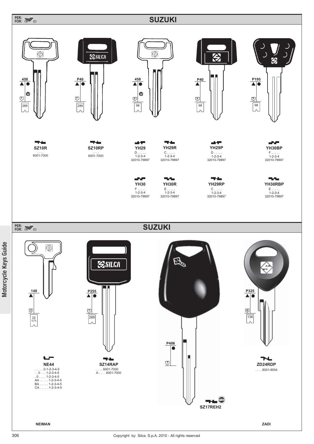## **PER: FOR:**

# **SUZUKI**

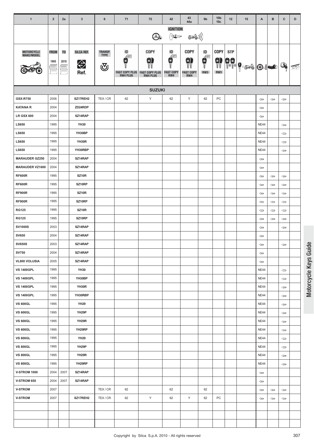| $\mathbf{1}$             | $\mathbf 2$              | 2a                     | $\mathbf{3}$                      | $6\phantom{1}$                        | 71                                                        | 72                                                    | 42                                                                                                               | 43<br>44a                                    | 9 <sub>b</sub>         | 10 <sub>b</sub><br>10 <sub>c</sub> | 12                     | 15                                          | A            | $\, {\bf B}$ | $\mathbf{C}$                        | D                                                                                                                                                                                                                                                                                                                                             |
|--------------------------|--------------------------|------------------------|-----------------------------------|---------------------------------------|-----------------------------------------------------------|-------------------------------------------------------|------------------------------------------------------------------------------------------------------------------|----------------------------------------------|------------------------|------------------------------------|------------------------|---------------------------------------------|--------------|--------------|-------------------------------------|-----------------------------------------------------------------------------------------------------------------------------------------------------------------------------------------------------------------------------------------------------------------------------------------------------------------------------------------------|
|                          |                          |                        |                                   |                                       |                                                           | $\bigcirc$                                            | <b>IGNITION</b><br>$\sum_{i=1}^{N} \sum_{j=1}^{N} \prod_{j=1}^{N} \mathbb{E} \mathbb{E} \mathbb{P}^{\mathbb{P}}$ | ((( کی                                       |                        |                                    |                        |                                             |              |              |                                     |                                                                                                                                                                                                                                                                                                                                               |
| MOTORCYCLE<br>MAKE/MODEL | <b>FROM</b><br>1995<br>÷ | T <sub>0</sub><br>2010 | SILCA REF.<br>$\bigoplus$<br>Ref. | <b>TRANSP.</b><br><b>TYPE</b><br>ভ্যূ | ID<br>Æ.<br>в<br><b>FAST COPY PLUS</b><br><b>RW4 PLUS</b> | COPY<br>9<br><b>FAST COPY PLUS</b><br><b>RW4 PLUS</b> | ID<br>Æ<br>Е<br><b>FAST COPY</b><br>RW4                                                                          | <b>COPY</b><br>0)<br><b>FAST COPY</b><br>RW4 | ID<br>$\vec{q}$<br>RW3 | <b>COPY</b><br>s)<br>VV<br>RW3     | <b>STP</b><br>80.<br>1 | $  \cdot   \cdot   \cdot   \cdot   \cdot  $ |              |              | Q,                                  | $\begin{picture}(20,20) \put(0,0){\line(1,0){155}} \put(15,0){\line(1,0){155}} \put(15,0){\line(1,0){155}} \put(15,0){\line(1,0){155}} \put(15,0){\line(1,0){155}} \put(15,0){\line(1,0){155}} \put(15,0){\line(1,0){155}} \put(15,0){\line(1,0){155}} \put(15,0){\line(1,0){155}} \put(15,0){\line(1,0){155}} \put(15,0){\line(1,0){155}} \$ |
|                          |                          |                        |                                   |                                       |                                                           | <b>SUZUKI</b>                                         |                                                                                                                  |                                              |                        |                                    |                        |                                             |              |              |                                     |                                                                                                                                                                                                                                                                                                                                               |
| <b>GSX-R750</b>          | 2006                     |                        | SZ17REH2                          | TEX/CR                                | 62                                                        | Y                                                     | 62                                                                                                               | Y                                            | 62                     | PC                                 |                        |                                             | $\Leftarrow$ | $\Leftarrow$ | $\Longleftrightarrow$               |                                                                                                                                                                                                                                                                                                                                               |
| <b>KATANA R</b>          | 2004                     |                        | ZD24RDP                           |                                       |                                                           |                                                       |                                                                                                                  |                                              |                        |                                    |                        |                                             | $\Leftarrow$ |              |                                     |                                                                                                                                                                                                                                                                                                                                               |
| <b>LR GSX 600</b>        | 2004                     |                        | SZ14RAP                           |                                       |                                                           |                                                       |                                                                                                                  |                                              |                        |                                    |                        |                                             | $\Leftarrow$ |              |                                     |                                                                                                                                                                                                                                                                                                                                               |
| <b>LS650</b>             | 1995                     |                        | <b>YH30</b>                       |                                       |                                                           |                                                       |                                                                                                                  |                                              |                        |                                    |                        |                                             | <b>NE44</b>  |              | $\Leftarrow$                        |                                                                                                                                                                                                                                                                                                                                               |
| <b>LS650</b>             | 1995                     |                        | YH30BP                            |                                       |                                                           |                                                       |                                                                                                                  |                                              |                        |                                    |                        |                                             | <b>NE44</b>  |              | $\Leftarrow$                        |                                                                                                                                                                                                                                                                                                                                               |
| <b>LS650</b>             | 1995                     |                        | YH30R                             |                                       |                                                           |                                                       |                                                                                                                  |                                              |                        |                                    |                        |                                             | <b>NE44</b>  |              | $\Leftarrow$                        |                                                                                                                                                                                                                                                                                                                                               |
| <b>LS650</b>             | 1995                     |                        | YH30RBP                           |                                       |                                                           |                                                       |                                                                                                                  |                                              |                        |                                    |                        |                                             | <b>NE44</b>  |              | $\Leftarrow$                        |                                                                                                                                                                                                                                                                                                                                               |
| <b>MARAUDER GZ250</b>    | 2004                     |                        | SZ14RAP                           |                                       |                                                           |                                                       |                                                                                                                  |                                              |                        |                                    |                        |                                             | $\Leftarrow$ |              |                                     |                                                                                                                                                                                                                                                                                                                                               |
| <b>MARAUDER VZ1600</b>   | 2004                     |                        | SZ14RAP                           |                                       |                                                           |                                                       |                                                                                                                  |                                              |                        |                                    |                        |                                             | $\Leftarrow$ |              |                                     |                                                                                                                                                                                                                                                                                                                                               |
| <b>RF600R</b>            | 1995                     |                        | SZ10R                             |                                       |                                                           |                                                       |                                                                                                                  |                                              |                        |                                    |                        |                                             | $\Leftarrow$ | $\Leftarrow$ | $\Leftarrow$                        |                                                                                                                                                                                                                                                                                                                                               |
| <b>RF600R</b>            | 1995                     |                        | SZ10RP                            |                                       |                                                           |                                                       |                                                                                                                  |                                              |                        |                                    |                        |                                             | $\Leftarrow$ | $\Leftarrow$ | $\Leftarrow$                        |                                                                                                                                                                                                                                                                                                                                               |
| <b>RF900R</b>            | 1995                     |                        | <b>SZ10R</b>                      |                                       |                                                           |                                                       |                                                                                                                  |                                              |                        |                                    |                        |                                             | $\Leftarrow$ | ⇔            | $\Leftarrow$                        |                                                                                                                                                                                                                                                                                                                                               |
| <b>RF900R</b>            | 1995                     |                        | SZ10RP                            |                                       |                                                           |                                                       |                                                                                                                  |                                              |                        |                                    |                        |                                             | $\Leftarrow$ | $\Leftarrow$ | $\Leftarrow$                        |                                                                                                                                                                                                                                                                                                                                               |
| <b>RG125</b>             | 1995                     |                        | SZ10R                             |                                       |                                                           |                                                       |                                                                                                                  |                                              |                        |                                    |                        |                                             | $\Leftarrow$ | $\Leftarrow$ | $\Leftarrow$                        |                                                                                                                                                                                                                                                                                                                                               |
| <b>RG125</b>             | 1995                     |                        | SZ10RP                            |                                       |                                                           |                                                       |                                                                                                                  |                                              |                        |                                    |                        |                                             | $\Leftarrow$ | ⇔            | $\Leftarrow$                        |                                                                                                                                                                                                                                                                                                                                               |
| <b>SV1000S</b>           | 2003                     |                        | SZ14RAP                           |                                       |                                                           |                                                       |                                                                                                                  |                                              |                        |                                    |                        |                                             | $\Leftarrow$ |              | $\Leftarrow$                        |                                                                                                                                                                                                                                                                                                                                               |
| <b>SV650</b>             | 2004                     |                        | SZ14RAP                           |                                       |                                                           |                                                       |                                                                                                                  |                                              |                        |                                    |                        |                                             | $\Leftarrow$ |              |                                     |                                                                                                                                                                                                                                                                                                                                               |
| <b>SV650S</b>            | 2003                     |                        | SZ14RAP                           |                                       |                                                           |                                                       |                                                                                                                  |                                              |                        |                                    |                        |                                             | $\Leftarrow$ |              | $\Leftarrow$                        |                                                                                                                                                                                                                                                                                                                                               |
| <b>SV750</b>             | 2004                     |                        | SZ14RAP                           |                                       |                                                           |                                                       |                                                                                                                  |                                              |                        |                                    |                        |                                             | $\Leftarrow$ |              |                                     |                                                                                                                                                                                                                                                                                                                                               |
| VL800 VOLUSIA            | 2005                     |                        | SZ14RAP                           |                                       |                                                           |                                                       |                                                                                                                  |                                              |                        |                                    |                        |                                             | $\Leftarrow$ |              |                                     |                                                                                                                                                                                                                                                                                                                                               |
| <b>VS 1400GPL</b>        | 1995                     |                        | <b>YH30</b>                       |                                       |                                                           |                                                       |                                                                                                                  |                                              |                        |                                    |                        |                                             | <b>NE44</b>  |              | $\Leftarrow$                        |                                                                                                                                                                                                                                                                                                                                               |
| <b>VS 1400GPL</b>        | 1995                     |                        | YH30BP                            |                                       |                                                           |                                                       |                                                                                                                  |                                              |                        |                                    |                        |                                             | <b>NE44</b>  |              | $\iff$                              |                                                                                                                                                                                                                                                                                                                                               |
| <b>VS 1400GPL</b>        | 1995                     |                        | YH30R                             |                                       |                                                           |                                                       |                                                                                                                  |                                              |                        |                                    |                        |                                             | <b>NE44</b>  |              | $\Leftarrow$                        |                                                                                                                                                                                                                                                                                                                                               |
| <b>VS 1400GPL</b>        | 1995                     |                        | YH30RBP                           |                                       |                                                           |                                                       |                                                                                                                  |                                              |                        |                                    |                        |                                             | <b>NE44</b>  |              | $\Leftarrow$                        |                                                                                                                                                                                                                                                                                                                                               |
| <b>VS 600GL</b>          | 1995                     |                        | <b>YH29</b>                       |                                       |                                                           |                                                       |                                                                                                                  |                                              |                        |                                    |                        |                                             | <b>NE44</b>  |              | $\Leftarrow$                        |                                                                                                                                                                                                                                                                                                                                               |
| <b>VS 600GL</b>          | 1995                     |                        | YH29P                             |                                       |                                                           |                                                       |                                                                                                                  |                                              |                        |                                    |                        |                                             | <b>NE44</b>  |              | $\Leftarrow$                        |                                                                                                                                                                                                                                                                                                                                               |
| <b>VS 600GL</b>          | 1995                     |                        | YH29R                             |                                       |                                                           |                                                       |                                                                                                                  |                                              |                        |                                    |                        |                                             | <b>NE44</b>  |              | $\qquad \qquad \Longleftrightarrow$ |                                                                                                                                                                                                                                                                                                                                               |
| <b>VS 600GL</b>          | 1995                     |                        | YH29RP                            |                                       |                                                           |                                                       |                                                                                                                  |                                              |                        |                                    |                        |                                             | <b>NE44</b>  |              | $\Leftarrow$                        |                                                                                                                                                                                                                                                                                                                                               |
| <b>VS 800GL</b>          | 1995                     |                        | <b>YH29</b>                       |                                       |                                                           |                                                       |                                                                                                                  |                                              |                        |                                    |                        |                                             | <b>NE44</b>  |              | $\Leftarrow$                        |                                                                                                                                                                                                                                                                                                                                               |
| <b>VS 800GL</b>          | 1995                     |                        | YH29P                             |                                       |                                                           |                                                       |                                                                                                                  |                                              |                        |                                    |                        |                                             | <b>NE44</b>  |              | $\Leftarrow$                        |                                                                                                                                                                                                                                                                                                                                               |
| <b>VS 800GL</b>          | 1995                     |                        | YH <sub>29</sub> R                |                                       |                                                           |                                                       |                                                                                                                  |                                              |                        |                                    |                        |                                             | <b>NE44</b>  |              | $\qquad \qquad \Longleftrightarrow$ |                                                                                                                                                                                                                                                                                                                                               |
| <b>VS 800GL</b>          | 1995                     |                        | YH29RP                            |                                       |                                                           |                                                       |                                                                                                                  |                                              |                        |                                    |                        |                                             | <b>NE44</b>  |              | $\Leftarrow$                        |                                                                                                                                                                                                                                                                                                                                               |
| <b>V-STROM 1000</b>      | 2004                     | 2007                   | SZ14RAP                           |                                       |                                                           |                                                       |                                                                                                                  |                                              |                        |                                    |                        |                                             | $\Leftarrow$ |              |                                     |                                                                                                                                                                                                                                                                                                                                               |
| V-STROM 650              | 2004                     | 2007                   | SZ14RAP                           |                                       |                                                           |                                                       |                                                                                                                  |                                              |                        |                                    |                        |                                             | $\Leftarrow$ |              |                                     |                                                                                                                                                                                                                                                                                                                                               |
| <b>V-STROM</b>           | 2007                     |                        |                                   | TEX/CR                                | 62                                                        |                                                       | 62                                                                                                               |                                              | 62                     |                                    |                        |                                             | $\Leftarrow$ | $\Leftarrow$ | $\Leftarrow$                        |                                                                                                                                                                                                                                                                                                                                               |
| <b>V-STROM</b>           | 2007                     |                        | SZ17REH2                          | TEX/CR                                | 62                                                        | Υ                                                     | 62                                                                                                               | Y                                            | 62                     | PC                                 |                        |                                             | $\Leftarrow$ | $\Leftarrow$ | $\Leftarrow$                        |                                                                                                                                                                                                                                                                                                                                               |
|                          |                          |                        |                                   |                                       |                                                           |                                                       |                                                                                                                  |                                              |                        |                                    |                        |                                             |              |              |                                     |                                                                                                                                                                                                                                                                                                                                               |
|                          |                          |                        |                                   |                                       |                                                           |                                                       |                                                                                                                  |                                              |                        |                                    |                        |                                             |              |              |                                     |                                                                                                                                                                                                                                                                                                                                               |
|                          |                          |                        |                                   |                                       |                                                           |                                                       |                                                                                                                  |                                              |                        |                                    |                        |                                             |              |              |                                     |                                                                                                                                                                                                                                                                                                                                               |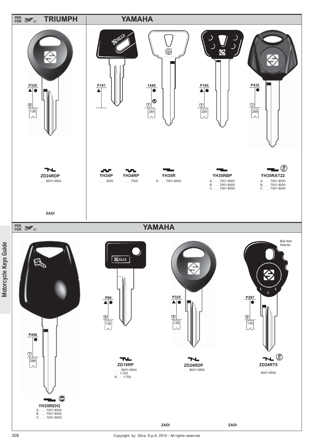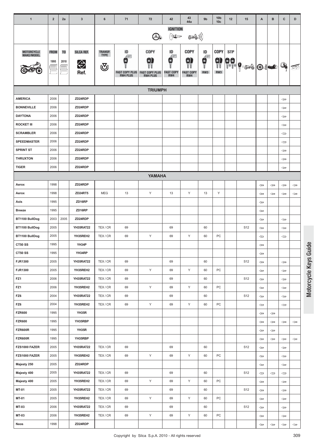| $\overline{1}$                      | $\overline{2}$ | 2a             | $\mathbf{3}$       | 6                             | 71                                       | 72                                       | 42                                                                                 | 43<br>44a                                                                                       | 9 <sub>b</sub>                                                             | 10 <sub>b</sub><br>10 <sub>c</sub> | 12         | 15                          | Α                                              | B            | c                            | D                                   |
|-------------------------------------|----------------|----------------|--------------------|-------------------------------|------------------------------------------|------------------------------------------|------------------------------------------------------------------------------------|-------------------------------------------------------------------------------------------------|----------------------------------------------------------------------------|------------------------------------|------------|-----------------------------|------------------------------------------------|--------------|------------------------------|-------------------------------------|
|                                     |                |                |                    |                               |                                          |                                          | <b>IGNITION</b>                                                                    |                                                                                                 |                                                                            |                                    |            |                             |                                                |              |                              |                                     |
|                                     |                |                |                    |                               |                                          | 4                                        | $\sum_{i=1}^{N} \sum_{j=1}^{N} \prod_{j=1}^{N} \mathbb{E} \mathbb{D} \mathbb{P}^n$ | $\left(\left(\left(\begin{smallmatrix} 1 & 0 \\ 0 & 0 \end{smallmatrix}\right) \right) \right)$ |                                                                            |                                    |            |                             |                                                |              |                              |                                     |
|                                     |                |                |                    |                               |                                          | COPY                                     | ID                                                                                 |                                                                                                 |                                                                            |                                    |            |                             |                                                |              |                              |                                     |
| MOTORCYCLE<br><b>MAKE/MODEL</b>     | <b>FROM</b>    | T <sub>0</sub> | SILCA REF.         | <b>TRANSP.</b><br><b>TYPE</b> | ID                                       | $\left( \mathbf{s}\right)$               | Æ<br>0                                                                             | <b>COPY</b><br>0)                                                                               | ID<br>$\begin{matrix} \mathbf{c} \\ \mathbf{c} \\ \mathbf{d} \end{matrix}$ | <b>COPY</b>                        | <b>STP</b> |                             |                                                |              |                              |                                     |
|                                     | 1995           | 2010           | $\bigoplus$        | ত্ৰ                           | в                                        |                                          |                                                                                    |                                                                                                 |                                                                            | s)<br>Vi                           | ee<br>1    | $\left  \mathbf{P} \right $ |                                                | $\bigcirc$   | Q,                           | 尽                                   |
|                                     |                | $\triangleq$   | Ref.               |                               | <b>FAST COPY PLUS</b><br><b>RW4 PLUS</b> | <b>FAST COPY PLUS</b><br><b>RW4 PLUS</b> | <b>FAST COP</b><br>RW4                                                             | <b>FAST COPY</b><br>RW4                                                                         | RW3                                                                        | RW3                                |            |                             |                                                |              |                              |                                     |
|                                     |                |                |                    |                               |                                          |                                          |                                                                                    |                                                                                                 |                                                                            |                                    |            |                             |                                                |              |                              |                                     |
|                                     |                |                |                    |                               |                                          | <b>TRIUMPH</b>                           |                                                                                    |                                                                                                 |                                                                            |                                    |            |                             |                                                |              |                              |                                     |
| <b>AMERICA</b>                      | 2006           |                | ZD24RDP            |                               |                                          |                                          |                                                                                    |                                                                                                 |                                                                            |                                    |            |                             |                                                |              | $\Leftarrow$                 |                                     |
| <b>BONNEVILLE</b>                   | 2006           |                | ZD24RDP            |                               |                                          |                                          |                                                                                    |                                                                                                 |                                                                            |                                    |            |                             |                                                |              | $\Leftarrow$                 |                                     |
| <b>DAYTONA</b>                      | 2006           |                | ZD24RDP            |                               |                                          |                                          |                                                                                    |                                                                                                 |                                                                            |                                    |            |                             |                                                |              | $\Leftarrow$                 |                                     |
| <b>ROCKET III</b>                   | 2006           |                | ZD24RDP            |                               |                                          |                                          |                                                                                    |                                                                                                 |                                                                            |                                    |            |                             |                                                |              | $\Leftarrow$                 |                                     |
| <b>SCRAMBLER</b>                    | 2006           |                | ZD24RDP            |                               |                                          |                                          |                                                                                    |                                                                                                 |                                                                            |                                    |            |                             |                                                |              | $\Leftarrow$                 |                                     |
| <b>SPEEDMASTER</b>                  | 2006           |                | ZD24RDP            |                               |                                          |                                          |                                                                                    |                                                                                                 |                                                                            |                                    |            |                             |                                                |              | $\Leftarrow$                 |                                     |
| <b>SPRINT ST</b><br><b>THRUXTON</b> | 2006           |                | ZD24RDP<br>ZD24RDP |                               |                                          |                                          |                                                                                    |                                                                                                 |                                                                            |                                    |            |                             |                                                |              | $\Leftarrow$                 |                                     |
| <b>TIGER</b>                        | 2006<br>2006   |                | ZD24RDP            |                               |                                          |                                          |                                                                                    |                                                                                                 |                                                                            |                                    |            |                             |                                                |              | $\Leftarrow$                 |                                     |
|                                     |                |                |                    |                               |                                          |                                          |                                                                                    |                                                                                                 |                                                                            |                                    |            |                             |                                                |              | $\Leftarrow$                 |                                     |
|                                     |                |                |                    |                               |                                          | <b>YAMAHA</b>                            |                                                                                    |                                                                                                 |                                                                            |                                    |            |                             |                                                |              |                              |                                     |
| Aerox                               | 1998           |                | ZD24RDP            |                               |                                          |                                          |                                                                                    |                                                                                                 |                                                                            |                                    |            |                             | $\Leftarrow$                                   | $\Leftarrow$ | $\Leftarrow$                 | $\Leftarrow$                        |
| Aerox                               | 1998           |                | <b>ZD24RT5</b>     | <b>MEG</b>                    | 13                                       | Υ                                        | 13                                                                                 | Y                                                                                               | 13                                                                         | Y                                  |            |                             | $\Leftarrow$                                   | $\Leftarrow$ | $\Leftarrow$                 | $\qquad \qquad \Longleftrightarrow$ |
| Axis                                | 1995           |                | ZD16RP             |                               |                                          |                                          |                                                                                    |                                                                                                 |                                                                            |                                    |            |                             | $\Leftarrow$                                   |              |                              |                                     |
| <b>Breeze</b>                       | 1995           |                | ZD16RP<br>ZD24RDP  |                               |                                          |                                          |                                                                                    |                                                                                                 |                                                                            |                                    |            |                             | $\Leftarrow$                                   |              |                              |                                     |
| BT1100 BullDog                      | 2003<br>2005   | 2005           | YH35RAT22          | TEX/CR                        | 69                                       |                                          | 69                                                                                 |                                                                                                 |                                                                            |                                    |            | S <sub>12</sub>             | $\Leftarrow$                                   |              | $\Leftarrow$                 |                                     |
| BT1100 BullDog<br>BT1100 BullDog    | 2005           |                | YH35REH2           |                               |                                          | Υ                                        | 69                                                                                 | Υ                                                                                               | 60                                                                         | PC                                 |            |                             | $\Longleftrightarrow$                          |              | $\Leftarrow$                 |                                     |
| CT50 SS                             | 1995           |                | YH34P              | TEX/CR                        | 69                                       |                                          |                                                                                    |                                                                                                 | 60                                                                         |                                    |            |                             | $\Leftarrow$                                   |              | $\Leftarrow$                 |                                     |
| CT50 SS                             | 1995           |                | YH34RP             |                               |                                          |                                          |                                                                                    |                                                                                                 |                                                                            |                                    |            |                             | $\Leftarrow$                                   |              |                              |                                     |
| <b>FJR1300</b>                      | 2005           |                | YH35RAT22          | TEX/CR                        | 69                                       |                                          | 69                                                                                 |                                                                                                 | 60                                                                         |                                    |            | S12                         | $\Longleftrightarrow$<br>$\Longleftrightarrow$ |              | $\Leftarrow$                 |                                     |
| <b>FJR1300</b>                      | 2005           |                | YH35REH2           | TEX/CR                        | 69                                       | Y                                        | 69                                                                                 | Y                                                                                               | 60                                                                         | PC                                 |            |                             | $\Longleftrightarrow$                          |              |                              |                                     |
| FZ1                                 | 2006           |                | YH35RAT22          | TEX/CR                        | 69                                       |                                          | 69                                                                                 |                                                                                                 | 60                                                                         |                                    |            | S12                         |                                                |              | $\Longleftrightarrow$        |                                     |
| FZ1                                 | 2006           |                | YH35REH2           | TEX/CR                        | 69                                       | Y                                        | 69                                                                                 | Y                                                                                               | 60                                                                         | PC                                 |            |                             | $\Longleftrightarrow$<br>$\Leftarrow$          |              | $\Leftarrow$<br>$\Leftarrow$ |                                     |
| FZ6                                 | 2004           |                | YH35RAT22          | TEX/CR                        | 69                                       |                                          | 69                                                                                 |                                                                                                 | 60                                                                         |                                    |            | S <sub>12</sub>             | $\Leftarrow$                                   |              | $\Leftarrow$                 |                                     |
| FZ6                                 | 2004           |                | YH35REH2           | TEX/CR                        | 69                                       | Y                                        | 69                                                                                 | Y                                                                                               | 60                                                                         | PC                                 |            |                             | $\Longleftrightarrow$                          |              | $\Leftarrow$                 |                                     |
| <b>FZR600</b>                       | 1995           |                | YH35R              |                               |                                          |                                          |                                                                                    |                                                                                                 |                                                                            |                                    |            |                             | $\Longleftrightarrow$                          | $\Leftarrow$ |                              |                                     |
| <b>FZR600</b>                       | 1995           |                | YH35RBP            |                               |                                          |                                          |                                                                                    |                                                                                                 |                                                                            |                                    |            |                             | $\Longleftrightarrow$                          | $\Leftarrow$ | $\Leftarrow$                 | $\Leftarrow$                        |
| <b>FZR600R</b>                      | 1995           |                | YH35R              |                               |                                          |                                          |                                                                                    |                                                                                                 |                                                                            |                                    |            |                             | $\Leftarrow$                                   | $\Leftarrow$ |                              |                                     |
| <b>FZR600R</b>                      | 1995           |                | YH35RBP            |                               |                                          |                                          |                                                                                    |                                                                                                 |                                                                            |                                    |            |                             | $\qquad \qquad \Longleftrightarrow$            | $\Leftarrow$ | $\Leftarrow$                 | $\Leftarrow$                        |
| FZS1000 FAZER                       | 2005           |                | YH35RAT22          | TEX/CR                        | 69                                       |                                          | 69                                                                                 |                                                                                                 | 60                                                                         |                                    |            | S12                         | $\Longleftrightarrow$                          |              | $\Leftarrow$                 |                                     |
| FZS1000 FAZER                       | 2005           |                | YH35REH2           | TEX/CR                        | 69                                       | Υ                                        | 69                                                                                 | Y                                                                                               | 60                                                                         | PC                                 |            |                             | $\Longleftrightarrow$                          |              | $\Leftarrow$                 |                                     |
| Majesty 250                         | 2005           |                | ZD24RDP            |                               |                                          |                                          |                                                                                    |                                                                                                 |                                                                            |                                    |            |                             | $\qquad \qquad \Longleftrightarrow$            |              | $\Leftarrow$                 |                                     |
| Majesty 400                         | 2005           |                | YH35RAT22          | TEX/CR                        | 69                                       |                                          | 69                                                                                 |                                                                                                 | 60                                                                         |                                    |            | S12                         | $\Leftarrow$                                   | $\Leftarrow$ | $\Leftarrow$                 |                                     |
| Majesty 400                         | 2005           |                | YH35REH2           | TEX/CR                        | 69                                       | Υ                                        | 69                                                                                 | Y                                                                                               | 60                                                                         | PC                                 |            |                             | $\Longleftrightarrow$                          |              | $\Leftarrow$                 |                                     |
| <b>MT-01</b>                        | 2005           |                | YH35RAT22          | TEX/CR                        | 69                                       |                                          | 69                                                                                 |                                                                                                 | 60                                                                         |                                    |            | S <sub>12</sub>             | $\Rightarrow$                                  |              | $\Leftarrow$                 |                                     |
| <b>MT-01</b>                        | 2005           |                | YH35REH2           | TEX/CR                        | 69                                       | Υ                                        | 69                                                                                 | Y                                                                                               | 60                                                                         | PC                                 |            |                             | $\Longleftrightarrow$                          |              | $\Leftarrow$                 |                                     |
| MT-03                               | 2006           |                | YH35RAT22          | TEX/CR                        | 69                                       |                                          | 69                                                                                 |                                                                                                 | 60                                                                         |                                    |            | S12                         | $\Leftarrow$                                   |              | $\Leftarrow$                 |                                     |
| MT-03                               | 2006           |                | YH35REH2           | TEX/CR                        | 69                                       | Y                                        | 69                                                                                 | Y                                                                                               | 60                                                                         | PC                                 |            |                             | $\Leftarrow$                                   |              | $\Leftarrow$                 |                                     |
| Neos                                | 1998           |                | ZD24RDP            |                               |                                          |                                          |                                                                                    |                                                                                                 |                                                                            |                                    |            |                             | $\Leftarrow$                                   | $\Leftarrow$ | $\Leftarrow$                 | $\leftarrow$                        |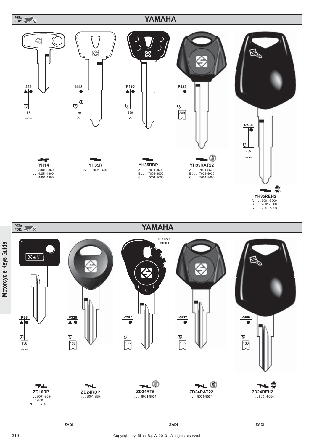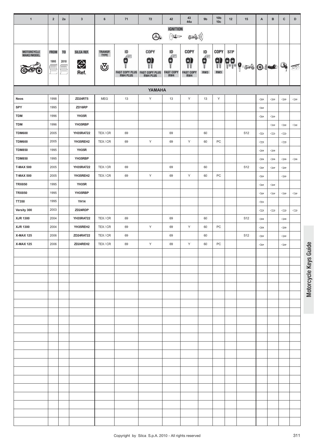| $\mathbf{1}$                   | $\overline{2}$      | 2a                          | $\mathbf{3}$            | $\bf 6$                            | 71                                                       | 72                                              | 42                                                                                         | 43<br>44a                                   | 9 <sub>b</sub>                                                                    | 10 <sub>b</sub><br>10 <sub>c</sub> | 12         | 15              | A                                   | в                            | $\mathbf{C}$          | D                                   |
|--------------------------------|---------------------|-----------------------------|-------------------------|------------------------------------|----------------------------------------------------------|-------------------------------------------------|--------------------------------------------------------------------------------------------|---------------------------------------------|-----------------------------------------------------------------------------------|------------------------------------|------------|-----------------|-------------------------------------|------------------------------|-----------------------|-------------------------------------|
|                                |                     |                             |                         |                                    |                                                          | O.                                              | <b>IGNITION</b><br>$\sum_{i=1}^{N} \sum_{j=1}^{N} \prod_{j=1}^{N} \mathbb{I}^{\text{top}}$ | 543))                                       |                                                                                   |                                    |            |                 |                                     |                              |                       |                                     |
| MOTORCYCLE<br>MAKE/MODEL       | <b>FROM</b><br>1995 | T <sub>0</sub><br>2010<br>= | SILCA REF.<br>⇔<br>Ref. | <b>TRANSP.</b><br><b>TYPE</b><br>ভ | ID<br>Æ<br>Е<br><b>FAST COPY PLUS</b><br><b>RW4 PLUS</b> | COPY<br>9<br><b>FAST COPY PLUS<br/>RW4 PLUS</b> | ID<br>$\mathbf{G}$<br><b>FAST COPY</b><br>RW4                                              | <b>COPY</b><br>9<br><b>FAST COPY</b><br>RW4 | ID<br>$\begin{matrix} \mathbf{e} \\ \mathbf{e} \\ \mathbf{f} \end{matrix}$<br>RW3 | <b>COPY</b><br>9<br>RW3            | <b>STP</b> | 99 0.10         |                                     |                              | $Q_{\phi}$            | 承                                   |
|                                |                     |                             |                         |                                    |                                                          | YAMAHA                                          |                                                                                            |                                             |                                                                                   |                                    |            |                 |                                     |                              |                       |                                     |
| Neos                           | 1998                |                             | ZD24RT5                 | <b>MEG</b>                         | 13                                                       | Υ                                               | 13                                                                                         | Υ                                           | 13                                                                                | Υ                                  |            |                 | $\Longleftrightarrow$               | $\Leftarrow$                 | $\Longleftrightarrow$ | $\qquad \qquad \Longleftrightarrow$ |
| SPY                            | 1995                |                             | ZD16RP                  |                                    |                                                          |                                                 |                                                                                            |                                             |                                                                                   |                                    |            |                 | $\Leftarrow$                        |                              |                       |                                     |
| <b>TDM</b>                     | 1996                |                             | YH35R                   |                                    |                                                          |                                                 |                                                                                            |                                             |                                                                                   |                                    |            |                 | $\Leftarrow$                        | $\Leftarrow$                 |                       |                                     |
| <b>TDM</b>                     | 1996                |                             | YH35RBP                 |                                    |                                                          |                                                 |                                                                                            |                                             |                                                                                   |                                    |            |                 |                                     | $\Leftarrow$                 | $\Leftarrow$          | $\Longleftrightarrow$               |
| <b>TDM600</b>                  | 2005                |                             | YH35RAT22               | TEX/CR                             | 69                                                       |                                                 | 69                                                                                         |                                             | 60                                                                                |                                    |            | S <sub>12</sub> | $\Leftarrow$                        | $\Leftarrow$                 | $\Leftarrow$          |                                     |
| <b>TDM600</b>                  | 2005                |                             | YH35REH2                | TEX/CR                             | 69                                                       | Υ                                               | 69                                                                                         | Υ                                           | 60                                                                                | PC                                 |            |                 | $\Leftarrow$                        |                              | $\Leftarrow$          |                                     |
| <b>TDM850</b><br><b>TDM850</b> | 1995<br>1995        |                             | YH35R<br>YH35RBP        |                                    |                                                          |                                                 |                                                                                            |                                             |                                                                                   |                                    |            |                 | $\Leftarrow$<br>$\Leftarrow$        | $\Leftarrow$<br>$\Leftarrow$ | $\Leftarrow$          | $\Leftarrow$                        |
| <b>T-MAX 500</b>               | 2005                |                             | YH35RAT22               | TEX/CR                             | 69                                                       |                                                 | 69                                                                                         |                                             | 60                                                                                |                                    |            | S12             | $\Leftarrow$                        | $\Leftarrow$                 | $\Leftarrow$          |                                     |
| <b>T-MAX 500</b>               | 2005                |                             | YH35REH2                | TEX/CR                             | 69                                                       | Υ                                               | 69                                                                                         | Υ                                           | 60                                                                                | PC                                 |            |                 | $\Leftarrow$                        |                              | $\Leftarrow$          |                                     |
| <b>TRX850</b>                  | 1995                |                             | YH35R                   |                                    |                                                          |                                                 |                                                                                            |                                             |                                                                                   |                                    |            |                 | $\Leftarrow$                        | $\Leftarrow$                 |                       |                                     |
| <b>TRX850</b>                  | 1995                |                             | YH35RBP                 |                                    |                                                          |                                                 |                                                                                            |                                             |                                                                                   |                                    |            |                 | $\qquad \qquad \Longleftrightarrow$ | $\Leftarrow$                 | $\Leftarrow$          | $\Leftarrow$                        |
| TT350                          | 1995                |                             | <b>YH14</b>             |                                    |                                                          |                                                 |                                                                                            |                                             |                                                                                   |                                    |            |                 | $\Longleftrightarrow$               |                              |                       |                                     |
| Versity 300                    | 2003                |                             | ZD24RDP                 |                                    |                                                          |                                                 |                                                                                            |                                             |                                                                                   |                                    |            |                 | $\Leftarrow$                        | $\Leftarrow$                 | $\Leftarrow$          | $\Leftarrow$                        |
| XJR 1300                       | 2004                |                             | YH35RAT22               | TEX/CR                             | 69                                                       |                                                 | 69                                                                                         |                                             | 60                                                                                |                                    |            | S12             | $\Leftarrow$                        |                              | $\Leftarrow$          |                                     |
| XJR 1300                       | 2004                |                             | YH35REH2                | TEX/CR                             | 69                                                       | Y                                               | 69                                                                                         | Υ                                           | 60                                                                                | PC                                 |            |                 | $\Leftarrow$                        |                              | $\Leftarrow$          |                                     |
| <b>X-MAX 125</b>               | 2006                |                             | ZD24RAT22               | TEX/CR                             | 69                                                       |                                                 | 69                                                                                         |                                             | 60                                                                                |                                    |            | S12             | $\Leftarrow$                        |                              | $\Leftarrow$          |                                     |
| <b>X-MAX 125</b>               | 2006                |                             | ZD24REH2                | TEX/CR                             | 69                                                       | Y                                               | 69                                                                                         | Υ                                           | 60                                                                                | PC                                 |            |                 | $\Longleftrightarrow$               |                              | $\Longleftrightarrow$ |                                     |
|                                |                     |                             |                         |                                    |                                                          |                                                 |                                                                                            |                                             |                                                                                   |                                    |            |                 |                                     |                              |                       |                                     |
|                                |                     |                             |                         |                                    |                                                          |                                                 |                                                                                            |                                             |                                                                                   |                                    |            |                 |                                     |                              |                       |                                     |
|                                |                     |                             |                         |                                    |                                                          |                                                 |                                                                                            |                                             |                                                                                   |                                    |            |                 |                                     |                              |                       |                                     |
|                                |                     |                             |                         |                                    |                                                          |                                                 |                                                                                            |                                             |                                                                                   |                                    |            |                 |                                     |                              |                       |                                     |
|                                |                     |                             |                         |                                    |                                                          |                                                 |                                                                                            |                                             |                                                                                   |                                    |            |                 |                                     |                              |                       |                                     |
|                                |                     |                             |                         |                                    |                                                          |                                                 |                                                                                            |                                             |                                                                                   |                                    |            |                 |                                     |                              |                       |                                     |
|                                |                     |                             |                         |                                    |                                                          |                                                 |                                                                                            |                                             |                                                                                   |                                    |            |                 |                                     |                              |                       |                                     |
|                                |                     |                             |                         |                                    |                                                          |                                                 |                                                                                            |                                             |                                                                                   |                                    |            |                 |                                     |                              |                       |                                     |
|                                |                     |                             |                         |                                    |                                                          |                                                 |                                                                                            |                                             |                                                                                   |                                    |            |                 |                                     |                              |                       |                                     |
|                                |                     |                             |                         |                                    |                                                          |                                                 |                                                                                            |                                             |                                                                                   |                                    |            |                 |                                     |                              |                       |                                     |
|                                |                     |                             |                         |                                    |                                                          |                                                 |                                                                                            |                                             |                                                                                   |                                    |            |                 |                                     |                              |                       |                                     |
|                                |                     |                             |                         |                                    |                                                          |                                                 |                                                                                            |                                             |                                                                                   |                                    |            |                 |                                     |                              |                       |                                     |
|                                |                     |                             |                         |                                    |                                                          |                                                 |                                                                                            |                                             |                                                                                   |                                    |            |                 |                                     |                              |                       |                                     |
|                                |                     |                             |                         |                                    |                                                          |                                                 |                                                                                            |                                             |                                                                                   |                                    |            |                 |                                     |                              |                       |                                     |
|                                |                     |                             |                         |                                    |                                                          |                                                 |                                                                                            |                                             |                                                                                   |                                    |            |                 |                                     |                              |                       |                                     |
|                                |                     |                             |                         |                                    |                                                          |                                                 |                                                                                            |                                             |                                                                                   |                                    |            |                 |                                     |                              |                       |                                     |
|                                |                     |                             |                         |                                    |                                                          |                                                 |                                                                                            |                                             |                                                                                   |                                    |            |                 |                                     |                              |                       |                                     |
|                                |                     |                             |                         |                                    |                                                          |                                                 |                                                                                            |                                             |                                                                                   |                                    |            |                 |                                     |                              |                       |                                     |
|                                |                     |                             |                         |                                    |                                                          |                                                 |                                                                                            |                                             |                                                                                   |                                    |            |                 |                                     |                              |                       |                                     |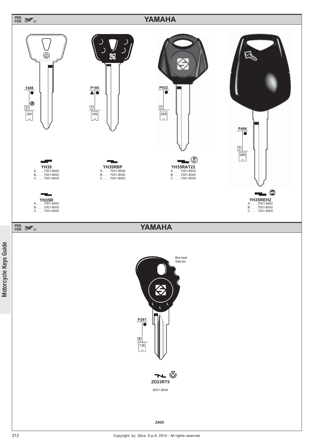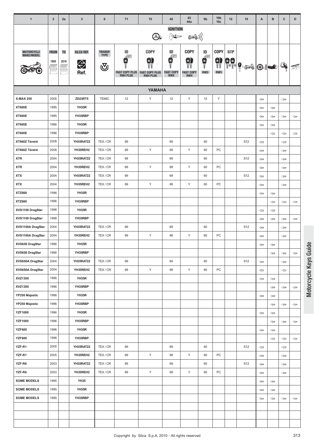| $\mathbf{1}$       | $\overline{2}$ | 2a             | $\mathbf{3}$ | 6              | 71                                       | 72                    | 42                                                                                             | 43<br>44a               | 9 <sub>b</sub>          | 10 <sub>b</sub><br>10 <sub>c</sub> | 12         | 15               | A                     | B                   | $\mathbf{C}$                        | D                                   |
|--------------------|----------------|----------------|--------------|----------------|------------------------------------------|-----------------------|------------------------------------------------------------------------------------------------|-------------------------|-------------------------|------------------------------------|------------|------------------|-----------------------|---------------------|-------------------------------------|-------------------------------------|
|                    |                |                |              |                |                                          |                       | <b>IGNITION</b>                                                                                |                         |                         |                                    |            |                  |                       |                     |                                     |                                     |
|                    |                |                |              |                |                                          | کھیا                  | $\sum_{i=1}^{N} \sum_{j=1}^{N} \mathbf{1}_{\mathbf{1}_{\mathbf{1}_{\mathbf{1}_{\mathbf{3}}}}}$ | ((( کُھکے               |                         |                                    |            |                  |                       |                     |                                     |                                     |
| MOTORCYCLE         | <b>FROM</b>    | T <sub>0</sub> | SILCA REF.   | <b>TRANSP.</b> | ID                                       | COPY                  | ID                                                                                             | <b>COPY</b>             | ID                      | COPY                               | <b>STP</b> |                  |                       |                     |                                     |                                     |
| MAKE/MODEL         | 1995           | 2010           |              | <b>TYPE</b>    | Æ<br>×                                   | N)                    | Æ<br>в                                                                                         | 0)                      | $\overline{\mathbf{q}}$ |                                    |            |                  |                       |                     |                                     |                                     |
|                    |                |                | $\bigoplus$  | ্ত্য           |                                          | <b>FAST COPY PLUS</b> | <b>FAST COPY</b>                                                                               |                         | RW3                     | $\frac{1}{10}$<br>RW3              | ee<br>11   | $  \mathbf{e}  $ |                       | $\bullet$ $\bullet$ | Q.                                  |                                     |
|                    |                |                | Ref.         |                | <b>FAST COPY PLUS</b><br><b>RW4 PLUS</b> | <b>RW4 PLUS</b>       | RW4                                                                                            | <b>FAST COPY</b><br>RW4 |                         |                                    |            |                  |                       |                     |                                     |                                     |
|                    |                |                |              |                |                                          | <b>YAMAHA</b>         |                                                                                                |                         |                         |                                    |            |                  |                       |                     |                                     |                                     |
| <b>X-MAX 250</b>   | 2005           |                | ZD23RT5      | <b>TEMIC</b>   | 12                                       | Y                     | 12                                                                                             | Y                       | 12                      | Υ                                  |            |                  | $\Longleftrightarrow$ |                     | $\qquad \qquad \Longleftrightarrow$ |                                     |
| <b>XT600E</b>      | 1995           |                | YH35R        |                |                                          |                       |                                                                                                |                         |                         |                                    |            |                  | $\Leftarrow$          | $\Leftarrow$        |                                     |                                     |
| <b>XT600E</b>      | 1995           |                | YH35RBP      |                |                                          |                       |                                                                                                |                         |                         |                                    |            |                  | $\Leftarrow$          | $\Leftarrow$        | $\Leftarrow$                        | $\Leftarrow$                        |
| <b>XT600E</b>      | 1996           |                | YH35R        |                |                                          |                       |                                                                                                |                         |                         |                                    |            |                  | $\Leftarrow$          | $\Leftarrow$        |                                     |                                     |
| <b>XT600E</b>      | 1996           |                | YH35RBP      |                |                                          |                       |                                                                                                |                         |                         |                                    |            |                  |                       | $\Leftarrow$        | $\Leftarrow$                        | $\Longleftrightarrow$               |
| XT660Z Ténéré      | 2008           |                | YH35RAT22    | TEX/CR         | 69                                       |                       | 69                                                                                             |                         | 60                      |                                    |            | S <sub>12</sub>  | $\Leftarrow$          |                     | $\Longleftrightarrow$               |                                     |
| XT660Z Ténéré      | 2008           |                | YH35REH2     | TEX/CR         | 69                                       | Y                     | 69                                                                                             | Υ                       | 60                      | PC                                 |            |                  | $\Leftarrow$          |                     | $\Leftarrow$                        |                                     |
| <b>XTR</b>         | 2004           |                | YH35RAT22    | TEX/CR         | 69                                       |                       | 69                                                                                             |                         | 60                      |                                    |            | S <sub>12</sub>  | $\Leftarrow$          |                     | $\Leftarrow$                        |                                     |
| <b>XTR</b>         | 2004           |                | YH35REH2     | TEX/CR         | 69                                       | Υ                     | 69                                                                                             | Y                       | 60                      | PC                                 |            |                  | $\Leftarrow$          |                     | $\Leftarrow$                        |                                     |
| <b>XTX</b>         | 2004           |                | YH35RAT22    | TEX/CR         | 69                                       |                       | 69                                                                                             |                         | 60                      |                                    |            | S <sub>12</sub>  | $\Leftarrow$          |                     | $\Leftarrow$                        |                                     |
| <b>XTX</b>         | 2004           |                | YH35REH2     | TEX/CR         | 69                                       | Y                     | 69                                                                                             | Y                       | 60                      | PC                                 |            |                  | $\Leftarrow$          |                     | $\Leftarrow$                        |                                     |
| <b>XTZ660</b>      | 1996           |                | YH35R        |                |                                          |                       |                                                                                                |                         |                         |                                    |            |                  | $\Leftarrow$          | $\Leftarrow$        |                                     |                                     |
| <b>XTZ660</b>      | 1996           |                | YH35RBP      |                |                                          |                       |                                                                                                |                         |                         |                                    |            |                  |                       | $\Leftarrow$        | $\Leftarrow$                        | $\Longleftarrow$                    |
| XVS1100 DragStar   | 1998           |                | YH35R        |                |                                          |                       |                                                                                                |                         |                         |                                    |            |                  | $\Leftarrow$          | $\Leftarrow$        |                                     |                                     |
| XVS1100 DragStar   | 1998           |                | YH35RBP      |                |                                          |                       |                                                                                                |                         |                         |                                    |            |                  | $\Leftarrow$          | $\Leftarrow$        | $\Leftarrow$                        | $\Leftarrow$                        |
| XVS1100A DragStar  | 2004           |                | YH35RAT22    | TEX/CR         | 69                                       |                       | 69                                                                                             |                         | 60                      |                                    |            | S <sub>12</sub>  | $\Leftarrow$          |                     | $\Leftarrow$                        |                                     |
| XVS1100A DragStar  | 2004           |                | YH35REH2     | TEX/CR         | 69                                       | Y                     | 69                                                                                             | Υ                       | 60                      | PC                                 |            |                  | $\Leftarrow$          |                     | $\Leftarrow$                        |                                     |
| XVS650 DragStar    | 1996           |                | YH35R        |                |                                          |                       |                                                                                                |                         |                         |                                    |            |                  | $\Leftarrow$          | $\Leftarrow$        |                                     |                                     |
| XVS650 DragStar    | 1996           |                | YH35RBP      |                |                                          |                       |                                                                                                |                         |                         |                                    |            |                  |                       | $\Leftarrow$        | $\Leftarrow$                        | $\Leftarrow$                        |
| XVS650A DragStar   | 2004           |                | YH35RAT22    | TEX/CR         | 69                                       |                       | 69                                                                                             |                         | 60                      |                                    |            | S12              | $\Leftarrow$          |                     | $\Leftarrow$                        |                                     |
| XVS650A DragStar   | 2004           |                | YH35REH2     | TEX/CR         | 69                                       | Υ                     | 69                                                                                             | Y                       | 60                      | PC                                 |            |                  | $\Leftarrow$          |                     | $\Leftarrow$                        |                                     |
| XVZ1300            | 1996           |                | YH35R        |                |                                          |                       |                                                                                                |                         |                         |                                    |            |                  | $\Leftarrow$          | $\Leftarrow$        |                                     |                                     |
| XVZ1300            | 1996           |                | YH35RBP      |                |                                          |                       |                                                                                                |                         |                         |                                    |            |                  |                       | $\Leftarrow$        | $\Longleftrightarrow$               | $\qquad \qquad \Longleftrightarrow$ |
| YP250 Majestic     | 1996           |                | YH35R        |                |                                          |                       |                                                                                                |                         |                         |                                    |            |                  | $\Leftarrow$          | $\Leftarrow$        |                                     |                                     |
| YP250 Majestic     | 1996           |                | YH35RBP      |                |                                          |                       |                                                                                                |                         |                         |                                    |            |                  |                       | $\Leftarrow$        | $\Leftarrow$                        | $\Leftarrow$                        |
| <b>YZF1000</b>     | 1996           |                | YH35R        |                |                                          |                       |                                                                                                |                         |                         |                                    |            |                  | $\Longleftrightarrow$ | $\Leftarrow$        |                                     |                                     |
| <b>YZF1000</b>     | 1996           |                | YH35RBP      |                |                                          |                       |                                                                                                |                         |                         |                                    |            |                  |                       | $\Leftarrow$        | $\qquad \qquad \Longleftrightarrow$ | $\Leftarrow$                        |
| <b>YZF600</b>      | 1996           |                | YH35R        |                |                                          |                       |                                                                                                |                         |                         |                                    |            |                  | $\Leftarrow$          | $\Leftarrow$        |                                     |                                     |
| <b>YZF600</b>      | 1996           |                | YH35RBP      |                |                                          |                       |                                                                                                |                         |                         |                                    |            |                  |                       | $\Leftarrow$        | $\Leftarrow$                        | $\Leftarrow$                        |
| YZF-R1             | 2005           |                | YH35RAT22    | TEX/CR         | 69                                       |                       | 69                                                                                             |                         | 60                      |                                    |            | S12              | $\Leftarrow$          |                     | $\Leftarrow$                        |                                     |
| YZF-R1             | 2005           |                | YH35REH2     | TEX/CR         | 69                                       | Υ                     | 69                                                                                             | Y                       | 60                      | PC                                 |            |                  | $\Leftarrow$          |                     | $\Leftarrow$                        |                                     |
| YZF-R6             | 2003           |                | YH35RAT22    | TEX/CR         | 69                                       |                       | 69                                                                                             |                         | 60                      |                                    |            | S <sub>12</sub>  | $\Leftarrow$          |                     | $\Leftarrow$                        |                                     |
| YZF-R6             | 2003           |                | YH35REH2     | TEX/CR         | 69                                       | Υ                     | 69                                                                                             | Υ                       | 60                      | PC                                 |            |                  | $\Leftarrow$          |                     | $\Leftarrow$                        |                                     |
| <b>SOME MODELS</b> | 1995           |                | <b>YH35</b>  |                |                                          |                       |                                                                                                |                         |                         |                                    |            |                  | $\Longleftrightarrow$ | $\Leftarrow$        |                                     |                                     |
| <b>SOME MODELS</b> | 1995           |                | YH35R        |                |                                          |                       |                                                                                                |                         |                         |                                    |            |                  | $\Leftarrow$          | $\Leftarrow$        |                                     |                                     |
| <b>SOME MODELS</b> | 1995           |                | YH35RBP      |                |                                          |                       |                                                                                                |                         |                         |                                    |            |                  | $\Leftarrow$          | $\Leftarrow$        | $\Leftarrow$                        | $\Leftarrow$                        |
|                    |                |                |              |                |                                          |                       |                                                                                                |                         |                         |                                    |            |                  |                       |                     |                                     |                                     |
|                    |                |                |              |                |                                          |                       |                                                                                                |                         |                         |                                    |            |                  |                       |                     |                                     |                                     |
|                    |                |                |              |                |                                          |                       |                                                                                                |                         |                         |                                    |            |                  |                       |                     |                                     |                                     |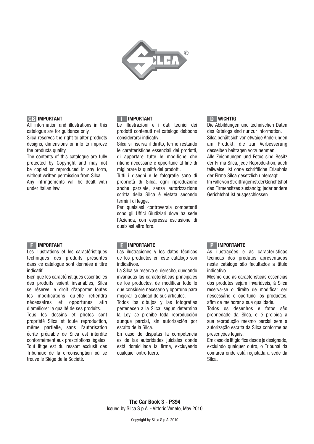

## **GB IMPORTANT**

All information and illustrations in this catalogue are for guidance only.

Silca reserves the right to alter products designs, dimensions or info to improve the products quality.

The contents of this catalogue are fully protected by Copyright and may not be copied or reproduced in any form, without written permission from Silca. Any infringements will be dealt with under Italian law.

### **F IMPORTANT**

Les illustrations et les caractéristiques techniques des produits présentés dans ce catalogue sont données à titre indicatif.

Bien que les caractéristiques essentielles des produits soient invariables, Silca se réserve le droit d'apporter toutes les modifications qu'elle retiendra nécessaires et opportunes afin d'améliorer la qualité de ses produits.

Tous les dessins et photos sont propriété Silca et toute reproduction, même partielle, sans l'autorisation écrite préalable de Silca est interdite conformément aux prescriptions légales Tout litige est du ressort exclusif des Tribunaux de la circonscription où se trouve le Siége de la Société.

#### **III IMPORTANT**

Le illustrazioni e i dati tecnici dei prodotti contenuti nel catalogo debbono considerarsi indicativi.

Silca si riserva il diritto, ferme restando le caratteristiche essenziali dei prodotti, di apportare tutte le modifiche che ritiene necessarie e opportune al fine di migliorare la qualità dei prodotti.

Tutti i disegni e le fotografie sono di proprietà di Silca, ogni riproduzione anche parziale, senza autorizzazione scritta della Silca è vietata secondo termini di legge.

Per qualsiasi controversia competenti sono gli Uffici Giudiziari dove ha sede l'Azienda, con espressa esclusione di qualsiasi altro foro.

# **D WICHTIG**

Die Abbildungen und technischen Daten des Katalogs sind nur zur Information. Silca behält sich vor, etwaige Änderungen am Produkt, die zur Verbesserung desselben beitragen vorzunehmen. Alle Zeichnungen und Fotos sind Besitz der Firma Silca, jede Reproduktion, auch teilweise, ist ohne schriftliche Erlaubnis der Firma Silca gesetzlich untersagt. Im Falle von Streitfragen ist der Gerichtshof des Firmensitzes zuständig; jeder andere Gerichtshof ist ausgeschlossen.

### **E IMPORTANTE**

Las ilustraciones y los datos técnicos de los productos en este catálogo son indicativos.

La Silca se reserva el derecho, quedando invariadas las características principales de los productos, de modificar todo lo que considere necesario y oportuno para mejorar la calidad de sus artículos.

Todos los dibujos y las fotografias pertenecen a la Silca; según determina la Ley, se prohibe toda reproducción aunque parcial, sin autorización por escrito de la Silca.

En caso de disputas la competencia es de las autoridades juiciales donde está domiciliada la firma, excluyendo cualquier ontro fuero.

### **P IMPORTANTE**

As ilustrações e as caracteristicas técnicas dos produtos apresentados neste catálogo são facultados a título indicativo.

Mesmo que as caracteristicas essencias dos produtos sejam invariáveis, à Silca reserva-se o direito de modificar ser nescessário e oportuno los productos, afim de melhorar a sua qualidade.

Todos os desenhos e fotos são propriedade da Silca, e é proibida a sua reprodução mesmo parcial sem a autorização escrita da Silca conforme as prescrições legais.

Em caso de litígio fica desde já designado, excluindo qualquer outro, o Tribunal da comarca onde está registada a sede da Silca.